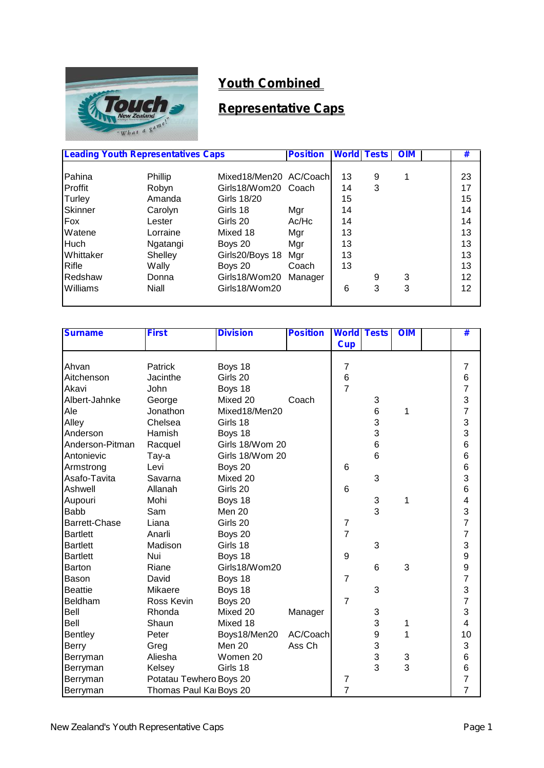

# **Youth Combined**

## **Representative Caps**

| <b>Leading Youth Representatives Caps</b> |          | <b>Position</b>         | <b>World</b> | <b>Tests</b> | <b>OIM</b> | # |    |
|-------------------------------------------|----------|-------------------------|--------------|--------------|------------|---|----|
|                                           |          |                         |              |              |            |   |    |
| Pahina                                    | Phillip  | Mixed18/Men20 AC/Coachl |              | 13           | 9          |   | 23 |
| Proffit                                   | Robyn    | Girls18/Wom20 Coach     |              | 14           | 3          |   | 17 |
| Turley                                    | Amanda   | Girls 18/20             |              | 15           |            |   | 15 |
| Skinner                                   | Carolyn  | Girls 18                | Mgr          | 14           |            |   | 14 |
| Fox                                       | Lester   | Girls 20                | Ac/Hc        | 14           |            |   | 14 |
| Watene                                    | Lorraine | Mixed 18                | Mgr          | 13           |            |   | 13 |
| <b>Huch</b>                               | Ngatangi | Boys 20                 | Mgr          | 13           |            |   | 13 |
| <b>Whittaker</b>                          | Shelley  | Girls20/Boys 18         | Mgr          | 13           |            |   | 13 |
| Rifle                                     | Wally    | Boys 20                 | Coach        | 13           |            |   | 13 |
| Redshaw                                   | Donna    | Girls18/Wom20           | Manager      |              | 9          | 3 | 12 |
| <b>Williams</b>                           | Niall    | Girls18/Wom20           |              | 6            | 3          | 3 | 12 |
|                                           |          |                         |              |              |            |   |    |

| <b>Surname</b>  | <b>First</b>            | <b>Division</b> | <b>Position</b> | <b>World Tests</b>      |                  | <b>OIM</b> | #                       |
|-----------------|-------------------------|-----------------|-----------------|-------------------------|------------------|------------|-------------------------|
|                 |                         |                 |                 | <b>Cup</b>              |                  |            |                         |
|                 |                         |                 |                 |                         |                  |            |                         |
| Ahvan           | Patrick                 | Boys 18         |                 | $\overline{7}$          |                  |            | 7                       |
| Aitchenson      | Jacinthe                | Girls 20        |                 | $\,6$                   |                  |            | $6\phantom{1}6$         |
| Akavi           | John                    | Boys 18         |                 | $\overline{7}$          |                  |            | $\overline{7}$          |
| Albert-Jahnke   | George                  | Mixed 20        | Coach           |                         | 3                |            | 3                       |
| Ale             | Jonathon                | Mixed18/Men20   |                 |                         | $\,6$            | 1          | $\overline{7}$          |
| Alley           | Chelsea                 | Girls 18        |                 |                         | 3                |            | 3                       |
| Anderson        | Hamish                  | Boys 18         |                 |                         | 3                |            | 3                       |
| Anderson-Pitman | Racquel                 | Girls 18/Wom 20 |                 |                         | 6                |            | 6                       |
| Antonievic      | Tay-a                   | Girls 18/Wom 20 |                 |                         | 6                |            | 6                       |
| Armstrong       | Levi                    | Boys 20         |                 | 6                       |                  |            | 6                       |
| Asafo-Tavita    | Savarna                 | Mixed 20        |                 |                         | 3                |            | 3                       |
| Ashwell         | Allanah                 | Girls 20        |                 | 6                       |                  |            | 6                       |
| Aupouri         | Mohi                    | Boys 18         |                 |                         | 3                | 1          | $\overline{\mathbf{4}}$ |
| <b>Babb</b>     | Sam                     | Men 20          |                 |                         | 3                |            | 3                       |
| Barrett-Chase   | Liana                   | Girls 20        |                 | $\overline{\mathbf{7}}$ |                  |            | $\overline{7}$          |
| <b>Bartlett</b> | Anarli                  | Boys 20         |                 | $\overline{7}$          |                  |            | $\overline{7}$          |
| <b>Bartlett</b> | Madison                 | Girls 18        |                 |                         | 3                |            | 3                       |
| <b>Bartlett</b> | Nui                     | Boys 18         |                 | 9                       |                  |            | 9                       |
| Barton          | Riane                   | Girls18/Wom20   |                 |                         | 6                | 3          | 9                       |
| Bason           | David                   | Boys 18         |                 | $\overline{7}$          |                  |            | $\overline{7}$          |
| <b>Beattie</b>  | <b>Mikaere</b>          | Boys 18         |                 |                         | 3                |            | 3                       |
| Beldham         | Ross Kevin              | Boys 20         |                 | $\overline{7}$          |                  |            | $\overline{7}$          |
| Bell            | Rhonda                  | Mixed 20        | Manager         |                         | 3                |            | 3                       |
| Bell            | Shaun                   | Mixed 18        |                 |                         | 3                | 1          | 4                       |
| <b>Bentley</b>  | Peter                   | Boys18/Men20    | AC/Coach        |                         | $\boldsymbol{9}$ | 1          | 10                      |
| <b>Berry</b>    | Greg                    | Men 20          | Ass Ch          |                         | 3                |            | 3                       |
| Berryman        | Aliesha                 | Women 20        |                 |                         | 3                | 3          | 6                       |
| Berryman        | Kelsey                  | Girls 18        |                 |                         | 3                | 3          | 6                       |
| Berryman        | Potatau Tewhero Boys 20 |                 |                 | $\overline{7}$          |                  |            | $\overline{7}$          |
| Berryman        | Thomas Paul Ka Boys 20  |                 |                 | $\overline{7}$          |                  |            | $\overline{7}$          |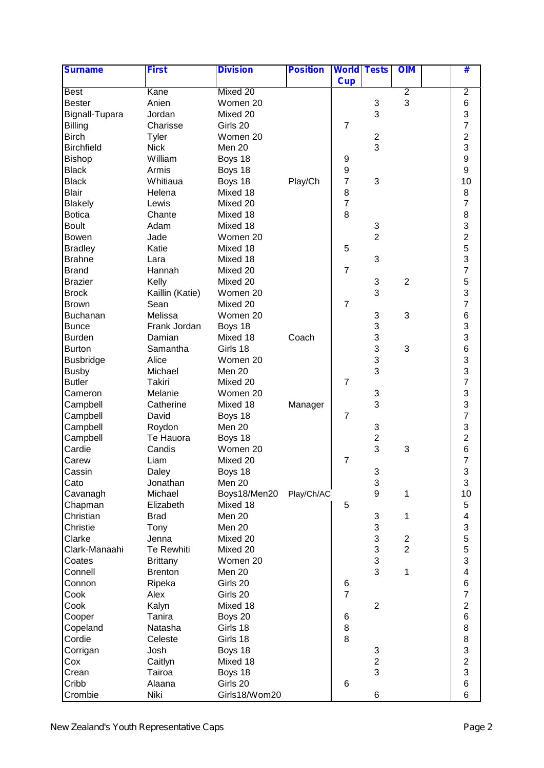| <b>Surname</b>    | <b>First</b>    | <b>Division</b> | <b>Position</b> | <b>World Tests</b>      |                           | <b>OIM</b>       | #                       |  |
|-------------------|-----------------|-----------------|-----------------|-------------------------|---------------------------|------------------|-------------------------|--|
|                   |                 |                 |                 | <b>Cup</b>              |                           |                  |                         |  |
| <b>Best</b>       | Kane            | Mixed 20        |                 |                         |                           | $\overline{2}$   | $\overline{2}$          |  |
| <b>Bester</b>     | Anien           | Women 20        |                 |                         | 3                         | 3                | $6\phantom{1}6$         |  |
| Bignall-Tupara    | Jordan          | Mixed 20        |                 |                         | 3                         |                  | 3                       |  |
| <b>Billing</b>    | Charisse        | Girls 20        |                 | $\overline{7}$          |                           |                  | $\overline{7}$          |  |
| <b>Birch</b>      | Tyler           | Women 20        |                 |                         | $\boldsymbol{2}$          |                  | $\overline{c}$          |  |
| <b>Birchfield</b> | <b>Nick</b>     | Men 20          |                 |                         | 3                         |                  | 3                       |  |
| <b>Bishop</b>     | William         | Boys 18         |                 | 9                       |                           |                  | 9                       |  |
| <b>Black</b>      | Armis           | Boys 18         |                 | $\boldsymbol{9}$        |                           |                  | $\boldsymbol{9}$        |  |
| <b>Black</b>      | Whitiaua        | Boys 18         | Play/Ch         | $\overline{7}$          | 3                         |                  | 10                      |  |
| <b>Blair</b>      | Helena          | Mixed 18        |                 | 8                       |                           |                  | 8                       |  |
| <b>Blakely</b>    | Lewis           | Mixed 20        |                 | $\overline{\mathbf{7}}$ |                           |                  | $\overline{7}$          |  |
| <b>Botica</b>     | Chante          | Mixed 18        |                 | 8                       |                           |                  | 8                       |  |
| <b>Boult</b>      | Adam            | Mixed 18        |                 |                         | $\ensuremath{\mathsf{3}}$ |                  | 3                       |  |
| <b>Bowen</b>      | Jade            | Women 20        |                 |                         | $\overline{2}$            |                  | $\overline{c}$          |  |
| <b>Bradley</b>    | Katie           | Mixed 18        |                 | 5                       |                           |                  | 5                       |  |
| <b>Brahne</b>     | Lara            | Mixed 18        |                 |                         | $\sqrt{3}$                |                  | 3                       |  |
| <b>Brand</b>      | Hannah          | Mixed 20        |                 | $\overline{7}$          |                           |                  | $\overline{7}$          |  |
| <b>Brazier</b>    | Kelly           | Mixed 20        |                 |                         | $\ensuremath{\mathsf{3}}$ | $\overline{2}$   | 5                       |  |
| <b>Brock</b>      | Kaillin (Katie) | Women 20        |                 |                         | 3                         |                  | 3                       |  |
| <b>Brown</b>      | Sean            | Mixed 20        |                 | $\overline{7}$          |                           |                  | $\overline{7}$          |  |
| Buchanan          | Melissa         | Women 20        |                 |                         | 3                         | 3                | $6\phantom{1}6$         |  |
| <b>Bunce</b>      | Frank Jordan    | Boys 18         |                 |                         | 3                         |                  | 3                       |  |
| <b>Burden</b>     | Damian          | Mixed 18        | Coach           |                         | 3                         |                  | 3                       |  |
| <b>Burton</b>     | Samantha        | Girls 18        |                 |                         | 3                         | 3                | 6                       |  |
| <b>Busbridge</b>  | Alice           | Women 20        |                 |                         | 3                         |                  | 3                       |  |
| <b>Busby</b>      | Michael         | Men 20          |                 |                         | 3                         |                  |                         |  |
| <b>Butler</b>     | Takiri          | Mixed 20        |                 | $\overline{7}$          |                           |                  | $rac{3}{7}$             |  |
| Cameron           | Melanie         | Women 20        |                 |                         | 3                         |                  | 3                       |  |
| Campbell          | Catherine       | Mixed 18        | Manager         |                         | 3                         |                  | 3                       |  |
| Campbell          | David           | Boys 18         |                 | $\overline{7}$          |                           |                  | $\overline{7}$          |  |
| Campbell          | Roydon          | Men 20          |                 |                         | 3                         |                  | 3                       |  |
| Campbell          | Te Hauora       | Boys 18         |                 |                         | $\boldsymbol{2}$          |                  | $\overline{c}$          |  |
| Cardie            | Candis          | Women 20        |                 |                         | 3                         | 3                | 6                       |  |
| Carew             | Liam            | Mixed 20        |                 | $\overline{7}$          |                           |                  | $\overline{7}$          |  |
| Cassin            | Daley           | Boys 18         |                 |                         | 3                         |                  | 3                       |  |
| Cato              | Jonathan        | Men 20          |                 |                         | 3                         |                  | 3                       |  |
| Cavanagh          | Michael         | Boys18/Men20    | Play/Ch/AC      |                         | $\boldsymbol{9}$          | 1                | 10                      |  |
| Chapman           | Elizabeth       | Mixed 18        |                 | 5                       |                           |                  | 5                       |  |
| Christian         | <b>Brad</b>     | Men 20          |                 |                         | 3                         | 1                | 4                       |  |
| Christie          | Tony            | Men 20          |                 |                         | 3                         |                  | 3                       |  |
| Clarke            | Jenna           | Mixed 20        |                 |                         | $\ensuremath{\mathsf{3}}$ | $\boldsymbol{2}$ | 5                       |  |
| Clark-Manaahi     | Te Rewhiti      | Mixed 20        |                 |                         | $\ensuremath{\mathsf{3}}$ | $\overline{2}$   | 5                       |  |
| Coates            | <b>Brittany</b> | Women 20        |                 |                         | $\sqrt{3}$                |                  | 3                       |  |
| Connell           | <b>Brenton</b>  | Men 20          |                 |                         | 3                         | 1                | $\overline{\mathbf{4}}$ |  |
| Connon            | Ripeka          | Girls 20        |                 | 6                       |                           |                  | $\,6$                   |  |
| Cook              | Alex            | Girls 20        |                 | $\overline{7}$          |                           |                  | $\overline{7}$          |  |
| Cook              | Kalyn           | Mixed 18        |                 |                         | $\mathbf{2}$              |                  | $\overline{c}$          |  |
| Cooper            | Tanira          | Boys 20         |                 | 6                       |                           |                  | 6                       |  |
| Copeland          | Natasha         | Girls 18        |                 | 8                       |                           |                  | 8                       |  |
| Cordie            | Celeste         | Girls 18        |                 | 8                       |                           |                  | 8                       |  |
| Corrigan          | Josh            | Boys 18         |                 |                         | 3                         |                  | 3                       |  |
| Cox               | Caitlyn         | Mixed 18        |                 |                         | $\overline{c}$            |                  | $\overline{c}$          |  |
| Crean             | Tairoa          | Boys 18         |                 |                         | 3                         |                  | 3                       |  |
| Cribb             | Alaana          | Girls 20        |                 | 6                       |                           |                  | $\,6$                   |  |
| Crombie           | Niki            | Girls18/Wom20   |                 |                         | 6                         |                  | 6                       |  |
|                   |                 |                 |                 |                         |                           |                  |                         |  |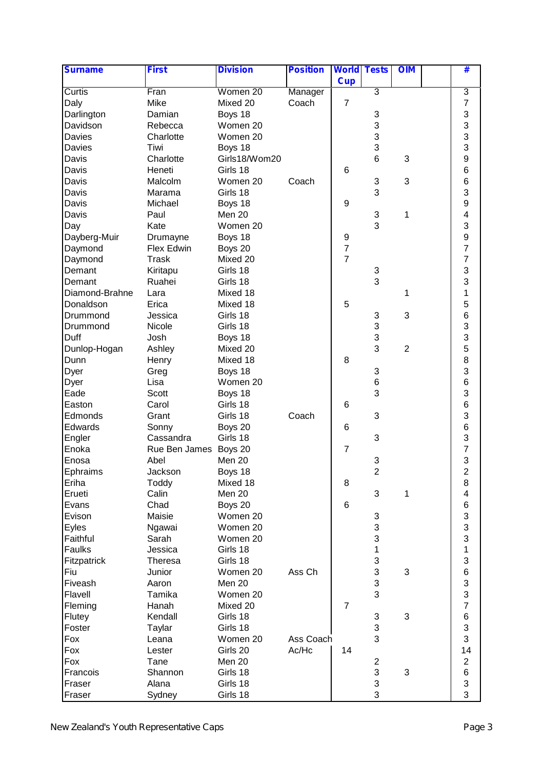| <b>Surname</b>    | <b>First</b>          | <b>Division</b>      | <b>Position</b> | <b>World Tests</b>       |                                | <b>OIM</b>     | #                              |  |
|-------------------|-----------------------|----------------------|-----------------|--------------------------|--------------------------------|----------------|--------------------------------|--|
|                   |                       |                      |                 | <b>Cup</b>               |                                |                |                                |  |
| Curtis            | Fran                  | Women 20             | Manager         |                          | 3                              |                | 3                              |  |
| Daly              | Mike                  | Mixed 20             | Coach           | $\overline{7}$           |                                |                | $\overline{7}$                 |  |
| Darlington        | Damian                | Boys 18              |                 |                          | 3                              |                | 3                              |  |
| Davidson          | Rebecca               | Women 20             |                 |                          | 3                              |                | 3                              |  |
| Davies            | Charlotte             | Women 20             |                 |                          | 3                              |                | 3                              |  |
| Davies            | Tiwi                  | Boys 18              |                 |                          | 3                              |                | 3                              |  |
| Davis             | Charlotte             | Girls18/Wom20        |                 |                          | 6                              | 3              | 9                              |  |
| Davis             | Heneti                | Girls 18             |                 | 6                        |                                |                | 6                              |  |
| Davis             | Malcolm               | Women 20             | Coach           |                          | 3                              | 3              | 6                              |  |
| Davis             | Marama                | Girls 18             |                 |                          | 3                              |                | 3                              |  |
| Davis             | Michael               | Boys 18              |                 | 9                        |                                |                | 9                              |  |
| Davis             | Paul                  | Men 20               |                 |                          | $\ensuremath{\mathsf{3}}$      | 1              | 4                              |  |
| Day               | Kate                  | Women 20             |                 |                          | 3                              |                | 3                              |  |
| Dayberg-Muir      | Drumayne              | Boys 18              |                 | 9                        |                                |                | 9                              |  |
| Daymond           | Flex Edwin            | Boys 20              |                 | $\overline{\mathcal{I}}$ |                                |                | $\overline{7}$                 |  |
| Daymond           | <b>Trask</b>          | Mixed 20             |                 | $\overline{7}$           |                                |                | $\overline{7}$                 |  |
| Demant            | Kiritapu              | Girls 18             |                 |                          | 3                              |                | 3                              |  |
| Demant            | Ruahei                | Girls 18             |                 |                          | 3                              |                | 3                              |  |
| Diamond-Brahne    | Lara                  | Mixed 18             |                 |                          |                                | 1              | 1                              |  |
| Donaldson         | Erica                 | Mixed 18             |                 | 5                        |                                |                | 5                              |  |
| Drummond          | Jessica               | Girls 18             |                 |                          | 3                              | 3              | 6                              |  |
| Drummond          | Nicole                | Girls 18             |                 |                          | 3                              |                | 3                              |  |
| Duff              | Josh                  | Boys 18              |                 |                          | 3                              |                | 3                              |  |
| Dunlop-Hogan      | Ashley                | Mixed 20             |                 |                          | 3                              | $\overline{2}$ | 5                              |  |
| Dunn              | Henry                 | Mixed 18             |                 | 8                        |                                |                | 8                              |  |
| Dyer              | Greg                  | Boys 18              |                 |                          | 3                              |                | 3                              |  |
| Dyer              | Lisa                  | Women 20             |                 |                          | $\,6$                          |                | 6                              |  |
| Eade              | Scott                 | Boys 18              |                 |                          | 3                              |                | 3                              |  |
| Easton            | Carol                 | Girls 18             |                 | 6                        |                                |                | 6                              |  |
| Edmonds           | Grant                 | Girls 18             | Coach           |                          | 3                              |                | 3                              |  |
| Edwards           | Sonny                 | Boys 20              |                 | 6                        |                                |                | 6                              |  |
| Engler            | Cassandra             | Girls 18             |                 |                          | 3                              |                | 3                              |  |
| Enoka             | Rue Ben James Boys 20 |                      |                 | $\overline{7}$           |                                |                | 7                              |  |
| Enosa             | Abel                  | Men 20               |                 |                          | 3                              |                | 3                              |  |
|                   | Jackson               |                      |                 |                          | $\overline{2}$                 |                | $\overline{c}$                 |  |
| Ephraims<br>Eriha | Toddy                 | Boys 18<br>Mixed 18  |                 | 8                        |                                |                | 8                              |  |
| Erueti            | Calin                 | Men 20               |                 |                          | 3                              | 1              | 4                              |  |
| Evans             | Chad                  | Boys 20              |                 | 6                        |                                |                | 6                              |  |
| Evison            | Maisie                | Women 20             |                 |                          |                                |                | 3                              |  |
|                   |                       |                      |                 |                          | 3                              |                | 3                              |  |
| Eyles<br>Faithful | Ngawai<br>Sarah       | Women 20<br>Women 20 |                 |                          | 3<br>3                         |                | 3                              |  |
| Faulks            |                       | Girls 18             |                 |                          | 1                              |                | $\mathbf{1}$                   |  |
|                   | Jessica               |                      |                 |                          |                                |                |                                |  |
| Fitzpatrick       | Theresa               | Girls 18<br>Women 20 | Ass Ch          |                          | 3<br>$\ensuremath{\mathsf{3}}$ |                | $\ensuremath{\mathsf{3}}$<br>6 |  |
| Fiu               | Junior                |                      |                 |                          |                                | 3              |                                |  |
| Fiveash           | Aaron                 | Men 20               |                 |                          | 3<br>3                         |                | 3                              |  |
| Flavell           | Tamika                | Women 20             |                 |                          |                                |                | 3<br>$\overline{7}$            |  |
| Fleming           | Hanah                 | Mixed 20             |                 | $\overline{7}$           |                                |                |                                |  |
| Flutey            | Kendall               | Girls 18             |                 |                          | 3                              | $\sqrt{3}$     | 6                              |  |
| Foster            | Taylar                | Girls 18             |                 |                          | 3                              |                | 3                              |  |
| Fox               | Leana                 | Women 20             | Ass Coach       |                          | 3                              |                | 3                              |  |
| Fox               | Lester                | Girls 20             | Ac/Hc           | 14                       |                                |                | 14                             |  |
| Fox               | Tane                  | Men 20               |                 |                          | $\overline{c}$                 |                | $\boldsymbol{2}$               |  |
| Francois          | Shannon               | Girls 18             |                 |                          | 3                              | 3              | $\,6$                          |  |
| Fraser            | Alana                 | Girls 18             |                 |                          | $\ensuremath{\mathsf{3}}$      |                | $\ensuremath{\mathsf{3}}$      |  |
| Fraser            | Sydney                | Girls 18             |                 |                          | 3                              |                | 3                              |  |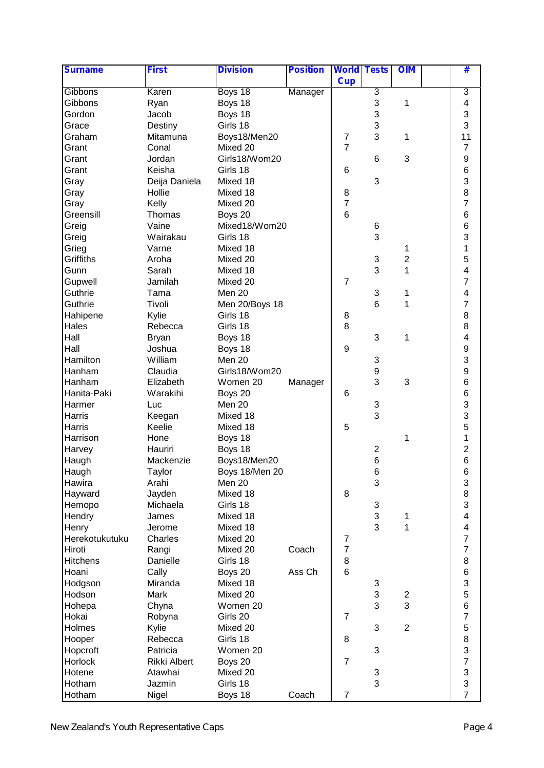| <b>Surname</b>  | <b>First</b>  | <b>Division</b> | <b>Position</b> | <b>World Tests</b> |                           | <b>OIM</b>     | #                       |  |
|-----------------|---------------|-----------------|-----------------|--------------------|---------------------------|----------------|-------------------------|--|
|                 |               |                 |                 | <b>Cup</b>         |                           |                |                         |  |
| Gibbons         | Karen         | Boys 18         | Manager         |                    | 3                         |                | 3                       |  |
| Gibbons         | Ryan          | Boys 18         |                 |                    | 3                         | 1              | $\overline{\mathbf{4}}$ |  |
| Gordon          | Jacob         | Boys 18         |                 |                    | 3                         |                | 3                       |  |
| Grace           | Destiny       | Girls 18        |                 |                    | 3                         |                | 3                       |  |
| Graham          | Mitamuna      | Boys18/Men20    |                 | $\overline{7}$     | 3                         | 1              | 11                      |  |
| Grant           | Conal         | Mixed 20        |                 | $\overline{7}$     |                           |                | $\overline{7}$          |  |
| Grant           | Jordan        | Girls18/Wom20   |                 |                    | $\,6$                     | 3              | $\boldsymbol{9}$        |  |
| Grant           | Keisha        | Girls 18        |                 | 6                  |                           |                | 6                       |  |
| Gray            | Deija Daniela | Mixed 18        |                 |                    | 3                         |                | 3                       |  |
| Gray            | Hollie        | Mixed 18        |                 | 8                  |                           |                | 8                       |  |
| Gray            | Kelly         | Mixed 20        |                 | $\overline{7}$     |                           |                | $\overline{7}$          |  |
| Greensill       | Thomas        | Boys 20         |                 | $6\phantom{1}$     |                           |                | 6                       |  |
| Greig           | Vaine         | Mixed18/Wom20   |                 |                    | 6                         |                | 6                       |  |
| Greig           | Wairakau      | Girls 18        |                 |                    | 3                         |                | 3                       |  |
| Grieg           | Varne         | Mixed 18        |                 |                    |                           | 1              | 1                       |  |
| Griffiths       | Aroha         | Mixed 20        |                 |                    | 3                         | 2              | 5                       |  |
| Gunn            | Sarah         | Mixed 18        |                 |                    | 3                         | 1              | $\overline{\mathbf{4}}$ |  |
| Gupwell         | Jamilah       | Mixed 20        |                 | $\overline{7}$     |                           |                | $\overline{7}$          |  |
| Guthrie         | Tama          | Men 20          |                 |                    | 3                         | 1              | 4                       |  |
| Guthrie         | Tivoli        | Men 20/Boys 18  |                 |                    | $\,6$                     | 1              | $\overline{7}$          |  |
| Hahipene        | Kylie         | Girls 18        |                 | 8                  |                           |                | 8                       |  |
| Hales           | Rebecca       | Girls 18        |                 | 8                  |                           |                | 8                       |  |
| Hall            | <b>Bryan</b>  | Boys 18         |                 |                    | 3                         | 1              | $\overline{\mathbf{4}}$ |  |
| Hall            | Joshua        | Boys 18         |                 | $\boldsymbol{9}$   |                           |                | 9                       |  |
| Hamilton        | William       | Men 20          |                 |                    | 3                         |                | 3                       |  |
| Hanham          | Claudia       | Girls18/Wom20   |                 |                    | $\boldsymbol{9}$          |                | 9                       |  |
| Hanham          | Elizabeth     | Women 20        | Manager         |                    | 3                         | 3              | 6                       |  |
| Hanita-Paki     | Warakihi      | Boys 20         |                 | 6                  |                           |                | 6                       |  |
| Harmer          | Luc           | Men 20          |                 |                    | 3                         |                | 3                       |  |
| Harris          | Keegan        | Mixed 18        |                 |                    | 3                         |                | 3                       |  |
| Harris          | Keelie        | Mixed 18        |                 | 5                  |                           |                | 5                       |  |
| Harrison        | Hone          | Boys 18         |                 |                    |                           | 1              | 1                       |  |
| Harvey          | Hauriri       | Boys 18         |                 |                    | $\boldsymbol{2}$          |                | $\overline{c}$          |  |
|                 | Mackenzie     |                 |                 |                    | 6                         |                | 6                       |  |
| Haugh           |               | Boys18/Men20    |                 |                    | 6                         |                |                         |  |
| Haugh           | Taylor        | Boys 18/Men 20  |                 |                    |                           |                | 6                       |  |
| Hawira          | Arahi         | Men 20          |                 |                    | 3                         |                | 3                       |  |
| Hayward         | Jayden        | Mixed 18        |                 | 8                  |                           |                | 8                       |  |
| Hemopo          | Michaela      | Girls 18        |                 |                    | 3                         |                | 3                       |  |
| Hendry          | James         | Mixed 18        |                 |                    | $\ensuremath{\mathsf{3}}$ | 1              | 4                       |  |
| Henry           | Jerome        | Mixed 18        |                 |                    | 3                         | 1              | 4                       |  |
| Herekotukutuku  | Charles       | Mixed 20        |                 | 7                  |                           |                | $\overline{7}$          |  |
| Hiroti          | Rangi         | Mixed 20        | Coach           | $\overline{7}$     |                           |                | $\overline{7}$          |  |
| <b>Hitchens</b> | Danielle      | Girls 18        |                 | 8                  |                           |                | 8                       |  |
| Hoani           | Cally         | Boys 20         | Ass Ch          | 6                  |                           |                | $\,6$                   |  |
| Hodgson         | Miranda       | Mixed 18        |                 |                    | 3                         |                | 3                       |  |
| Hodson          | Mark          | Mixed 20        |                 |                    | $\ensuremath{\mathsf{3}}$ | $\overline{c}$ | 5                       |  |
| Hohepa          | Chyna         | Women 20        |                 |                    | 3                         | 3              | 6                       |  |
| Hokai           | Robyna        | Girls 20        |                 | $\overline{7}$     |                           |                | $\overline{7}$          |  |
| Holmes          | Kylie         | Mixed 20        |                 |                    | 3                         | $\overline{2}$ | 5                       |  |
| Hooper          | Rebecca       | Girls 18        |                 | 8                  |                           |                | 8                       |  |
| Hopcroft        | Patricia      | Women 20        |                 |                    | 3                         |                | 3                       |  |
| Horlock         | Rikki Albert  | Boys 20         |                 | $\overline{7}$     |                           |                | $\overline{7}$          |  |
| Hotene          | Atawhai       | Mixed 20        |                 |                    | 3                         |                | 3                       |  |
| Hotham          | Jazmin        | Girls 18        |                 |                    | 3                         |                | 3                       |  |
| Hotham          | Nigel         | Boys 18         | Coach           | $\boldsymbol{7}$   |                           |                | $\overline{7}$          |  |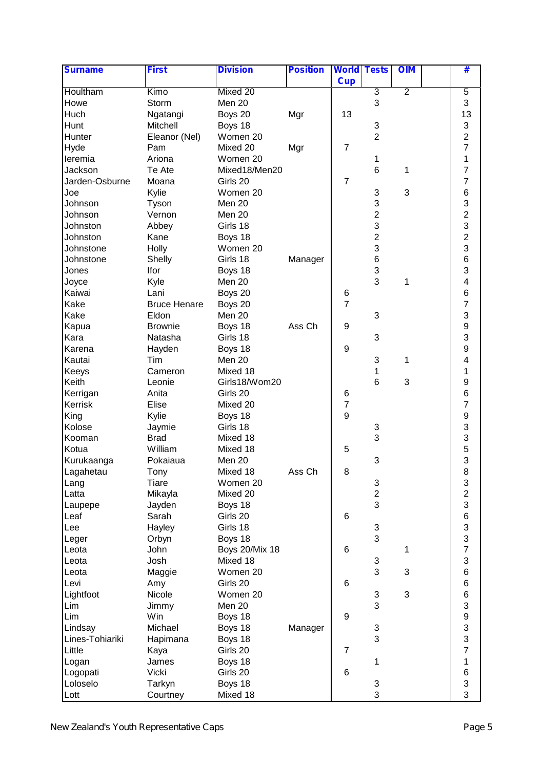| <b>Surname</b>  | <b>First</b>        | <b>Division</b>       | <b>Position</b> | <b>World Tests</b> |                         | <b>OIM</b>     | #                         |  |
|-----------------|---------------------|-----------------------|-----------------|--------------------|-------------------------|----------------|---------------------------|--|
|                 |                     |                       |                 | <b>Cup</b>         |                         |                |                           |  |
| Houltham        | Kimo                | Mixed 20              |                 |                    | $\overline{3}$          | $\overline{2}$ | 5                         |  |
| Howe            | Storm               | Men 20                |                 |                    | 3                       |                | 3                         |  |
| Huch            | Ngatangi            | Boys 20               | Mgr             | 13                 |                         |                | 13                        |  |
| Hunt            | Mitchell            | Boys 18               |                 |                    | 3                       |                | 3                         |  |
| Hunter          | Eleanor (Nel)       | Women 20              |                 |                    | $\overline{2}$          |                | $\overline{c}$            |  |
| Hyde            | Pam                 | Mixed 20              | Mgr             | $\overline{7}$     |                         |                | $\overline{7}$            |  |
| leremia         | Ariona              | Women 20              |                 |                    | 1                       |                | 1                         |  |
| Jackson         | Te Ate              | Mixed18/Men20         |                 |                    | 6                       | 1              | $\overline{7}$            |  |
| Jarden-Osburne  | Moana               | Girls 20              |                 | $\overline{7}$     |                         |                | $\overline{7}$            |  |
| Joe             | Kylie               | Women 20              |                 |                    | 3                       | 3              | 6                         |  |
| Johnson         | Tyson               | Men 20                |                 |                    | 3                       |                | 3                         |  |
| Johnson         | Vernon              | Men 20                |                 |                    | $\overline{\mathbf{c}}$ |                | $\overline{c}$            |  |
| Johnston        | Abbey               | Girls 18              |                 |                    | 3                       |                | 3                         |  |
| Johnston        | Kane                | Boys 18               |                 |                    | $\overline{2}$          |                | $\overline{2}$            |  |
| Johnstone       | Holly               | Women 20              |                 |                    | 3                       |                | 3                         |  |
| Johnstone       | Shelly              | Girls 18              | Manager         |                    | 6                       |                | 6                         |  |
| Jones           | Ifor                | Boys 18               |                 |                    | 3                       |                | 3                         |  |
| Joyce           | Kyle                | Men 20                |                 |                    | 3                       | 1              | 4                         |  |
| Kaiwai          | Lani                | Boys 20               |                 | 6                  |                         |                | 6                         |  |
| Kake            | <b>Bruce Henare</b> | Boys 20               |                 | $\overline{7}$     |                         |                | $\overline{7}$            |  |
| Kake            | Eldon               | Men 20                |                 |                    | 3                       |                | 3                         |  |
| Kapua           | <b>Brownie</b>      | Boys 18               | Ass Ch          | 9                  |                         |                | 9                         |  |
| Kara            | Natasha             | Girls 18              |                 |                    | 3                       |                | 3                         |  |
| Karena          | Hayden              | Boys 18               |                 | 9                  |                         |                | 9                         |  |
| Kautai          | Tim                 | Men 20                |                 |                    | 3                       | 1              | $\overline{\mathbf{4}}$   |  |
| Keeys           | Cameron             | Mixed 18              |                 |                    | 1                       |                | 1                         |  |
| Keith           | Leonie              | Girls18/Wom20         |                 |                    | 6                       | 3              | 9                         |  |
| Kerrigan        | Anita               | Girls 20              |                 | 6                  |                         |                | 6                         |  |
| Kerrisk         | Elise               | Mixed 20              |                 | $\boldsymbol{7}$   |                         |                | $\overline{7}$            |  |
| King            | Kylie               | Boys 18               |                 | 9                  |                         |                | 9                         |  |
| Kolose          | Jaymie              | Girls 18              |                 |                    | 3                       |                | 3                         |  |
| Kooman          | <b>Brad</b>         | Mixed 18              |                 |                    | 3                       |                | 3                         |  |
| Kotua           | William             | Mixed 18              |                 | 5                  |                         |                |                           |  |
| Kurukaanga      | Pokaiaua            | Men 20                |                 |                    | 3                       |                | $\frac{5}{3}$             |  |
| Lagahetau       | Tony                | Mixed 18              | Ass Ch          | 8                  |                         |                | 8                         |  |
| Lang            | <b>Tiare</b>        | Women 20              |                 |                    | 3                       |                | 3                         |  |
| Latta           | Mikayla             | Mixed 20              |                 |                    | $\overline{\mathbf{c}}$ |                | $\overline{\mathbf{c}}$   |  |
| Laupepe         | Jayden              | Boys 18               |                 |                    | 3                       |                | 3                         |  |
| Leaf            | Sarah               | Girls 20              |                 | 6                  |                         |                | 6                         |  |
| Lee             | Hayley              | Girls 18              |                 |                    | 3                       |                | 3                         |  |
| Leger           | Orbyn               | Boys 18               |                 |                    | 3                       |                | 3                         |  |
| Leota           | John                | <b>Boys 20/Mix 18</b> |                 | 6                  |                         | 1              | $\boldsymbol{7}$          |  |
| Leota           | Josh                | Mixed 18              |                 |                    | 3                       |                | $\ensuremath{\mathsf{3}}$ |  |
| Leota           | Maggie              | Women 20              |                 |                    | 3                       | 3              | $\,6$                     |  |
| Levi            | Amy                 | Girls 20              |                 | 6                  |                         |                | $\,6$                     |  |
| Lightfoot       | Nicole              | Women 20              |                 |                    | 3                       | 3              | 6                         |  |
| Lim             | Jimmy               | Men 20                |                 |                    | 3                       |                | 3                         |  |
| Lim             | Win                 | Boys 18               |                 | 9                  |                         |                | 9                         |  |
| Lindsay         | Michael             | Boys 18               | Manager         |                    | 3                       |                | 3                         |  |
| Lines-Tohiariki | Hapimana            | Boys 18               |                 |                    | 3                       |                | 3                         |  |
| Little          | Kaya                | Girls 20              |                 | $\overline{7}$     |                         |                | $\overline{7}$            |  |
| Logan           | James               | Boys 18               |                 |                    | 1                       |                | $\mathbf 1$               |  |
| Logopati        | Vicki               | Girls 20              |                 | 6                  |                         |                | $\,6$                     |  |
| Loloselo        | Tarkyn              | Boys 18               |                 |                    | 3                       |                | 3                         |  |
| Lott            | Courtney            | Mixed 18              |                 |                    | 3                       |                | 3                         |  |
|                 |                     |                       |                 |                    |                         |                |                           |  |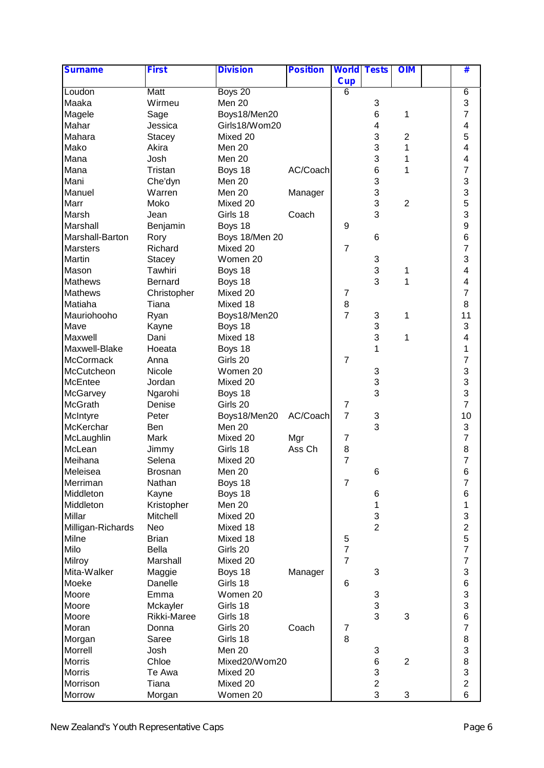| <b>Surname</b>    | <b>First</b>   | <b>Division</b> | <b>Position</b> | <b>World Tests</b>       |                | <b>OIM</b>     | #                       |
|-------------------|----------------|-----------------|-----------------|--------------------------|----------------|----------------|-------------------------|
|                   |                |                 |                 | <b>Cup</b>               |                |                |                         |
| Loudon            | Matt           | Boys 20         |                 | 6                        |                |                | 6                       |
| Maaka             | Wirmeu         | Men 20          |                 |                          | 3              |                | 3                       |
| Magele            | Sage           | Boys18/Men20    |                 |                          | 6              | 1              | $\overline{7}$          |
| Mahar             | Jessica        | Girls18/Wom20   |                 |                          | 4              |                | $\overline{\mathbf{4}}$ |
| Mahara            | <b>Stacey</b>  | Mixed 20        |                 |                          | 3              | $\overline{2}$ | 5                       |
| Mako              | Akira          | Men 20          |                 |                          | 3              | 1              | 4                       |
| Mana              | Josh           | Men 20          |                 |                          | 3              | 1              | 4                       |
| Mana              | Tristan        | Boys 18         | AC/Coach        |                          | 6              | 1              | $\overline{7}$          |
| Mani              | Che'dyn        | Men 20          |                 |                          | 3              |                | 3                       |
| Manuel            | Warren         | Men 20          | Manager         |                          | 3              |                | 3                       |
| Marr              | Moko           | Mixed 20        |                 |                          | 3              | $\overline{2}$ | 5                       |
| Marsh             | Jean           | Girls 18        | Coach           |                          | 3              |                | 3                       |
| Marshall          | Benjamin       | Boys 18         |                 | 9                        |                |                | 9                       |
| Marshall-Barton   | Rory           | Boys 18/Men 20  |                 |                          | 6              |                | 6                       |
| <b>Marsters</b>   | Richard        | Mixed 20        |                 | $\overline{7}$           |                |                | $\overline{7}$          |
| Martin            |                | Women 20        |                 |                          |                |                | 3                       |
|                   | Stacey         |                 |                 |                          | 3              |                |                         |
| Mason             | Tawhiri        | Boys 18         |                 |                          | 3              | 1              | 4                       |
| <b>Mathews</b>    | Bernard        | Boys 18         |                 |                          | 3              | 1              | $\overline{\mathbf{4}}$ |
| <b>Mathews</b>    | Christopher    | Mixed 20        |                 | $\overline{7}$           |                |                | $\overline{7}$          |
| Matiaha           | Tiana          | Mixed 18        |                 | $\bf8$                   |                |                | 8                       |
| Mauriohooho       | Ryan           | Boys18/Men20    |                 | $\overline{7}$           | 3              | 1              | 11                      |
| Mave              | Kayne          | Boys 18         |                 |                          | 3              |                | 3                       |
| Maxwell           | Dani           | Mixed 18        |                 |                          | 3              | 1              | 4                       |
| Maxwell-Blake     | Hoeata         | Boys 18         |                 |                          | 1              |                | $\mathbf 1$             |
| <b>McCormack</b>  | Anna           | Girls 20        |                 | $\overline{7}$           |                |                | $\overline{7}$          |
| McCutcheon        | Nicole         | Women 20        |                 |                          | 3              |                | 3                       |
| McEntee           | Jordan         | Mixed 20        |                 |                          | 3              |                | 3                       |
| McGarvey          | Ngarohi        | Boys 18         |                 |                          | 3              |                | 3                       |
| <b>McGrath</b>    | Denise         | Girls 20        |                 | 7                        |                |                | 7                       |
| McIntyre          | Peter          | Boys18/Men20    | AC/Coach        | $\overline{7}$           | 3              |                | 10                      |
| McKerchar         | Ben            | Men 20          |                 |                          | 3              |                | 3                       |
| McLaughlin        | Mark           | Mixed 20        | Mgr             | $\overline{7}$           |                |                | $\overline{7}$          |
| McLean            | Jimmy          | Girls 18        | Ass Ch          | 8                        |                |                | 8                       |
| Meihana           | Selena         | Mixed 20        |                 | $\overline{7}$           |                |                | $\overline{7}$          |
| Meleisea          | <b>Brosnan</b> | Men 20          |                 |                          | 6              |                | $\,6$                   |
| Merriman          | Nathan         | Boys 18         |                 | $\overline{7}$           |                |                | $\overline{7}$          |
| Middleton         | Kayne          | Boys 18         |                 |                          | 6              |                | 6                       |
| Middleton         | Kristopher     | Men 20          |                 |                          | 1              |                | 1                       |
| Millar            | Mitchell       | Mixed 20        |                 |                          | 3              |                | 3                       |
| Milligan-Richards | Neo            | Mixed 18        |                 |                          | $\overline{2}$ |                | $\overline{\mathbf{c}}$ |
| Milne             | <b>Brian</b>   | Mixed 18        |                 |                          |                |                | 5                       |
|                   |                |                 |                 | 5                        |                |                |                         |
| Milo              | <b>Bella</b>   | Girls 20        |                 | $\overline{\mathcal{I}}$ |                |                | $\boldsymbol{7}$        |
| Milroy            | Marshall       | Mixed 20        |                 | $\overline{7}$           |                |                | $\boldsymbol{7}$        |
| Mita-Walker       | Maggie         | Boys 18         | Manager         |                          | 3              |                | 3                       |
| Moeke             | Danelle        | Girls 18        |                 | 6                        |                |                | 6                       |
| Moore             | Emma           | Women 20        |                 |                          | 3              |                | 3                       |
| Moore             | Mckayler       | Girls 18        |                 |                          | 3              |                | 3                       |
| Moore             | Rikki-Maree    | Girls 18        |                 |                          | 3              | 3              | 6                       |
| Moran             | Donna          | Girls 20        | Coach           | 7                        |                |                | $\overline{7}$          |
| Morgan            | Saree          | Girls 18        |                 | 8                        |                |                | 8                       |
| Morrell           | Josh           | Men 20          |                 |                          | 3              |                | 3                       |
| <b>Morris</b>     | Chloe          | Mixed20/Wom20   |                 |                          | $\,6$          | $\overline{c}$ | 8                       |
| <b>Morris</b>     | Te Awa         | Mixed 20        |                 |                          | 3              |                | 3                       |
| Morrison          | Tiana          | Mixed 20        |                 |                          | $\overline{c}$ |                | $\overline{c}$          |
| <b>Morrow</b>     | Morgan         | Women 20        |                 |                          | 3              | 3              | 6                       |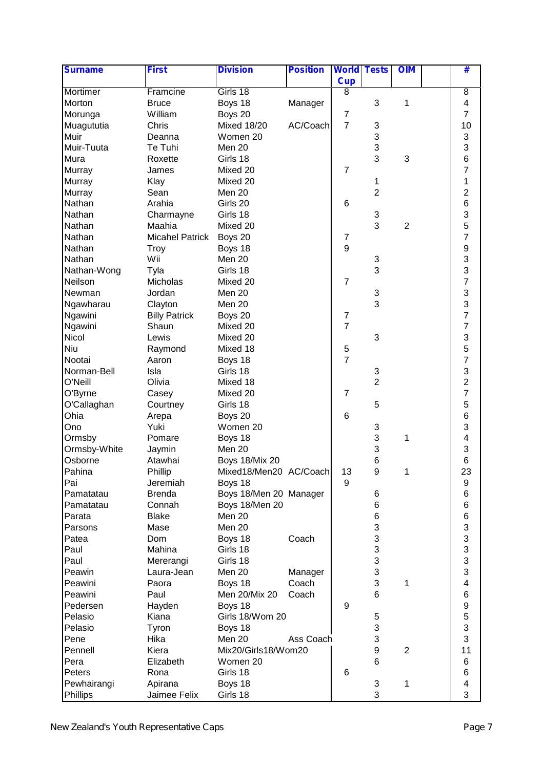| <b>Surname</b> | <b>First</b>           | <b>Division</b>        | <b>Position</b> | <b>World Tests</b> |                           | <b>OIM</b>     | #                       |  |
|----------------|------------------------|------------------------|-----------------|--------------------|---------------------------|----------------|-------------------------|--|
|                |                        |                        |                 | <b>Cup</b>         |                           |                |                         |  |
| Mortimer       | Framcine               | Girls 18               |                 | 8                  |                           |                | $\overline{8}$          |  |
| Morton         | <b>Bruce</b>           | Boys 18                | Manager         |                    | 3                         | 1              | 4                       |  |
| Morunga        | William                | Boys 20                |                 | $\overline{7}$     |                           |                | 7                       |  |
| Muagututia     | Chris                  | <b>Mixed 18/20</b>     | AC/Coach        | $\overline{7}$     | 3                         |                | 10                      |  |
| Muir           | Deanna                 | Women 20               |                 |                    | 3                         |                | 3                       |  |
| Muir-Tuuta     | Te Tuhi                | Men 20                 |                 |                    | 3                         |                | 3                       |  |
| Mura           | Roxette                | Girls 18               |                 |                    | 3                         | 3              | 6                       |  |
| Murray         | James                  | Mixed 20               |                 | $\overline{7}$     |                           |                | $\overline{7}$          |  |
| Murray         | Klay                   | Mixed 20               |                 |                    | 1                         |                | 1                       |  |
| Murray         | Sean                   | Men 20                 |                 |                    | $\overline{2}$            |                | $\overline{2}$          |  |
| Nathan         | Arahia                 | Girls 20               |                 | 6                  |                           |                | 6                       |  |
| Nathan         | Charmayne              | Girls 18               |                 |                    | $\ensuremath{\mathsf{3}}$ |                | 3                       |  |
| Nathan         | Maahia                 | Mixed 20               |                 |                    | 3                         | 2              | 5                       |  |
| Nathan         | <b>Micahel Patrick</b> | Boys 20                |                 | 7                  |                           |                | $\overline{7}$          |  |
| Nathan         | <b>Troy</b>            | Boys 18                |                 | 9                  |                           |                | 9                       |  |
| Nathan         | Wii                    | Men 20                 |                 |                    | 3                         |                | 3                       |  |
| Nathan-Wong    | Tyla                   | Girls 18               |                 |                    | 3                         |                | 3                       |  |
| Neilson        | Micholas               | Mixed 20               |                 | $\overline{7}$     |                           |                | $\overline{7}$          |  |
| Newman         | Jordan                 | Men 20                 |                 |                    | 3                         |                | 3                       |  |
| Ngawharau      | Clayton                | Men 20                 |                 |                    | 3                         |                | 3                       |  |
| Ngawini        | <b>Billy Patrick</b>   | Boys 20                |                 | $\overline{7}$     |                           |                | $\overline{7}$          |  |
| Ngawini        | Shaun                  | Mixed 20               |                 | $\overline{7}$     |                           |                | $\overline{7}$          |  |
| Nicol          | Lewis                  | Mixed 20               |                 |                    | 3                         |                | 3                       |  |
| Niu            | Raymond                | Mixed 18               |                 | $\mathbf 5$        |                           |                | 5                       |  |
| Nootai         | Aaron                  | Boys 18                |                 | $\overline{7}$     |                           |                | $\overline{7}$          |  |
| Norman-Bell    | Isla                   | Girls 18               |                 |                    | $\ensuremath{\mathsf{3}}$ |                | 3                       |  |
| O'Neill        | Olivia                 | Mixed 18               |                 |                    | $\overline{2}$            |                | $\overline{2}$          |  |
| O'Byrne        | Casey                  | Mixed 20               |                 | $\overline{7}$     |                           |                | $\overline{7}$          |  |
| O'Callaghan    | Courtney               | Girls 18               |                 |                    | 5                         |                | 5                       |  |
| Ohia           | Arepa                  | Boys 20                |                 | 6                  |                           |                | 6                       |  |
| Ono            | Yuki                   | Women 20               |                 |                    | 3                         |                | 3                       |  |
| Ormsby         | Pomare                 |                        |                 |                    | 3                         |                | 4                       |  |
|                |                        | Boys 18<br>Men 20      |                 |                    | 3                         | 1              | 3                       |  |
| Ormsby-White   | Jaymin                 |                        |                 |                    |                           |                | 6                       |  |
| Osborne        | Atawhai                | <b>Boys 18/Mix 20</b>  |                 |                    | 6                         | 1              |                         |  |
| Pahina<br>Pai  | Phillip                | Mixed18/Men20 AC/Coach |                 | 13<br>9            | 9                         |                | 23                      |  |
|                | Jeremiah               | Boys 18                |                 |                    |                           |                | $\boldsymbol{9}$        |  |
| Pamatatau      | <b>Brenda</b>          | Boys 18/Men 20 Manager |                 |                    | 6                         |                | 6                       |  |
| Pamatatau      | Connah                 | Boys 18/Men 20         |                 |                    | 6                         |                | 6                       |  |
| Parata         | <b>Blake</b>           | Men 20                 |                 |                    | 6                         |                | $6\phantom{1}6$         |  |
| Parsons        | Mase                   | Men 20                 |                 |                    | 3                         |                | 3                       |  |
| Patea          | Dom                    | Boys 18                | Coach           |                    | 3                         |                | 3                       |  |
| Paul           | Mahina                 | Girls 18               |                 |                    | $\ensuremath{\mathsf{3}}$ |                | 3                       |  |
| Paul           | Mererangi              | Girls 18               |                 |                    | 3                         |                | 3                       |  |
| Peawin         | Laura-Jean             | Men 20                 | Manager         |                    | 3                         |                | 3                       |  |
| Peawini        | Paora                  | Boys 18                | Coach           |                    | 3                         | 1              | $\overline{\mathbf{4}}$ |  |
| Peawini        | Paul                   | Men 20/Mix 20          | Coach           |                    | 6                         |                | $\,6$                   |  |
| Pedersen       | Hayden                 | Boys 18                |                 | 9                  |                           |                | $\boldsymbol{9}$        |  |
| Pelasio        | Kiana                  | Girls 18/Wom 20        |                 |                    | 5                         |                | 5                       |  |
| Pelasio        | Tyron                  | Boys 18                |                 |                    | 3                         |                | 3                       |  |
| Pene           | Hika                   | Men 20                 | Ass Coach       |                    | 3                         |                | 3                       |  |
| Pennell        | Kiera                  | Mix20/Girls18/Wom20    |                 |                    | $\boldsymbol{9}$          | $\overline{2}$ | 11                      |  |
| Pera           | Elizabeth              | Women 20               |                 |                    | 6                         |                | 6                       |  |
| Peters         | Rona                   | Girls 18               |                 | 6                  |                           |                | 6                       |  |
| Pewhairangi    | Apirana                | Boys 18                |                 |                    | 3                         | 1              | 4                       |  |
| Phillips       | Jaimee Felix           | Girls 18               |                 |                    | 3                         |                | 3                       |  |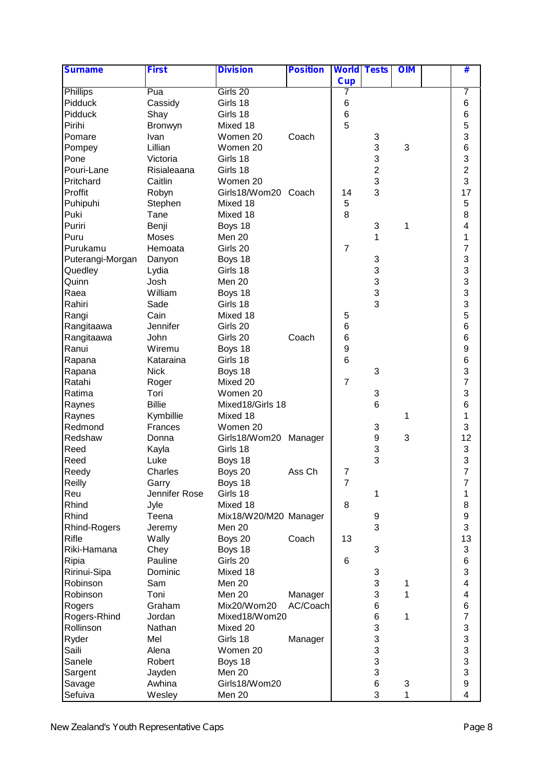| <b>Surname</b>      | <b>First</b>  | <b>Division</b>       | <b>Position</b> | <b>World Tests</b> |                | <b>OIM</b> | #                        |  |
|---------------------|---------------|-----------------------|-----------------|--------------------|----------------|------------|--------------------------|--|
|                     |               |                       |                 | <b>Cup</b>         |                |            |                          |  |
| <b>Phillips</b>     | Pua           | Girls 20              |                 |                    |                |            | 7                        |  |
| Pidduck             | Cassidy       | Girls 18              |                 | 6                  |                |            | 6                        |  |
| Pidduck             | Shay          | Girls 18              |                 | $\overline{6}$     |                |            | 6                        |  |
| Pirihi              | Bronwyn       | Mixed 18              |                 | 5                  |                |            | 5                        |  |
| Pomare              | Ivan          | Women 20              | Coach           |                    | 3              |            | 3                        |  |
| Pompey              | Lillian       | Women 20              |                 |                    | 3              | 3          | 6                        |  |
| Pone                | Victoria      | Girls 18              |                 |                    | 3              |            | 3                        |  |
| Pouri-Lane          | Risialeaana   | Girls 18              |                 |                    | $\overline{2}$ |            | $\overline{2}$           |  |
| Pritchard           | Caitlin       | Women 20              |                 |                    | 3              |            | 3                        |  |
| Proffit             | Robyn         | Girls18/Wom20 Coach   |                 | 14                 | 3              |            | 17                       |  |
| Puhipuhi            | Stephen       | Mixed 18              |                 | 5                  |                |            | 5                        |  |
| Puki                | Tane          | Mixed 18              |                 | 8                  |                |            | 8                        |  |
| Puriri              | Benji         | Boys 18               |                 |                    | 3              | 1          | 4                        |  |
| Puru                | Moses         | Men 20                |                 |                    | 1              |            | 1                        |  |
| Purukamu            | Hemoata       | Girls 20              |                 | $\overline{7}$     |                |            | $\overline{7}$           |  |
| Puterangi-Morgan    | Danyon        | Boys 18               |                 |                    | 3              |            | 3                        |  |
| Quedley             | Lydia         | Girls 18              |                 |                    | 3              |            | 3                        |  |
| Quinn               | Josh          | Men 20                |                 |                    | 3              |            | 3                        |  |
| Raea                | William       | Boys 18               |                 |                    | 3              |            | 3                        |  |
| Rahiri              | Sade          | Girls 18              |                 |                    | 3              |            | 3                        |  |
| Rangi               | Cain          | Mixed 18              |                 | 5                  |                |            | 5                        |  |
| Rangitaawa          | Jennifer      | Girls 20              |                 | 6                  |                |            | 6                        |  |
| Rangitaawa          | John          | Girls 20              | Coach           | $\,6$              |                |            | 6                        |  |
| Ranui               | Wiremu        | Boys 18               |                 | 9                  |                |            | 9                        |  |
| Rapana              | Kataraina     | Girls 18              |                 | 6                  |                |            | 6                        |  |
| Rapana              | <b>Nick</b>   | Boys 18               |                 |                    | 3              |            | 3                        |  |
| Ratahi              | Roger         | Mixed 20              |                 | $\overline{7}$     |                |            | $\overline{7}$           |  |
| Ratima              | Tori          | Women 20              |                 |                    | 3              |            | 3                        |  |
| Raynes              | <b>Billie</b> | Mixed18/Girls 18      |                 |                    | 6              |            | 6                        |  |
| Raynes              | Kymbillie     | Mixed 18              |                 |                    |                | 1          | 1                        |  |
| Redmond             | Frances       | Women 20              |                 |                    | 3              |            | 3                        |  |
| Redshaw             | Donna         | Girls18/Wom20         | Manager         |                    | 9              | 3          | 12                       |  |
| Reed                | Kayla         | Girls 18              |                 |                    | 3              |            | 3                        |  |
| Reed                | Luke          | Boys 18               |                 |                    | 3              |            | 3                        |  |
| Reedy               | Charles       | Boys 20               | Ass Ch          | $\overline{7}$     |                |            | $\overline{\mathcal{I}}$ |  |
| Reilly              | Garry         | Boys 18               |                 | $\overline{7}$     |                |            | 7                        |  |
| Reu                 | Jennifer Rose | Girls 18              |                 |                    | 1              |            | 1                        |  |
| Rhind               | Jyle          | Mixed 18              |                 | 8                  |                |            | 8                        |  |
| Rhind               | Teena         | Mix18/W20/M20 Manager |                 |                    | 9              |            | $\boldsymbol{9}$         |  |
| <b>Rhind-Rogers</b> | Jeremy        | Men 20                |                 |                    | 3              |            | 3                        |  |
| Rifle               | Wally         | Boys 20               | Coach           | 13                 |                |            | 13                       |  |
| Riki-Hamana         | Chey          | Boys 18               |                 |                    | 3              |            | 3                        |  |
| Ripia               | Pauline       | Girls 20              |                 | 6                  |                |            | 6                        |  |
| Ririnui-Sipa        | Dominic       | Mixed 18              |                 |                    | 3              |            | 3                        |  |
| Robinson            | Sam           | Men 20                |                 |                    | 3              | 1          | $\overline{\mathbf{4}}$  |  |
| Robinson            | Toni          | Men 20                | Manager         |                    | 3              | 1          | $\overline{\mathbf{4}}$  |  |
| Rogers              | Graham        | Mix20/Wom20           | AC/Coach        |                    | 6              |            | 6                        |  |
| Rogers-Rhind        | Jordan        | Mixed18/Wom20         |                 |                    | 6              | 1          | $\overline{7}$           |  |
| Rollinson           | Nathan        | Mixed 20              |                 |                    | 3              |            | 3                        |  |
| Ryder               | Mel           | Girls 18              | Manager         |                    | 3              |            | 3                        |  |
| Saili               | Alena         | Women 20              |                 |                    | 3              |            | 3                        |  |
| Sanele              | Robert        | Boys 18               |                 |                    | 3              |            | 3                        |  |
| Sargent             | Jayden        | Men 20                |                 |                    | 3              |            | 3                        |  |
| Savage              | Awhina        | Girls18/Wom20         |                 |                    | 6              | 3          | $\boldsymbol{9}$         |  |
|                     |               |                       |                 |                    |                |            |                          |  |
| Sefuiva             | Wesley        | Men 20                |                 |                    | 3              | 1          | $\overline{\mathbf{4}}$  |  |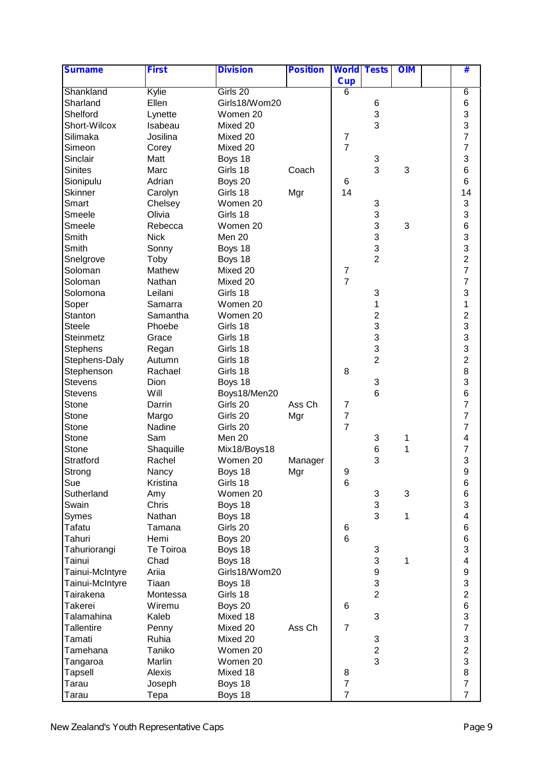| <b>Surname</b>    | <b>First</b>        | <b>Division</b> | <b>Position</b> | <b>World Tests</b> |                           | <b>OIM</b> | #                       |  |
|-------------------|---------------------|-----------------|-----------------|--------------------|---------------------------|------------|-------------------------|--|
|                   |                     |                 |                 | <b>Cup</b>         |                           |            |                         |  |
| Shankland         | Kylie               | Girls 20        |                 | 6                  |                           |            | $\overline{6}$          |  |
| Sharland          | Ellen               | Girls18/Wom20   |                 |                    | 6                         |            | 6                       |  |
| Shelford          | Lynette             | Women 20        |                 |                    | $\ensuremath{\mathsf{3}}$ |            | 3                       |  |
| Short-Wilcox      | Isabeau             | Mixed 20        |                 |                    | 3                         |            | 3                       |  |
| Silimaka          | Josilina            | Mixed 20        |                 | $\overline{7}$     |                           |            | $\overline{7}$          |  |
| Simeon            | Corey               | Mixed 20        |                 | $\overline{7}$     |                           |            | $\overline{7}$          |  |
| Sinclair          | Matt                | Boys 18         |                 |                    | 3                         |            | 3                       |  |
| <b>Sinites</b>    | Marc                | Girls 18        | Coach           |                    | 3                         | 3          | 6                       |  |
| Sionipulu         | Adrian              | Boys 20         |                 | 6                  |                           |            | 6                       |  |
| <b>Skinner</b>    | Carolyn             | Girls 18        | Mgr             | 14                 |                           |            | 14                      |  |
| Smart             | Chelsey             | Women 20        |                 |                    | 3                         |            | 3                       |  |
| Smeele            | Olivia              | Girls 18        |                 |                    | 3                         |            | 3                       |  |
| Smeele            | Rebecca             | Women 20        |                 |                    | 3                         | 3          | 6                       |  |
| Smith             | <b>Nick</b>         | Men 20          |                 |                    | 3                         |            | 3                       |  |
| Smith             | Sonny               | Boys 18         |                 |                    | 3                         |            | 3                       |  |
| Snelgrove         | Toby                | Boys 18         |                 |                    | $\overline{2}$            |            | $\overline{c}$          |  |
| Soloman           | Mathew              | Mixed 20        |                 | 7                  |                           |            | $\overline{7}$          |  |
| Soloman           | Nathan              | Mixed 20        |                 | $\overline{7}$     |                           |            | $\overline{7}$          |  |
| Solomona          | Leilani             | Girls 18        |                 |                    | $\ensuremath{\mathsf{3}}$ |            | 3                       |  |
|                   |                     | Women 20        |                 |                    | 1                         |            | $\mathbf 1$             |  |
| Soper<br>Stanton  | Samarra<br>Samantha | Women 20        |                 |                    | $\overline{\mathbf{c}}$   |            | $\overline{2}$          |  |
| <b>Steele</b>     |                     | Girls 18        |                 |                    | 3                         |            | 3                       |  |
|                   | Phoebe              |                 |                 |                    | 3                         |            | 3                       |  |
| Steinmetz         | Grace               | Girls 18        |                 |                    | 3                         |            | 3                       |  |
| Stephens          | Regan               | Girls 18        |                 |                    |                           |            |                         |  |
| Stephens-Daly     | Autumn              | Girls 18        |                 |                    | $\overline{2}$            |            | $\overline{2}$          |  |
| Stephenson        | Rachael             | Girls 18        |                 | 8                  |                           |            | 8<br>3                  |  |
| <b>Stevens</b>    | Dion                | Boys 18         |                 |                    | 3                         |            |                         |  |
| <b>Stevens</b>    | Will                | Boys18/Men20    |                 |                    | 6                         |            | 6                       |  |
| Stone             | Darrin              | Girls 20        | Ass Ch          | 7                  |                           |            | $\overline{7}$          |  |
| Stone             | Margo               | Girls 20        | Mgr             | $\overline{7}$     |                           |            | $\overline{7}$          |  |
| Stone             | Nadine              | Girls 20        |                 | $\overline{7}$     |                           |            | $\overline{7}$          |  |
| Stone             | Sam                 | Men 20          |                 |                    | 3                         | 1          | 4                       |  |
| Stone             | Shaquille           | Mix18/Boys18    |                 |                    | 6                         | 1          | $\overline{7}$          |  |
| Stratford         | Rachel              | Women 20        | Manager         |                    | 3                         |            | 3                       |  |
| Strong            | Nancy               | Boys 18         | Mgr             | 9                  |                           |            | 9                       |  |
| Sue               | Kristina            | Girls 18        |                 | 6                  |                           |            | 6                       |  |
| Sutherland        | Amy                 | Women 20        |                 |                    | 3                         | 3          | 6                       |  |
| Swain             | Chris               | Boys 18         |                 |                    | 3                         |            | 3                       |  |
| Symes             | Nathan              | Boys 18         |                 |                    | 3                         | 1          | $\overline{\mathbf{4}}$ |  |
| Tafatu            | Tamana              | Girls 20        |                 | 6                  |                           |            | $6\phantom{1}6$         |  |
| Tahuri            | Hemi                | Boys 20         |                 | 6                  |                           |            | $6\phantom{1}6$         |  |
| Tahuriorangi      | Te Toiroa           | Boys 18         |                 |                    | 3                         |            | 3                       |  |
| Tainui            | Chad                | Boys 18         |                 |                    | $\ensuremath{\mathsf{3}}$ | 1          | 4                       |  |
| Tainui-McIntyre   | Ariia               | Girls18/Wom20   |                 |                    | 9                         |            | 9                       |  |
| Tainui-McIntyre   | Tiaan               | Boys 18         |                 |                    | 3                         |            | 3                       |  |
| Tairakena         | Montessa            | Girls 18        |                 |                    | $\overline{2}$            |            | $\overline{c}$          |  |
| Takerei           | Wiremu              | Boys 20         |                 | 6                  |                           |            | 6                       |  |
| Talamahina        | Kaleb               | Mixed 18        |                 |                    | 3                         |            | 3                       |  |
| <b>Tallentire</b> | Penny               | Mixed 20        | Ass Ch          | $\overline{7}$     |                           |            | $\overline{7}$          |  |
| Tamati            | Ruhia               | Mixed 20        |                 |                    | 3                         |            | 3                       |  |
| Tamehana          | Taniko              | Women 20        |                 |                    | $\overline{c}$            |            | $\overline{c}$          |  |
| Tangaroa          | Marlin              | Women 20        |                 |                    | 3                         |            | 3                       |  |
| Tapsell           | Alexis              | Mixed 18        |                 | 8                  |                           |            | 8                       |  |
| Tarau             | Joseph              | Boys 18         |                 | $\overline{7}$     |                           |            | $\overline{7}$          |  |
| Tarau             | Tepa                | Boys 18         |                 | $\overline{7}$     |                           |            | $\overline{7}$          |  |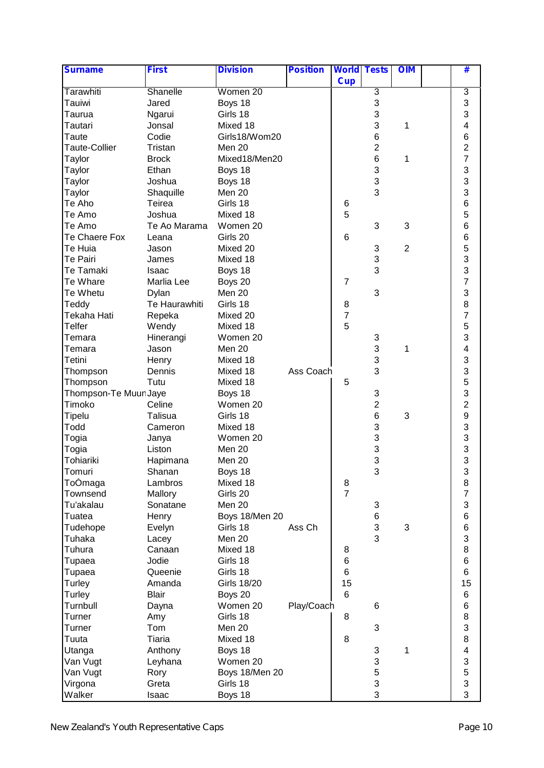| <b>Surname</b>        | <b>First</b>  | <b>Division</b>    | <b>Position</b> | <b>World Tests</b> |                | <b>OIM</b>     | #                       |  |
|-----------------------|---------------|--------------------|-----------------|--------------------|----------------|----------------|-------------------------|--|
|                       |               |                    |                 | <b>Cup</b>         |                |                |                         |  |
| Tarawhiti             | Shanelle      | Women 20           |                 |                    | $\overline{3}$ |                | 3                       |  |
| Tauiwi                | Jared         | Boys 18            |                 |                    | 3              |                | 3                       |  |
| Taurua                | Ngarui        | Girls 18           |                 |                    | 3              |                | 3                       |  |
| Tautari               | Jonsal        | Mixed 18           |                 |                    | 3              | 1              | $\overline{\mathbf{4}}$ |  |
| Taute                 | Codie         | Girls18/Wom20      |                 |                    | 6              |                | 6                       |  |
| <b>Taute-Collier</b>  | Tristan       | Men 20             |                 |                    | $\overline{2}$ |                | $\overline{c}$          |  |
| Taylor                | <b>Brock</b>  | Mixed18/Men20      |                 |                    | 6              | 1              | $\overline{7}$          |  |
| Taylor                | Ethan         | Boys 18            |                 |                    | 3              |                | 3                       |  |
| Taylor                | Joshua        | Boys 18            |                 |                    | 3              |                | 3                       |  |
| Taylor                | Shaquille     | Men 20             |                 |                    | 3              |                | 3                       |  |
| Te Aho                | Teirea        | Girls 18           |                 | 6                  |                |                | 6                       |  |
| Te Amo                | Joshua        | Mixed 18           |                 | 5                  |                |                | 5                       |  |
| Te Amo                | Te Ao Marama  | Women 20           |                 |                    | 3              | 3              | 6                       |  |
| Te Chaere Fox         | Leana         | Girls 20           |                 | 6                  |                |                | $6\phantom{1}6$         |  |
| Te Huia               | Jason         | Mixed 20           |                 |                    | 3              | $\overline{2}$ | 5                       |  |
| Te Pairi              | James         | Mixed 18           |                 |                    | 3              |                | 3                       |  |
| Te Tamaki             | Isaac         | Boys 18            |                 |                    | 3              |                | 3                       |  |
| Te Whare              | Marlia Lee    | Boys 20            |                 | $\overline{7}$     |                |                | $\overline{7}$          |  |
| Te Whetu              | Dylan         | Men 20             |                 |                    | 3              |                | 3                       |  |
| Teddy                 | Te Haurawhiti | Girls 18           |                 | 8                  |                |                | 8                       |  |
| Tekaha Hati           | Repeka        | Mixed 20           |                 | $\overline{7}$     |                |                | $\overline{7}$          |  |
| Telfer                |               | Mixed 18           |                 | 5                  |                |                | 5                       |  |
|                       | Wendy         | Women 20           |                 |                    |                |                | 3                       |  |
| Temara                | Hinerangi     | Men 20             |                 |                    | 3<br>3         |                | $\overline{\mathbf{4}}$ |  |
| Temara                | Jason         |                    |                 |                    | 3              | 1              | 3                       |  |
| Tetini                | Henry         | Mixed 18           |                 |                    | 3              |                |                         |  |
| Thompson              | Dennis        | Mixed 18           | Ass Coach       |                    |                |                | 3<br>5                  |  |
| Thompson              | Tutu          | Mixed 18           |                 | 5                  |                |                |                         |  |
| Thompson-Te Muur Jaye |               | Boys 18            |                 |                    | 3              |                | 3                       |  |
| Timoko                | Celine        | Women 20           |                 |                    | $\mathbf 2$    |                | $\overline{c}$          |  |
| Tipelu                | Talisua       | Girls 18           |                 |                    | $\,6$          | 3              | 9                       |  |
| Todd                  | Cameron       | Mixed 18           |                 |                    | 3              |                | 3                       |  |
| Togia                 | Janya         | Women 20           |                 |                    | 3              |                | 3                       |  |
| Togia                 | Liston        | Men 20             |                 |                    | 3              |                | $\frac{3}{3}$           |  |
| Tohiariki             | Hapimana      | Men 20             |                 |                    | 3              |                |                         |  |
| Tomuri                | Shanan        | Boys 18            |                 |                    | 3              |                | 3                       |  |
| ToOmaga               | Lambros       | Mixed 18           |                 | 8                  |                |                | 8                       |  |
| Townsend              | Mallory       | Girls 20           |                 | $\overline{7}$     |                |                | $\overline{7}$          |  |
| Tu'akalau             | Sonatane      | Men 20             |                 |                    | 3              |                | 3                       |  |
| Tuatea                | Henry         | Boys 18/Men 20     |                 |                    | 6              |                | $6\phantom{1}6$         |  |
| Tudehope              | Evelyn        | Girls 18           | Ass Ch          |                    | 3              | 3              | $\,6$                   |  |
| Tuhaka                | Lacey         | Men 20             |                 |                    | 3              |                | 3                       |  |
| Tuhura                | Canaan        | Mixed 18           |                 | 8                  |                |                | 8                       |  |
| Tupaea                | Jodie         | Girls 18           |                 | 6                  |                |                | 6                       |  |
| Tupaea                | Queenie       | Girls 18           |                 | 6                  |                |                | 6                       |  |
| Turley                | Amanda        | <b>Girls 18/20</b> |                 | 15                 |                |                | 15                      |  |
| Turley                | <b>Blair</b>  | Boys 20            |                 | 6                  |                |                | 6                       |  |
| Turnbull              | Dayna         | Women 20           | Play/Coach      |                    | 6              |                | $\,6$                   |  |
| <b>Turner</b>         | Amy           | Girls 18           |                 | 8                  |                |                | 8                       |  |
| Turner                | Tom           | Men 20             |                 |                    | 3              |                | 3                       |  |
| Tuuta                 | Tiaria        | Mixed 18           |                 | 8                  |                |                | 8                       |  |
| Utanga                | Anthony       | Boys 18            |                 |                    | 3              | 1              | $\overline{\mathbf{4}}$ |  |
| Van Vugt              | Leyhana       | Women 20           |                 |                    | 3              |                | 3                       |  |
| Van Vugt              | Rory          | Boys 18/Men 20     |                 |                    | 5              |                | 5                       |  |
| Virgona               | Greta         | Girls 18           |                 |                    | 3              |                | 3                       |  |
| Walker                | Isaac         | Boys 18            |                 |                    | 3              |                | 3                       |  |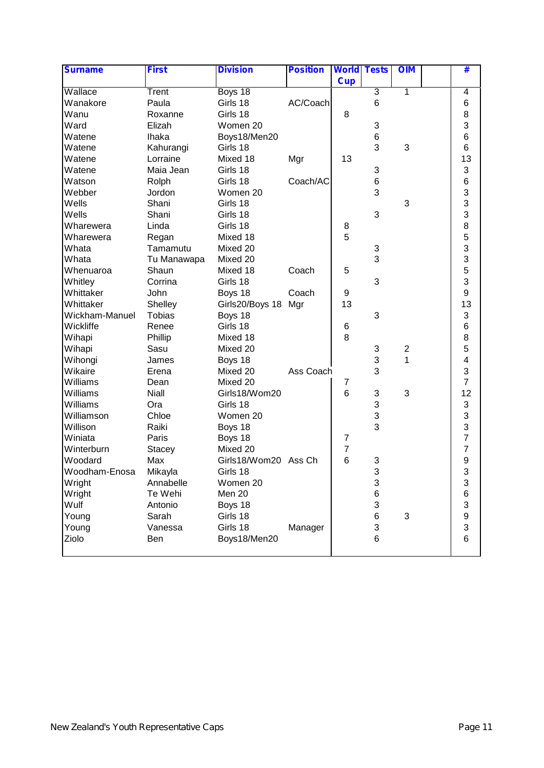| <b>Surname</b> | <b>First</b>  | <b>Division</b>      | <b>Position</b> | <b>World Tests</b> |                 | <b>OIM</b>              | #                         |
|----------------|---------------|----------------------|-----------------|--------------------|-----------------|-------------------------|---------------------------|
|                |               |                      |                 | <b>Cup</b>         |                 |                         |                           |
| Wallace        | Trent         | Boys 18              |                 |                    | $\overline{3}$  | 1                       | 4                         |
| Wanakore       | Paula         | Girls 18             | AC/Coach        |                    | 6               |                         | 6                         |
| Wanu           | Roxanne       | Girls 18             |                 | 8                  |                 |                         | 8                         |
| Ward           | Elizah        | Women 20             |                 |                    | 3               |                         | 3                         |
| Watene         | <b>Ihaka</b>  | Boys18/Men20         |                 |                    | $6\phantom{1}6$ |                         | 6                         |
| Watene         | Kahurangi     | Girls 18             |                 |                    | 3               | 3                       | 6                         |
| Watene         | Lorraine      | Mixed 18             | Mgr             | 13                 |                 |                         | 13                        |
| Watene         | Maia Jean     | Girls 18             |                 |                    | 3               |                         | 3                         |
| Watson         | Rolph         | Girls 18             | Coach/AC        |                    | $6\phantom{1}6$ |                         | 6                         |
| Webber         | Jordon        | Women 20             |                 |                    | 3               |                         | 3                         |
| Wells          | Shani         | Girls 18             |                 |                    |                 | 3                       | 3                         |
| Wells          | Shani         | Girls 18             |                 |                    | 3               |                         | 3                         |
| Wharewera      | Linda         | Girls 18             |                 | 8                  |                 |                         | 8                         |
| Wharewera      | Regan         | Mixed 18             |                 | 5                  |                 |                         | 5                         |
| Whata          | Tamamutu      | Mixed 20             |                 |                    | 3               |                         | 3                         |
| Whata          | Tu Manawapa   | Mixed 20             |                 |                    | 3               |                         | 3                         |
| Whenuaroa      | Shaun         | Mixed 18             | Coach           | 5                  |                 |                         | 5                         |
| Whitley        | Corrina       | Girls 18             |                 |                    | 3               |                         | 3                         |
| Whittaker      | John          | Boys 18              | Coach           | 9                  |                 |                         | 9                         |
| Whittaker      | Shelley       | Girls20/Boys 18      | Mgr             | 13                 |                 |                         | 13                        |
| Wickham-Manuel | <b>Tobias</b> | Boys 18              |                 |                    | 3               |                         | 3                         |
| Wickliffe      | Renee         | Girls 18             |                 | 6                  |                 |                         | 6                         |
| Wihapi         | Phillip       | Mixed 18             |                 | 8                  |                 |                         | 8                         |
| Wihapi         | Sasu          | Mixed 20             |                 |                    | 3               | $\overline{\mathbf{c}}$ | 5                         |
| Wihongi        | James         | Boys 18              |                 |                    | 3               | $\overline{1}$          | $\overline{\mathbf{4}}$   |
| Wikaire        | Erena         | Mixed 20             | Ass Coach       |                    | 3               |                         | 3                         |
| Williams       | Dean          | Mixed 20             |                 | 7                  |                 |                         | $\overline{7}$            |
| Williams       | Niall         | Girls18/Wom20        |                 | 6                  | 3               | 3                       | 12                        |
| Williams       | Ora           | Girls 18             |                 |                    | 3               |                         | 3                         |
| Williamson     | Chloe         | Women 20             |                 |                    | 3               |                         | 3                         |
| Willison       | Raiki         | Boys 18              |                 |                    | 3               |                         | 3                         |
| Winiata        | Paris         | Boys 18              |                 | 7                  |                 |                         | $\overline{7}$            |
| Winterburn     | <b>Stacey</b> | Mixed 20             |                 | $\overline{7}$     |                 |                         | $\overline{7}$            |
| Woodard        | Max           | Girls18/Wom20 Ass Ch |                 | 6                  | 3               |                         | 9                         |
| Woodham-Enosa  | Mikayla       | Girls 18             |                 |                    | 3               |                         | 3                         |
| Wright         | Annabelle     | Women 20             |                 |                    | 3               |                         | 3                         |
| Wright         | Te Wehi       | Men 20               |                 |                    | 6               |                         | 6                         |
| Wulf           | Antonio       | Boys 18              |                 |                    | 3               |                         | $\ensuremath{\mathsf{3}}$ |
| Young          | Sarah         | Girls 18             |                 |                    | 6               | 3                       | 9                         |
| Young          | Vanessa       | Girls 18             | Manager         |                    | 3               |                         | 3                         |
| Ziolo          | Ben           | Boys18/Men20         |                 |                    | 6               |                         | 6                         |
|                |               |                      |                 |                    |                 |                         |                           |
|                |               |                      |                 |                    |                 |                         |                           |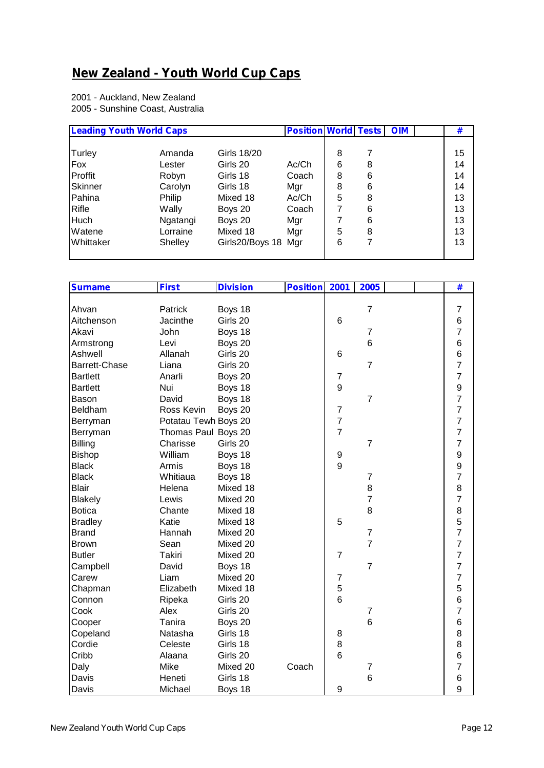## **New Zealand - Youth World Cup Caps**

2001 - Auckland, New Zealand 2005 - Sunshine Coast, Australia

| <b>Leading Youth World Caps</b> |          |                     | <b>Position World Tests</b> |   |   | <b>OIM</b> | #  |
|---------------------------------|----------|---------------------|-----------------------------|---|---|------------|----|
|                                 |          |                     |                             |   |   |            |    |
| Turley                          | Amanda   | <b>Girls 18/20</b>  |                             | 8 |   |            | 15 |
| Fox                             | Lester   | Girls 20            | Ac/Ch                       | 6 | 8 |            | 14 |
| Proffit                         | Robyn    | Girls 18            | Coach                       | 8 | 6 |            | 14 |
| <b>Skinner</b>                  | Carolyn  | Girls 18            | Mgr                         | 8 | 6 |            | 14 |
| Pahina                          | Philip   | Mixed 18            | Ac/Ch                       | 5 | 8 |            | 13 |
| Rifle                           | Wally    | Boys 20             | Coach                       |   | 6 |            | 13 |
| <b>Huch</b>                     | Ngatangi | Boys 20             | Mgr                         |   | 6 |            | 13 |
| Watene                          | Lorraine | Mixed 18            | Mgr                         | 5 | 8 |            | 13 |
| Whittaker                       | Shelley  | Girls20/Boys 18 Mgr |                             | 6 | 7 |            | 13 |
|                                 |          |                     |                             |   |   |            |    |

| <b>Surname</b>  | <b>First</b>         | <b>Division</b> | <b>Position</b> | 2001             | 2005             | $\overline{\textbf{t}}$                    |
|-----------------|----------------------|-----------------|-----------------|------------------|------------------|--------------------------------------------|
|                 |                      |                 |                 |                  |                  |                                            |
| Ahvan           | Patrick              | Boys 18         |                 |                  | $\overline{7}$   | $\overline{7}$                             |
| Aitchenson      | Jacinthe             | Girls 20        |                 | 6                |                  | 6                                          |
| Akavi           | John                 | Boys 18         |                 |                  | $\overline{7}$   | $\overline{7}$                             |
| Armstrong       | Levi                 | Boys 20         |                 |                  | $6\phantom{1}6$  | 6                                          |
| Ashwell         | Allanah              | Girls 20        |                 | 6                |                  | 6                                          |
| Barrett-Chase   | Liana                | Girls 20        |                 |                  | $\overline{7}$   | $\overline{7}$                             |
| <b>Bartlett</b> | Anarli               | Boys 20         |                 | $\overline{7}$   |                  | $\overline{7}$                             |
| <b>Bartlett</b> | Nui                  | Boys 18         |                 | 9                |                  | $\frac{9}{7}$                              |
| Bason           | David                | Boys 18         |                 |                  | $\overline{7}$   |                                            |
| Beldham         | Ross Kevin           | Boys 20         |                 | $\overline{7}$   |                  | $\overline{7}$                             |
| Berryman        | Potatau Tewh Boys 20 |                 |                 | $\overline{7}$   |                  | $\overline{7}$                             |
| Berryman        | Thomas Paul Boys 20  |                 |                 | $\overline{7}$   |                  | $\overline{7}$                             |
| Billing         | Charisse             | Girls 20        |                 |                  | $\overline{7}$   | $\overline{7}$                             |
| Bishop          | William              | Boys 18         |                 | $\boldsymbol{9}$ |                  | 9                                          |
| <b>Black</b>    | Armis                | Boys 18         |                 | 9                |                  | $\frac{9}{7}$                              |
| <b>Black</b>    | Whitiaua             | Boys 18         |                 |                  | $\overline{7}$   |                                            |
| <b>Blair</b>    | Helena               | Mixed 18        |                 |                  | 8                | $\begin{array}{c} 8 \\ 7 \end{array}$      |
| <b>Blakely</b>  | Lewis                | Mixed 20        |                 |                  | $\overline{7}$   |                                            |
| <b>Botica</b>   | Chante               | Mixed 18        |                 |                  | 8                |                                            |
| <b>Bradley</b>  | Katie                | Mixed 18        |                 | 5                |                  | $\begin{array}{c} 8 \\ 5 \\ 7 \end{array}$ |
| <b>Brand</b>    | Hannah               | Mixed 20        |                 |                  | $\overline{7}$   |                                            |
| <b>Brown</b>    | Sean                 | Mixed 20        |                 |                  | $\overline{7}$   | $\overline{7}$                             |
| <b>Butler</b>   | <b>Takiri</b>        | Mixed 20        |                 | $\overline{7}$   |                  | $\overline{7}$                             |
| Campbell        | David                | Boys 18         |                 |                  | $\overline{7}$   | $\overline{7}$                             |
| Carew           | Liam                 | Mixed 20        |                 | $\overline{7}$   |                  | $\overline{7}$                             |
| Chapman         | Elizabeth            | Mixed 18        |                 | 5                |                  | 5                                          |
| Connon          | Ripeka               | Girls 20        |                 | 6                |                  | 6                                          |
| Cook            | Alex                 | Girls 20        |                 |                  | $\overline{7}$   | $\overline{7}$                             |
| Cooper          | Tanira               | Boys 20         |                 |                  | $6\phantom{1}6$  | 6                                          |
| Copeland        | Natasha              | Girls 18        |                 | 8                |                  | 8                                          |
| Cordie          | Celeste              | Girls 18        |                 | 8                |                  | 8                                          |
| Cribb           | Alaana               | Girls 20        |                 | 6                |                  | 6                                          |
| Daly            | Mike                 | Mixed 20        | Coach           |                  | $\boldsymbol{7}$ | $\overline{7}$                             |
| Davis           | Heneti               | Girls 18        |                 |                  | $6\phantom{1}6$  | 6                                          |
| Davis           | Michael              | Boys 18         |                 | 9                |                  | 9                                          |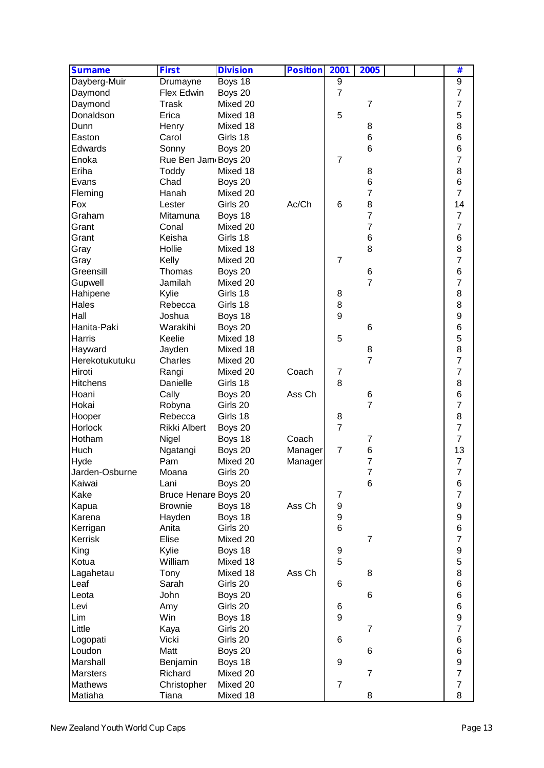| 9<br>Drumayne<br>Boys 18<br>9<br>$\overline{7}$<br>$\overline{7}$<br>Flex Edwin<br>Boys 20<br>Daymond<br>7<br>Daymond<br><b>Trask</b><br>Mixed 20<br>$\overline{7}$<br>5<br>5<br>Donaldson<br>Erica<br>Mixed 18<br>8<br>Dunn<br>Henry<br>Mixed 18<br>8<br>6<br>$\,6$<br>Easton<br>Girls 18<br>Carol<br>6<br>$\,6$<br>Edwards<br>Sonny<br>Boys 20<br>7<br>Enoka<br>$\overline{7}$<br>Rue Ben Jam Boys 20<br>8<br>Eriha<br>Toddy<br>Mixed 18<br>8<br>6<br>$\,6$<br>Evans<br>Chad<br>Boys 20<br>7<br>$\overline{7}$<br>Fleming<br>Hanah<br>Mixed 20<br>Ac/Ch<br>8<br>14<br>Fox<br>Girls 20<br>6<br>Lester<br>$\overline{7}$<br>$\overline{7}$<br>Graham<br>Boys 18<br>Mitamuna<br>7<br>$\overline{7}$<br>Mixed 20<br>Grant<br>Conal<br>6<br>$\,6$<br>Girls 18<br>Grant<br>Keisha<br>8<br>8<br>Hollie<br>Mixed 18<br>Gray<br>$\overline{7}$<br>Mixed 20<br>$\overline{7}$<br>Kelly<br>Gray<br>6<br>6<br>Greensill<br>Thomas<br>Boys 20<br>$\overline{7}$<br>7<br>Jamilah<br>Mixed 20<br>Gupwell<br>8<br>Girls 18<br>Hahipene<br>Kylie<br>8<br>8<br>8<br>Hales<br>Girls 18<br>Rebecca<br>9<br>9<br>Hall<br>Boys 18<br>Joshua<br>$\,6$<br>Hanita-Paki<br>$6\phantom{1}6$<br>Warakihi<br>Boys 20<br>5<br>Harris<br>Keelie<br>Mixed 18<br>5<br>8<br>Mixed 18<br>Hayward<br>Jayden<br>8<br>$\overline{7}$<br>$\overline{7}$<br>Charles<br>Herekotukutuku<br>Mixed 20<br>$\overline{7}$<br>Mixed 20<br>Coach<br>Hiroti<br>Rangi<br>7<br>8<br>8<br><b>Hitchens</b><br>Danielle<br>Girls 18<br>Ass Ch<br>6<br>Hoani<br>Cally<br>Boys 20<br>6<br>7<br>$\overline{7}$<br>Hokai<br>Girls 20<br>Robyna<br>8<br>Girls 18<br>8<br>Hooper<br>Rebecca<br>$\overline{7}$<br>$\overline{7}$<br>Horlock<br>Rikki Albert<br>Boys 20<br>$\overline{7}$<br>Hotham<br>Coach<br>Nigel<br>Boys 18<br>7<br>$\overline{7}$<br>6<br>13<br>Boys 20<br>Manager<br>Ngatangi<br>$\overline{7}$<br>$\overline{7}$<br>Mixed 20<br>Pam<br>Manager<br>$\overline{7}$<br>Jarden-Osburne<br>Girls 20<br>7<br>Moana<br>6<br>6<br>Boys 20<br>Lani<br>$\boldsymbol{7}$<br>Bruce Henare Boys 20<br>$\overline{7}$<br>$\boldsymbol{9}$<br>$\boldsymbol{9}$<br>Ass Ch<br><b>Brownie</b><br>Boys 18<br>$\boldsymbol{9}$<br>$\boldsymbol{9}$<br>Hayden<br>Boys 18<br>$\,6$<br>6<br>Anita<br>Girls 20<br>$\overline{7}$<br>Elise<br>Mixed 20<br>$\overline{7}$<br>$\boldsymbol{9}$<br>Kylie<br>Boys 18<br>9<br>5<br>5<br>William<br>Mixed 18<br>8<br>Mixed 18<br>Ass Ch<br>8<br>Tony<br>6<br>Sarah<br>Girls 20<br>6<br>6<br>John<br>$6\phantom{1}6$<br>Boys 20<br>6<br>Girls 20<br>Amy<br>6<br>$\boldsymbol{9}$<br>9<br>Win<br>Boys 18<br>$\overline{7}$<br>Girls 20<br>7<br>Kaya<br>6<br>Girls 20<br>Logopati<br>Vicki<br>6<br>6<br>Loudon<br>Matt<br>Boys 20<br>6<br>$\boldsymbol{9}$<br>Marshall<br>Boys 18<br>9<br>Benjamin<br>$\overline{7}$<br>$\overline{7}$<br><b>Marsters</b><br>Richard<br>Mixed 20<br>$\overline{7}$<br><b>Mathews</b><br>Christopher<br>Mixed 20<br>$\overline{7}$ | <b>Surname</b> | <b>First</b> | <b>Division</b> | <b>Position</b> | 2001 | 2005 |  | # |
|---------------------------------------------------------------------------------------------------------------------------------------------------------------------------------------------------------------------------------------------------------------------------------------------------------------------------------------------------------------------------------------------------------------------------------------------------------------------------------------------------------------------------------------------------------------------------------------------------------------------------------------------------------------------------------------------------------------------------------------------------------------------------------------------------------------------------------------------------------------------------------------------------------------------------------------------------------------------------------------------------------------------------------------------------------------------------------------------------------------------------------------------------------------------------------------------------------------------------------------------------------------------------------------------------------------------------------------------------------------------------------------------------------------------------------------------------------------------------------------------------------------------------------------------------------------------------------------------------------------------------------------------------------------------------------------------------------------------------------------------------------------------------------------------------------------------------------------------------------------------------------------------------------------------------------------------------------------------------------------------------------------------------------------------------------------------------------------------------------------------------------------------------------------------------------------------------------------------------------------------------------------------------------------------------------------------------------------------------------------------------------------------------------------------------------------------------------------------------------------------------------------------------------------------------------------------------------------------------------------------------------------------------------------------------------------------------------------------------------------------------------------------------------------------------------------------------------------------------------------------------------------------------------------------------------------------|----------------|--------------|-----------------|-----------------|------|------|--|---|
|                                                                                                                                                                                                                                                                                                                                                                                                                                                                                                                                                                                                                                                                                                                                                                                                                                                                                                                                                                                                                                                                                                                                                                                                                                                                                                                                                                                                                                                                                                                                                                                                                                                                                                                                                                                                                                                                                                                                                                                                                                                                                                                                                                                                                                                                                                                                                                                                                                                                                                                                                                                                                                                                                                                                                                                                                                                                                                                                             | Dayberg-Muir   |              |                 |                 |      |      |  |   |
|                                                                                                                                                                                                                                                                                                                                                                                                                                                                                                                                                                                                                                                                                                                                                                                                                                                                                                                                                                                                                                                                                                                                                                                                                                                                                                                                                                                                                                                                                                                                                                                                                                                                                                                                                                                                                                                                                                                                                                                                                                                                                                                                                                                                                                                                                                                                                                                                                                                                                                                                                                                                                                                                                                                                                                                                                                                                                                                                             |                |              |                 |                 |      |      |  |   |
|                                                                                                                                                                                                                                                                                                                                                                                                                                                                                                                                                                                                                                                                                                                                                                                                                                                                                                                                                                                                                                                                                                                                                                                                                                                                                                                                                                                                                                                                                                                                                                                                                                                                                                                                                                                                                                                                                                                                                                                                                                                                                                                                                                                                                                                                                                                                                                                                                                                                                                                                                                                                                                                                                                                                                                                                                                                                                                                                             |                |              |                 |                 |      |      |  |   |
|                                                                                                                                                                                                                                                                                                                                                                                                                                                                                                                                                                                                                                                                                                                                                                                                                                                                                                                                                                                                                                                                                                                                                                                                                                                                                                                                                                                                                                                                                                                                                                                                                                                                                                                                                                                                                                                                                                                                                                                                                                                                                                                                                                                                                                                                                                                                                                                                                                                                                                                                                                                                                                                                                                                                                                                                                                                                                                                                             |                |              |                 |                 |      |      |  |   |
|                                                                                                                                                                                                                                                                                                                                                                                                                                                                                                                                                                                                                                                                                                                                                                                                                                                                                                                                                                                                                                                                                                                                                                                                                                                                                                                                                                                                                                                                                                                                                                                                                                                                                                                                                                                                                                                                                                                                                                                                                                                                                                                                                                                                                                                                                                                                                                                                                                                                                                                                                                                                                                                                                                                                                                                                                                                                                                                                             |                |              |                 |                 |      |      |  |   |
|                                                                                                                                                                                                                                                                                                                                                                                                                                                                                                                                                                                                                                                                                                                                                                                                                                                                                                                                                                                                                                                                                                                                                                                                                                                                                                                                                                                                                                                                                                                                                                                                                                                                                                                                                                                                                                                                                                                                                                                                                                                                                                                                                                                                                                                                                                                                                                                                                                                                                                                                                                                                                                                                                                                                                                                                                                                                                                                                             |                |              |                 |                 |      |      |  |   |
|                                                                                                                                                                                                                                                                                                                                                                                                                                                                                                                                                                                                                                                                                                                                                                                                                                                                                                                                                                                                                                                                                                                                                                                                                                                                                                                                                                                                                                                                                                                                                                                                                                                                                                                                                                                                                                                                                                                                                                                                                                                                                                                                                                                                                                                                                                                                                                                                                                                                                                                                                                                                                                                                                                                                                                                                                                                                                                                                             |                |              |                 |                 |      |      |  |   |
|                                                                                                                                                                                                                                                                                                                                                                                                                                                                                                                                                                                                                                                                                                                                                                                                                                                                                                                                                                                                                                                                                                                                                                                                                                                                                                                                                                                                                                                                                                                                                                                                                                                                                                                                                                                                                                                                                                                                                                                                                                                                                                                                                                                                                                                                                                                                                                                                                                                                                                                                                                                                                                                                                                                                                                                                                                                                                                                                             |                |              |                 |                 |      |      |  |   |
|                                                                                                                                                                                                                                                                                                                                                                                                                                                                                                                                                                                                                                                                                                                                                                                                                                                                                                                                                                                                                                                                                                                                                                                                                                                                                                                                                                                                                                                                                                                                                                                                                                                                                                                                                                                                                                                                                                                                                                                                                                                                                                                                                                                                                                                                                                                                                                                                                                                                                                                                                                                                                                                                                                                                                                                                                                                                                                                                             |                |              |                 |                 |      |      |  |   |
|                                                                                                                                                                                                                                                                                                                                                                                                                                                                                                                                                                                                                                                                                                                                                                                                                                                                                                                                                                                                                                                                                                                                                                                                                                                                                                                                                                                                                                                                                                                                                                                                                                                                                                                                                                                                                                                                                                                                                                                                                                                                                                                                                                                                                                                                                                                                                                                                                                                                                                                                                                                                                                                                                                                                                                                                                                                                                                                                             |                |              |                 |                 |      |      |  |   |
|                                                                                                                                                                                                                                                                                                                                                                                                                                                                                                                                                                                                                                                                                                                                                                                                                                                                                                                                                                                                                                                                                                                                                                                                                                                                                                                                                                                                                                                                                                                                                                                                                                                                                                                                                                                                                                                                                                                                                                                                                                                                                                                                                                                                                                                                                                                                                                                                                                                                                                                                                                                                                                                                                                                                                                                                                                                                                                                                             |                |              |                 |                 |      |      |  |   |
|                                                                                                                                                                                                                                                                                                                                                                                                                                                                                                                                                                                                                                                                                                                                                                                                                                                                                                                                                                                                                                                                                                                                                                                                                                                                                                                                                                                                                                                                                                                                                                                                                                                                                                                                                                                                                                                                                                                                                                                                                                                                                                                                                                                                                                                                                                                                                                                                                                                                                                                                                                                                                                                                                                                                                                                                                                                                                                                                             |                |              |                 |                 |      |      |  |   |
|                                                                                                                                                                                                                                                                                                                                                                                                                                                                                                                                                                                                                                                                                                                                                                                                                                                                                                                                                                                                                                                                                                                                                                                                                                                                                                                                                                                                                                                                                                                                                                                                                                                                                                                                                                                                                                                                                                                                                                                                                                                                                                                                                                                                                                                                                                                                                                                                                                                                                                                                                                                                                                                                                                                                                                                                                                                                                                                                             |                |              |                 |                 |      |      |  |   |
|                                                                                                                                                                                                                                                                                                                                                                                                                                                                                                                                                                                                                                                                                                                                                                                                                                                                                                                                                                                                                                                                                                                                                                                                                                                                                                                                                                                                                                                                                                                                                                                                                                                                                                                                                                                                                                                                                                                                                                                                                                                                                                                                                                                                                                                                                                                                                                                                                                                                                                                                                                                                                                                                                                                                                                                                                                                                                                                                             |                |              |                 |                 |      |      |  |   |
|                                                                                                                                                                                                                                                                                                                                                                                                                                                                                                                                                                                                                                                                                                                                                                                                                                                                                                                                                                                                                                                                                                                                                                                                                                                                                                                                                                                                                                                                                                                                                                                                                                                                                                                                                                                                                                                                                                                                                                                                                                                                                                                                                                                                                                                                                                                                                                                                                                                                                                                                                                                                                                                                                                                                                                                                                                                                                                                                             |                |              |                 |                 |      |      |  |   |
|                                                                                                                                                                                                                                                                                                                                                                                                                                                                                                                                                                                                                                                                                                                                                                                                                                                                                                                                                                                                                                                                                                                                                                                                                                                                                                                                                                                                                                                                                                                                                                                                                                                                                                                                                                                                                                                                                                                                                                                                                                                                                                                                                                                                                                                                                                                                                                                                                                                                                                                                                                                                                                                                                                                                                                                                                                                                                                                                             |                |              |                 |                 |      |      |  |   |
|                                                                                                                                                                                                                                                                                                                                                                                                                                                                                                                                                                                                                                                                                                                                                                                                                                                                                                                                                                                                                                                                                                                                                                                                                                                                                                                                                                                                                                                                                                                                                                                                                                                                                                                                                                                                                                                                                                                                                                                                                                                                                                                                                                                                                                                                                                                                                                                                                                                                                                                                                                                                                                                                                                                                                                                                                                                                                                                                             |                |              |                 |                 |      |      |  |   |
|                                                                                                                                                                                                                                                                                                                                                                                                                                                                                                                                                                                                                                                                                                                                                                                                                                                                                                                                                                                                                                                                                                                                                                                                                                                                                                                                                                                                                                                                                                                                                                                                                                                                                                                                                                                                                                                                                                                                                                                                                                                                                                                                                                                                                                                                                                                                                                                                                                                                                                                                                                                                                                                                                                                                                                                                                                                                                                                                             |                |              |                 |                 |      |      |  |   |
|                                                                                                                                                                                                                                                                                                                                                                                                                                                                                                                                                                                                                                                                                                                                                                                                                                                                                                                                                                                                                                                                                                                                                                                                                                                                                                                                                                                                                                                                                                                                                                                                                                                                                                                                                                                                                                                                                                                                                                                                                                                                                                                                                                                                                                                                                                                                                                                                                                                                                                                                                                                                                                                                                                                                                                                                                                                                                                                                             |                |              |                 |                 |      |      |  |   |
|                                                                                                                                                                                                                                                                                                                                                                                                                                                                                                                                                                                                                                                                                                                                                                                                                                                                                                                                                                                                                                                                                                                                                                                                                                                                                                                                                                                                                                                                                                                                                                                                                                                                                                                                                                                                                                                                                                                                                                                                                                                                                                                                                                                                                                                                                                                                                                                                                                                                                                                                                                                                                                                                                                                                                                                                                                                                                                                                             |                |              |                 |                 |      |      |  |   |
|                                                                                                                                                                                                                                                                                                                                                                                                                                                                                                                                                                                                                                                                                                                                                                                                                                                                                                                                                                                                                                                                                                                                                                                                                                                                                                                                                                                                                                                                                                                                                                                                                                                                                                                                                                                                                                                                                                                                                                                                                                                                                                                                                                                                                                                                                                                                                                                                                                                                                                                                                                                                                                                                                                                                                                                                                                                                                                                                             |                |              |                 |                 |      |      |  |   |
|                                                                                                                                                                                                                                                                                                                                                                                                                                                                                                                                                                                                                                                                                                                                                                                                                                                                                                                                                                                                                                                                                                                                                                                                                                                                                                                                                                                                                                                                                                                                                                                                                                                                                                                                                                                                                                                                                                                                                                                                                                                                                                                                                                                                                                                                                                                                                                                                                                                                                                                                                                                                                                                                                                                                                                                                                                                                                                                                             |                |              |                 |                 |      |      |  |   |
|                                                                                                                                                                                                                                                                                                                                                                                                                                                                                                                                                                                                                                                                                                                                                                                                                                                                                                                                                                                                                                                                                                                                                                                                                                                                                                                                                                                                                                                                                                                                                                                                                                                                                                                                                                                                                                                                                                                                                                                                                                                                                                                                                                                                                                                                                                                                                                                                                                                                                                                                                                                                                                                                                                                                                                                                                                                                                                                                             |                |              |                 |                 |      |      |  |   |
|                                                                                                                                                                                                                                                                                                                                                                                                                                                                                                                                                                                                                                                                                                                                                                                                                                                                                                                                                                                                                                                                                                                                                                                                                                                                                                                                                                                                                                                                                                                                                                                                                                                                                                                                                                                                                                                                                                                                                                                                                                                                                                                                                                                                                                                                                                                                                                                                                                                                                                                                                                                                                                                                                                                                                                                                                                                                                                                                             |                |              |                 |                 |      |      |  |   |
|                                                                                                                                                                                                                                                                                                                                                                                                                                                                                                                                                                                                                                                                                                                                                                                                                                                                                                                                                                                                                                                                                                                                                                                                                                                                                                                                                                                                                                                                                                                                                                                                                                                                                                                                                                                                                                                                                                                                                                                                                                                                                                                                                                                                                                                                                                                                                                                                                                                                                                                                                                                                                                                                                                                                                                                                                                                                                                                                             |                |              |                 |                 |      |      |  |   |
|                                                                                                                                                                                                                                                                                                                                                                                                                                                                                                                                                                                                                                                                                                                                                                                                                                                                                                                                                                                                                                                                                                                                                                                                                                                                                                                                                                                                                                                                                                                                                                                                                                                                                                                                                                                                                                                                                                                                                                                                                                                                                                                                                                                                                                                                                                                                                                                                                                                                                                                                                                                                                                                                                                                                                                                                                                                                                                                                             |                |              |                 |                 |      |      |  |   |
|                                                                                                                                                                                                                                                                                                                                                                                                                                                                                                                                                                                                                                                                                                                                                                                                                                                                                                                                                                                                                                                                                                                                                                                                                                                                                                                                                                                                                                                                                                                                                                                                                                                                                                                                                                                                                                                                                                                                                                                                                                                                                                                                                                                                                                                                                                                                                                                                                                                                                                                                                                                                                                                                                                                                                                                                                                                                                                                                             |                |              |                 |                 |      |      |  |   |
|                                                                                                                                                                                                                                                                                                                                                                                                                                                                                                                                                                                                                                                                                                                                                                                                                                                                                                                                                                                                                                                                                                                                                                                                                                                                                                                                                                                                                                                                                                                                                                                                                                                                                                                                                                                                                                                                                                                                                                                                                                                                                                                                                                                                                                                                                                                                                                                                                                                                                                                                                                                                                                                                                                                                                                                                                                                                                                                                             |                |              |                 |                 |      |      |  |   |
|                                                                                                                                                                                                                                                                                                                                                                                                                                                                                                                                                                                                                                                                                                                                                                                                                                                                                                                                                                                                                                                                                                                                                                                                                                                                                                                                                                                                                                                                                                                                                                                                                                                                                                                                                                                                                                                                                                                                                                                                                                                                                                                                                                                                                                                                                                                                                                                                                                                                                                                                                                                                                                                                                                                                                                                                                                                                                                                                             |                |              |                 |                 |      |      |  |   |
|                                                                                                                                                                                                                                                                                                                                                                                                                                                                                                                                                                                                                                                                                                                                                                                                                                                                                                                                                                                                                                                                                                                                                                                                                                                                                                                                                                                                                                                                                                                                                                                                                                                                                                                                                                                                                                                                                                                                                                                                                                                                                                                                                                                                                                                                                                                                                                                                                                                                                                                                                                                                                                                                                                                                                                                                                                                                                                                                             |                |              |                 |                 |      |      |  |   |
|                                                                                                                                                                                                                                                                                                                                                                                                                                                                                                                                                                                                                                                                                                                                                                                                                                                                                                                                                                                                                                                                                                                                                                                                                                                                                                                                                                                                                                                                                                                                                                                                                                                                                                                                                                                                                                                                                                                                                                                                                                                                                                                                                                                                                                                                                                                                                                                                                                                                                                                                                                                                                                                                                                                                                                                                                                                                                                                                             |                |              |                 |                 |      |      |  |   |
|                                                                                                                                                                                                                                                                                                                                                                                                                                                                                                                                                                                                                                                                                                                                                                                                                                                                                                                                                                                                                                                                                                                                                                                                                                                                                                                                                                                                                                                                                                                                                                                                                                                                                                                                                                                                                                                                                                                                                                                                                                                                                                                                                                                                                                                                                                                                                                                                                                                                                                                                                                                                                                                                                                                                                                                                                                                                                                                                             |                |              |                 |                 |      |      |  |   |
|                                                                                                                                                                                                                                                                                                                                                                                                                                                                                                                                                                                                                                                                                                                                                                                                                                                                                                                                                                                                                                                                                                                                                                                                                                                                                                                                                                                                                                                                                                                                                                                                                                                                                                                                                                                                                                                                                                                                                                                                                                                                                                                                                                                                                                                                                                                                                                                                                                                                                                                                                                                                                                                                                                                                                                                                                                                                                                                                             |                |              |                 |                 |      |      |  |   |
|                                                                                                                                                                                                                                                                                                                                                                                                                                                                                                                                                                                                                                                                                                                                                                                                                                                                                                                                                                                                                                                                                                                                                                                                                                                                                                                                                                                                                                                                                                                                                                                                                                                                                                                                                                                                                                                                                                                                                                                                                                                                                                                                                                                                                                                                                                                                                                                                                                                                                                                                                                                                                                                                                                                                                                                                                                                                                                                                             |                |              |                 |                 |      |      |  |   |
|                                                                                                                                                                                                                                                                                                                                                                                                                                                                                                                                                                                                                                                                                                                                                                                                                                                                                                                                                                                                                                                                                                                                                                                                                                                                                                                                                                                                                                                                                                                                                                                                                                                                                                                                                                                                                                                                                                                                                                                                                                                                                                                                                                                                                                                                                                                                                                                                                                                                                                                                                                                                                                                                                                                                                                                                                                                                                                                                             | Huch           |              |                 |                 |      |      |  |   |
|                                                                                                                                                                                                                                                                                                                                                                                                                                                                                                                                                                                                                                                                                                                                                                                                                                                                                                                                                                                                                                                                                                                                                                                                                                                                                                                                                                                                                                                                                                                                                                                                                                                                                                                                                                                                                                                                                                                                                                                                                                                                                                                                                                                                                                                                                                                                                                                                                                                                                                                                                                                                                                                                                                                                                                                                                                                                                                                                             | Hyde           |              |                 |                 |      |      |  |   |
|                                                                                                                                                                                                                                                                                                                                                                                                                                                                                                                                                                                                                                                                                                                                                                                                                                                                                                                                                                                                                                                                                                                                                                                                                                                                                                                                                                                                                                                                                                                                                                                                                                                                                                                                                                                                                                                                                                                                                                                                                                                                                                                                                                                                                                                                                                                                                                                                                                                                                                                                                                                                                                                                                                                                                                                                                                                                                                                                             |                |              |                 |                 |      |      |  |   |
|                                                                                                                                                                                                                                                                                                                                                                                                                                                                                                                                                                                                                                                                                                                                                                                                                                                                                                                                                                                                                                                                                                                                                                                                                                                                                                                                                                                                                                                                                                                                                                                                                                                                                                                                                                                                                                                                                                                                                                                                                                                                                                                                                                                                                                                                                                                                                                                                                                                                                                                                                                                                                                                                                                                                                                                                                                                                                                                                             | Kaiwai         |              |                 |                 |      |      |  |   |
|                                                                                                                                                                                                                                                                                                                                                                                                                                                                                                                                                                                                                                                                                                                                                                                                                                                                                                                                                                                                                                                                                                                                                                                                                                                                                                                                                                                                                                                                                                                                                                                                                                                                                                                                                                                                                                                                                                                                                                                                                                                                                                                                                                                                                                                                                                                                                                                                                                                                                                                                                                                                                                                                                                                                                                                                                                                                                                                                             | Kake           |              |                 |                 |      |      |  |   |
|                                                                                                                                                                                                                                                                                                                                                                                                                                                                                                                                                                                                                                                                                                                                                                                                                                                                                                                                                                                                                                                                                                                                                                                                                                                                                                                                                                                                                                                                                                                                                                                                                                                                                                                                                                                                                                                                                                                                                                                                                                                                                                                                                                                                                                                                                                                                                                                                                                                                                                                                                                                                                                                                                                                                                                                                                                                                                                                                             | Kapua          |              |                 |                 |      |      |  |   |
|                                                                                                                                                                                                                                                                                                                                                                                                                                                                                                                                                                                                                                                                                                                                                                                                                                                                                                                                                                                                                                                                                                                                                                                                                                                                                                                                                                                                                                                                                                                                                                                                                                                                                                                                                                                                                                                                                                                                                                                                                                                                                                                                                                                                                                                                                                                                                                                                                                                                                                                                                                                                                                                                                                                                                                                                                                                                                                                                             | Karena         |              |                 |                 |      |      |  |   |
|                                                                                                                                                                                                                                                                                                                                                                                                                                                                                                                                                                                                                                                                                                                                                                                                                                                                                                                                                                                                                                                                                                                                                                                                                                                                                                                                                                                                                                                                                                                                                                                                                                                                                                                                                                                                                                                                                                                                                                                                                                                                                                                                                                                                                                                                                                                                                                                                                                                                                                                                                                                                                                                                                                                                                                                                                                                                                                                                             | Kerrigan       |              |                 |                 |      |      |  |   |
|                                                                                                                                                                                                                                                                                                                                                                                                                                                                                                                                                                                                                                                                                                                                                                                                                                                                                                                                                                                                                                                                                                                                                                                                                                                                                                                                                                                                                                                                                                                                                                                                                                                                                                                                                                                                                                                                                                                                                                                                                                                                                                                                                                                                                                                                                                                                                                                                                                                                                                                                                                                                                                                                                                                                                                                                                                                                                                                                             | Kerrisk        |              |                 |                 |      |      |  |   |
|                                                                                                                                                                                                                                                                                                                                                                                                                                                                                                                                                                                                                                                                                                                                                                                                                                                                                                                                                                                                                                                                                                                                                                                                                                                                                                                                                                                                                                                                                                                                                                                                                                                                                                                                                                                                                                                                                                                                                                                                                                                                                                                                                                                                                                                                                                                                                                                                                                                                                                                                                                                                                                                                                                                                                                                                                                                                                                                                             | King           |              |                 |                 |      |      |  |   |
|                                                                                                                                                                                                                                                                                                                                                                                                                                                                                                                                                                                                                                                                                                                                                                                                                                                                                                                                                                                                                                                                                                                                                                                                                                                                                                                                                                                                                                                                                                                                                                                                                                                                                                                                                                                                                                                                                                                                                                                                                                                                                                                                                                                                                                                                                                                                                                                                                                                                                                                                                                                                                                                                                                                                                                                                                                                                                                                                             | Kotua          |              |                 |                 |      |      |  |   |
|                                                                                                                                                                                                                                                                                                                                                                                                                                                                                                                                                                                                                                                                                                                                                                                                                                                                                                                                                                                                                                                                                                                                                                                                                                                                                                                                                                                                                                                                                                                                                                                                                                                                                                                                                                                                                                                                                                                                                                                                                                                                                                                                                                                                                                                                                                                                                                                                                                                                                                                                                                                                                                                                                                                                                                                                                                                                                                                                             | Lagahetau      |              |                 |                 |      |      |  |   |
|                                                                                                                                                                                                                                                                                                                                                                                                                                                                                                                                                                                                                                                                                                                                                                                                                                                                                                                                                                                                                                                                                                                                                                                                                                                                                                                                                                                                                                                                                                                                                                                                                                                                                                                                                                                                                                                                                                                                                                                                                                                                                                                                                                                                                                                                                                                                                                                                                                                                                                                                                                                                                                                                                                                                                                                                                                                                                                                                             | Leaf           |              |                 |                 |      |      |  |   |
|                                                                                                                                                                                                                                                                                                                                                                                                                                                                                                                                                                                                                                                                                                                                                                                                                                                                                                                                                                                                                                                                                                                                                                                                                                                                                                                                                                                                                                                                                                                                                                                                                                                                                                                                                                                                                                                                                                                                                                                                                                                                                                                                                                                                                                                                                                                                                                                                                                                                                                                                                                                                                                                                                                                                                                                                                                                                                                                                             | Leota          |              |                 |                 |      |      |  |   |
|                                                                                                                                                                                                                                                                                                                                                                                                                                                                                                                                                                                                                                                                                                                                                                                                                                                                                                                                                                                                                                                                                                                                                                                                                                                                                                                                                                                                                                                                                                                                                                                                                                                                                                                                                                                                                                                                                                                                                                                                                                                                                                                                                                                                                                                                                                                                                                                                                                                                                                                                                                                                                                                                                                                                                                                                                                                                                                                                             | Levi           |              |                 |                 |      |      |  |   |
|                                                                                                                                                                                                                                                                                                                                                                                                                                                                                                                                                                                                                                                                                                                                                                                                                                                                                                                                                                                                                                                                                                                                                                                                                                                                                                                                                                                                                                                                                                                                                                                                                                                                                                                                                                                                                                                                                                                                                                                                                                                                                                                                                                                                                                                                                                                                                                                                                                                                                                                                                                                                                                                                                                                                                                                                                                                                                                                                             | Lim            |              |                 |                 |      |      |  |   |
|                                                                                                                                                                                                                                                                                                                                                                                                                                                                                                                                                                                                                                                                                                                                                                                                                                                                                                                                                                                                                                                                                                                                                                                                                                                                                                                                                                                                                                                                                                                                                                                                                                                                                                                                                                                                                                                                                                                                                                                                                                                                                                                                                                                                                                                                                                                                                                                                                                                                                                                                                                                                                                                                                                                                                                                                                                                                                                                                             | Little         |              |                 |                 |      |      |  |   |
|                                                                                                                                                                                                                                                                                                                                                                                                                                                                                                                                                                                                                                                                                                                                                                                                                                                                                                                                                                                                                                                                                                                                                                                                                                                                                                                                                                                                                                                                                                                                                                                                                                                                                                                                                                                                                                                                                                                                                                                                                                                                                                                                                                                                                                                                                                                                                                                                                                                                                                                                                                                                                                                                                                                                                                                                                                                                                                                                             |                |              |                 |                 |      |      |  |   |
|                                                                                                                                                                                                                                                                                                                                                                                                                                                                                                                                                                                                                                                                                                                                                                                                                                                                                                                                                                                                                                                                                                                                                                                                                                                                                                                                                                                                                                                                                                                                                                                                                                                                                                                                                                                                                                                                                                                                                                                                                                                                                                                                                                                                                                                                                                                                                                                                                                                                                                                                                                                                                                                                                                                                                                                                                                                                                                                                             |                |              |                 |                 |      |      |  |   |
|                                                                                                                                                                                                                                                                                                                                                                                                                                                                                                                                                                                                                                                                                                                                                                                                                                                                                                                                                                                                                                                                                                                                                                                                                                                                                                                                                                                                                                                                                                                                                                                                                                                                                                                                                                                                                                                                                                                                                                                                                                                                                                                                                                                                                                                                                                                                                                                                                                                                                                                                                                                                                                                                                                                                                                                                                                                                                                                                             |                |              |                 |                 |      |      |  |   |
|                                                                                                                                                                                                                                                                                                                                                                                                                                                                                                                                                                                                                                                                                                                                                                                                                                                                                                                                                                                                                                                                                                                                                                                                                                                                                                                                                                                                                                                                                                                                                                                                                                                                                                                                                                                                                                                                                                                                                                                                                                                                                                                                                                                                                                                                                                                                                                                                                                                                                                                                                                                                                                                                                                                                                                                                                                                                                                                                             |                |              |                 |                 |      |      |  |   |
|                                                                                                                                                                                                                                                                                                                                                                                                                                                                                                                                                                                                                                                                                                                                                                                                                                                                                                                                                                                                                                                                                                                                                                                                                                                                                                                                                                                                                                                                                                                                                                                                                                                                                                                                                                                                                                                                                                                                                                                                                                                                                                                                                                                                                                                                                                                                                                                                                                                                                                                                                                                                                                                                                                                                                                                                                                                                                                                                             |                |              |                 |                 |      |      |  |   |
|                                                                                                                                                                                                                                                                                                                                                                                                                                                                                                                                                                                                                                                                                                                                                                                                                                                                                                                                                                                                                                                                                                                                                                                                                                                                                                                                                                                                                                                                                                                                                                                                                                                                                                                                                                                                                                                                                                                                                                                                                                                                                                                                                                                                                                                                                                                                                                                                                                                                                                                                                                                                                                                                                                                                                                                                                                                                                                                                             | Matiaha        | Tiana        | Mixed 18        |                 |      | 8    |  | 8 |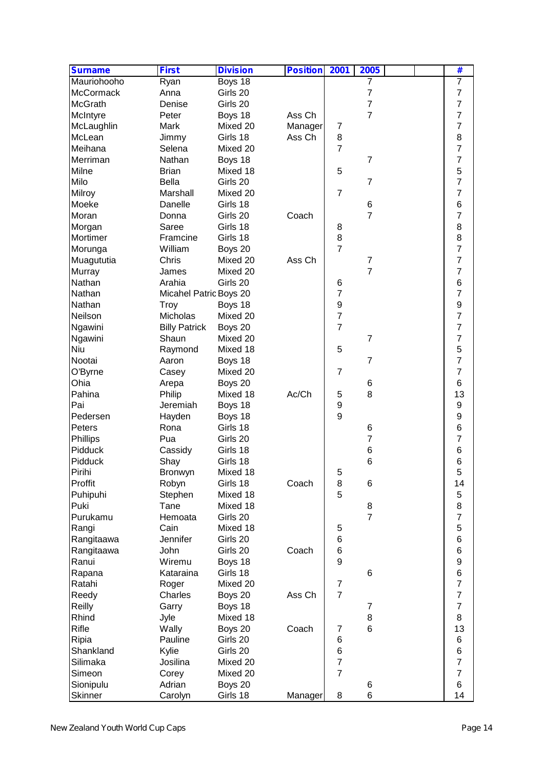| <b>Surname</b>   | <b>First</b>           | <b>Division</b> | <b>Position</b> | 2001                             | 2005            | #                   |
|------------------|------------------------|-----------------|-----------------|----------------------------------|-----------------|---------------------|
| Mauriohooho      | Ryan                   | Boys 18         |                 |                                  | 7               | $\overline{7}$      |
| <b>McCormack</b> | Anna                   | Girls 20        |                 |                                  | $\overline{7}$  | $\overline{7}$      |
| <b>McGrath</b>   | Denise                 | Girls 20        |                 |                                  | $\overline{7}$  | $\overline{7}$      |
| McIntyre         | Peter                  | Boys 18         | Ass Ch          |                                  | $\overline{7}$  | $\overline{7}$      |
| McLaughlin       | Mark                   | Mixed 20        | Manager         | 7                                |                 | $\overline{7}$      |
| McLean           | Jimmy                  | Girls 18        | Ass Ch          | $\,8\,$                          |                 | 8                   |
| Meihana          | Selena                 | Mixed 20        |                 | $\overline{7}$                   |                 | 7                   |
| Merriman         | Nathan                 | Boys 18         |                 |                                  | $\overline{7}$  | $\overline{7}$      |
| Milne            | <b>Brian</b>           | Mixed 18        |                 | 5                                |                 | 5                   |
| Milo             | <b>Bella</b>           | Girls 20        |                 |                                  | $\overline{7}$  | 7                   |
| Milroy           | Marshall               | Mixed 20        |                 | $\overline{7}$                   |                 | $\overline{7}$      |
| Moeke            | Danelle                | Girls 18        |                 |                                  | 6               | 6                   |
| Moran            | Donna                  | Girls 20        | Coach           |                                  | $\overline{7}$  | $\overline{7}$      |
|                  | Saree                  | Girls 18        |                 |                                  |                 | 8                   |
| Morgan           |                        |                 |                 | 8                                |                 |                     |
| Mortimer         | Framcine               | Girls 18        |                 | $\bf 8$<br>$\overline{7}$        |                 | 8                   |
| Morunga          | William                | Boys 20         |                 |                                  |                 | $\overline{7}$      |
| Muagututia       | Chris                  | Mixed 20        | Ass Ch          |                                  | 7               | $\overline{7}$      |
| Murray           | James                  | Mixed 20        |                 |                                  | $\overline{7}$  | $\overline{7}$      |
| Nathan           | Arahia                 | Girls 20        |                 | 6                                |                 | $\,6$               |
| Nathan           | Micahel Patric Boys 20 |                 |                 | $\overline{7}$                   |                 | $\overline{7}$      |
| Nathan           | Troy                   | Boys 18         |                 | $\boldsymbol{9}$                 |                 | $\boldsymbol{9}$    |
| Neilson          | Micholas               | Mixed 20        |                 | $\overline{7}$                   |                 | $\overline{7}$      |
| Ngawini          | <b>Billy Patrick</b>   | Boys 20         |                 | $\overline{7}$                   |                 | $\overline{7}$      |
| Ngawini          | Shaun                  | Mixed 20        |                 |                                  | $\overline{7}$  | $\overline{7}$      |
| Niu              | Raymond                | Mixed 18        |                 | 5                                |                 | 5                   |
| Nootai           | Aaron                  | Boys 18         |                 |                                  | $\overline{7}$  | $\overline{7}$      |
| O'Byrne          | Casey                  | Mixed 20        |                 | $\overline{7}$                   |                 | $\overline{7}$      |
| Ohia             | Arepa                  | Boys 20         |                 |                                  | 6               | 6                   |
| Pahina           | Philip                 | Mixed 18        | Ac/Ch           | 5                                | 8               | 13                  |
| Pai              | Jeremiah               | Boys 18         |                 | $\boldsymbol{9}$                 |                 | 9                   |
| Pedersen         | Hayden                 | Boys 18         |                 | 9                                |                 | 9                   |
| Peters           | Rona                   | Girls 18        |                 |                                  | 6               | 6                   |
| Phillips         | Pua                    | Girls 20        |                 |                                  | 7               | 7                   |
| Pidduck          | Cassidy                | Girls 18        |                 |                                  | 6               | 6                   |
| Pidduck          | Shay                   | Girls 18        |                 |                                  | 6               | 6                   |
| Pirihi           | Bronwyn                | Mixed 18        |                 | 5                                |                 | 5                   |
| Proffit          | Robyn                  | Girls 18        | Coach           | 8                                | 6               | 14                  |
| Puhipuhi         | Stephen                | Mixed 18        |                 | 5                                |                 | $\mathbf 5$         |
| Puki             | Tane                   | Mixed 18        |                 |                                  | 8               | 8                   |
| Purukamu         | Hemoata                | Girls 20        |                 |                                  | $\overline{7}$  | $\overline{7}$      |
| Rangi            | Cain                   | Mixed 18        |                 | 5                                |                 | 5                   |
| Rangitaawa       | Jennifer               | Girls 20        |                 | 6                                |                 | $\,6$               |
| Rangitaawa       | John                   | Girls 20        | Coach           | 6                                |                 | $\,6$               |
| Ranui            | Wiremu                 |                 |                 | 9                                |                 | $\boldsymbol{9}$    |
|                  |                        | Boys 18         |                 |                                  |                 |                     |
| Rapana           | Kataraina              | Girls 18        |                 |                                  | $6\phantom{1}6$ | 6<br>$\overline{7}$ |
| Ratahi           | Roger                  | Mixed 20        |                 | $\overline{7}$<br>$\overline{7}$ |                 |                     |
| Reedy            | Charles                | Boys 20         | Ass Ch          |                                  |                 | $\overline{7}$      |
| Reilly           | Garry                  | Boys 18         |                 |                                  | 7               | $\overline{7}$      |
| Rhind            | Jyle                   | Mixed 18        |                 |                                  | 8               | 8                   |
| Rifle            | Wally                  | Boys 20         | Coach           | 7                                | $6\phantom{1}6$ | 13                  |
| Ripia            | Pauline                | Girls 20        |                 | 6                                |                 | 6                   |
| Shankland        | Kylie                  | Girls 20        |                 | 6                                |                 | 6                   |
| Silimaka         | Josilina               | Mixed 20        |                 | $\overline{7}$                   |                 | $\overline{7}$      |
| Simeon           | Corey                  | Mixed 20        |                 | $\overline{7}$                   |                 | $\overline{7}$      |
| Sionipulu        | Adrian                 | Boys 20         |                 |                                  | 6               | 6                   |
| Skinner          | Carolyn                | Girls 18        | Manager         | 8                                | 6               | 14                  |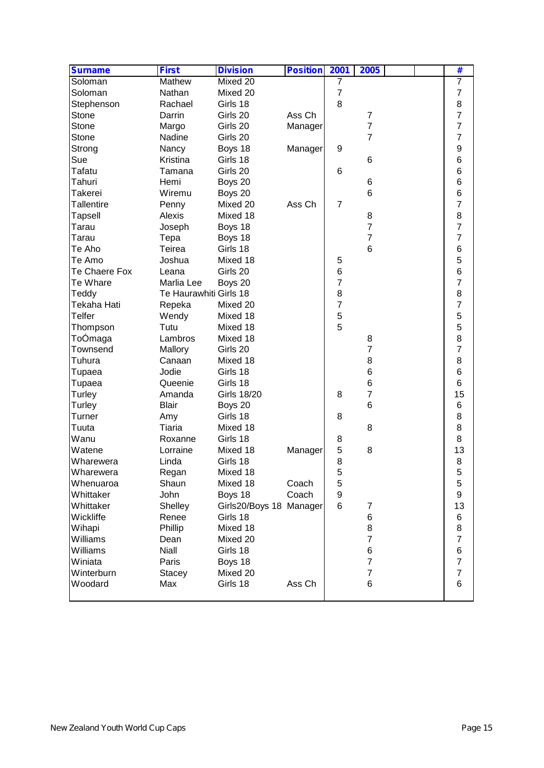| <b>Surname</b>    | <b>First</b>           | <b>Division</b>         | <b>Position</b> | 2001             | 2005                              |  | #                   |
|-------------------|------------------------|-------------------------|-----------------|------------------|-----------------------------------|--|---------------------|
| Soloman           | Mathew                 | Mixed 20                |                 | 7                |                                   |  | $\overline{7}$      |
| Soloman           | Nathan                 | Mixed 20                |                 | $\overline{7}$   |                                   |  | $\overline{7}$      |
| Stephenson        | Rachael                | Girls 18                |                 | 8                |                                   |  | 8                   |
| Stone             | Darrin                 | Girls 20                | Ass Ch          |                  | 7                                 |  | $\overline{7}$      |
| Stone             | Margo                  | Girls 20                | Manager         |                  | $\overline{7}$                    |  | $\overline{7}$      |
| Stone             | Nadine                 | Girls 20                |                 |                  | 7                                 |  | 7                   |
| Strong            | Nancy                  | Boys 18                 | Manager         | 9                |                                   |  | $\boldsymbol{9}$    |
| Sue               | Kristina               | Girls 18                |                 |                  | 6                                 |  | 6                   |
| Tafatu            | Tamana                 | Girls 20                |                 | 6                |                                   |  | 6                   |
| Tahuri            | Hemi                   | Boys 20                 |                 |                  | 6                                 |  | 6                   |
| <b>Takerei</b>    | Wiremu                 | Boys 20                 |                 |                  | 6                                 |  | 6                   |
| <b>Tallentire</b> | Penny                  | Mixed 20                | Ass Ch          | $\overline{7}$   |                                   |  | $\overline{7}$      |
| <b>Tapsell</b>    | Alexis                 | Mixed 18                |                 |                  | 8                                 |  | 8                   |
| Tarau             | Joseph                 | Boys 18                 |                 |                  | $\overline{7}$                    |  | $\overline{7}$      |
| Tarau             | Tepa                   | Boys 18                 |                 |                  | $\overline{7}$                    |  | $\overline{7}$      |
| Te Aho            | Teirea                 | Girls 18                |                 |                  | $6\phantom{1}6$                   |  | $\,6$               |
| Te Amo            | Joshua                 | Mixed 18                |                 | 5                |                                   |  | 5                   |
| Te Chaere Fox     | Leana                  | Girls 20                |                 | $\,6$            |                                   |  | 6                   |
| Te Whare          | Marlia Lee             | Boys 20                 |                 | $\overline{7}$   |                                   |  | $\overline{7}$      |
| Teddy             | Te Haurawhiti Girls 18 |                         |                 | 8                |                                   |  | 8                   |
| Tekaha Hati       | Repeka                 | Mixed 20                |                 | $\overline{7}$   |                                   |  | $\overline{7}$      |
| <b>Telfer</b>     | Wendy                  | Mixed 18                |                 | $\mathbf 5$      |                                   |  | 5                   |
| Thompson          | Tutu                   | Mixed 18                |                 | 5                |                                   |  | 5                   |
| ToÓmaga           | Lambros                | Mixed 18                |                 |                  | 8                                 |  | 8                   |
| Townsend          | Mallory                | Girls 20                |                 |                  | $\overline{7}$                    |  | $\overline{7}$      |
| Tuhura            | Canaan                 | Mixed 18                |                 |                  | 8                                 |  | 8                   |
| Tupaea            | Jodie                  | Girls 18                |                 |                  | 6                                 |  | 6                   |
| Tupaea            | Queenie                | Girls 18                |                 |                  | $\,6$                             |  | 6                   |
| Turley            | Amanda                 | <b>Girls 18/20</b>      |                 | 8                | 7                                 |  | 15                  |
| Turley            | <b>Blair</b>           | Boys 20                 |                 |                  | 6                                 |  | 6                   |
| Turner            |                        | Girls 18                |                 | 8                |                                   |  | 8                   |
| Tuuta             | Amy<br>Tiaria          | Mixed 18                |                 |                  | 8                                 |  | 8                   |
| Wanu              |                        |                         |                 |                  |                                   |  | 8                   |
| Watene            | Roxanne<br>Lorraine    | Girls 18<br>Mixed 18    |                 | 8<br>$\mathbf 5$ | 8                                 |  | 13                  |
|                   |                        | Girls 18                | Manager         | 8                |                                   |  | 8                   |
| Wharewera         | Linda                  |                         |                 |                  |                                   |  |                     |
| Wharewera         | Regan                  | Mixed 18                |                 | 5                |                                   |  | 5<br>5              |
| Whenuaroa         | Shaun                  | Mixed 18                | Coach           | 5                |                                   |  |                     |
| Whittaker         | John                   | Boys 18                 | Coach           | 9                |                                   |  | $\boldsymbol{9}$    |
| Whittaker         | Shelley                | Girls20/Boys 18 Manager |                 | 6                | $\overline{7}$                    |  | 13                  |
| Wickliffe         | Renee                  | Girls 18                |                 |                  | $\,6$                             |  | 6                   |
| Wihapi            | Phillip                | Mixed 18                |                 |                  | 8                                 |  | 8                   |
| Williams          | Dean                   | Mixed 20                |                 |                  | $\overline{7}$                    |  | $\overline{7}$      |
| Williams          | Niall                  | Girls 18                |                 |                  | $\,6$                             |  | $\,6$               |
| Winiata           | Paris                  | Boys 18                 |                 |                  | $\overline{7}$                    |  | $\overline{7}$      |
| Winterburn        | <b>Stacey</b>          | Mixed 20                |                 |                  | $\overline{7}$<br>$6\phantom{1}6$ |  | $\overline{7}$<br>6 |
| Woodard           | Max                    | Girls 18                | Ass Ch          |                  |                                   |  |                     |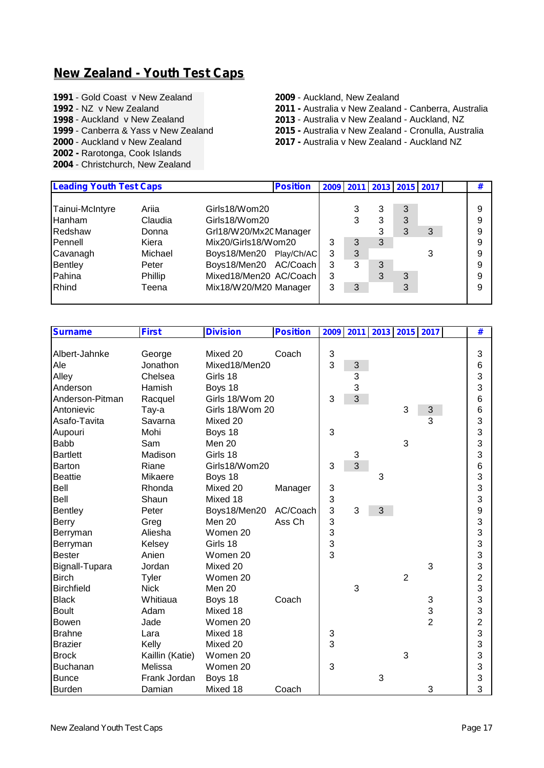#### **New Zealand - Youth Test Caps**

**1991** - Gold Coast v New Zealand **2009** - Auckland, New Zealand<br>**1992** - NZ v New Zealand **2011** - Australia v New Zealand

- 
- 
- 
- 
- **2002 -** Rarotonga, Cook Islands
- **2004** Christchurch, New Zealand

- **1992** NZ v New Zealand **2011 -** Australia v New Zealand Canberra, Australia
- **1998** Auckland v New Zealand **2013** Australia v New Zealand Auckland, NZ
- **1999** Canberra & Yass v New Zealand **2015 -** Australia v New Zealand Cronulla, Australia
	- **2017 Australia v New Zealand Auckland NZ**

| <b>Leading Youth Test Caps</b> |         |                         | <b>Position</b> |   |   |   | 2009   2011   2013   2015   2017 |   | # |
|--------------------------------|---------|-------------------------|-----------------|---|---|---|----------------------------------|---|---|
| Tainui-McIntyre                | Ariia   | Girls18/Wom20           |                 |   |   | 3 | 3                                |   | 9 |
| Hanham                         | Claudia | Girls18/Wom20           |                 |   | 3 | 3 | 3                                |   | 9 |
| Redshaw                        | Donna   | Grl18/W20/Mx20 Manager  |                 |   |   | 3 | 3                                | 3 | 9 |
| Pennell                        | Kiera   | Mix20/Girls18/Wom20     |                 | 3 |   | 3 |                                  |   | 9 |
| Cavanagh                       | Michael | Boys18/Men20 Play/Ch/AC |                 | 3 | 3 |   |                                  | 3 | 9 |
| Bentley                        | Peter   | Boys18/Men20 AC/Coach   |                 | 3 | 3 | 3 |                                  |   | 9 |
| Pahina                         | Phillip | Mixed18/Men20 AC/Coach  |                 | 3 |   | 3 | 3                                |   | 9 |
| Rhind                          | Teena   | Mix18/W20/M20 Manager   |                 |   | 3 |   | 3                                |   | 9 |
|                                |         |                         |                 |   |   |   |                                  |   |   |

| <b>Surname</b>    | <b>First</b>    | <b>Division</b> | <b>Position</b> | 2009 | 2011 | 2013 2015 2017 |                |                | #                       |
|-------------------|-----------------|-----------------|-----------------|------|------|----------------|----------------|----------------|-------------------------|
|                   |                 |                 |                 |      |      |                |                |                |                         |
| Albert-Jahnke     | George          | Mixed 20        | Coach           | 3    |      |                |                |                | 3                       |
| Ale               | Jonathon        | Mixed18/Men20   |                 | 3    | 3    |                |                |                | 6                       |
| Alley             | Chelsea         | Girls 18        |                 |      | 3    |                |                |                | 3                       |
| Anderson          | Hamish          | Boys 18         |                 |      | 3    |                |                |                | 3                       |
| Anderson-Pitman   | Racquel         | Girls 18/Wom 20 |                 | 3    | 3    |                |                |                | 6                       |
| Antonievic        | Tay-a           | Girls 18/Wom 20 |                 |      |      |                | 3              | 3              | 6                       |
| Asafo-Tavita      | Savarna         | Mixed 20        |                 |      |      |                |                | 3              | 3                       |
| Aupouri           | Mohi            | Boys 18         |                 | 3    |      |                |                |                | 3                       |
| <b>Babb</b>       | Sam             | Men 20          |                 |      |      |                | 3              |                | 3                       |
| <b>Bartlett</b>   | Madison         | Girls 18        |                 |      | 3    |                |                |                | 3                       |
| <b>Barton</b>     | Riane           | Girls18/Wom20   |                 | 3    | 3    |                |                |                | 6                       |
| <b>Beattie</b>    | Mikaere         | Boys 18         |                 |      |      | 3              |                |                | 3                       |
| Bell              | Rhonda          | Mixed 20        | Manager         | 3    |      |                |                |                | 3                       |
| Bell              | Shaun           | Mixed 18        |                 | 3    |      |                |                |                | 3                       |
| <b>Bentley</b>    | Peter           | Boys18/Men20    | AC/Coach        | 3    | 3    | 3              |                |                | 9                       |
| <b>Berry</b>      | Greg            | Men 20          | Ass Ch          | 3    |      |                |                |                | 3                       |
| Berryman          | Aliesha         | Women 20        |                 | 3    |      |                |                |                | 3                       |
| Berryman          | Kelsey          | Girls 18        |                 | 3    |      |                |                |                | 3                       |
| <b>Bester</b>     | Anien           | Women 20        |                 | 3    |      |                |                |                | 3                       |
| Bignall-Tupara    | Jordan          | Mixed 20        |                 |      |      |                |                | 3              | 3                       |
| <b>Birch</b>      | Tyler           | Women 20        |                 |      |      |                | $\overline{2}$ |                | $\overline{c}$          |
| <b>Birchfield</b> | <b>Nick</b>     | Men 20          |                 |      | 3    |                |                |                | 3                       |
| <b>Black</b>      | Whitiaua        | Boys 18         | Coach           |      |      |                |                | 3              | 3                       |
| <b>Boult</b>      | Adam            | Mixed 18        |                 |      |      |                |                | 3              | 3                       |
| Bowen             | Jade            | Women 20        |                 |      |      |                |                | $\overline{2}$ | $\overline{\mathbf{c}}$ |
| <b>Brahne</b>     | Lara            | Mixed 18        |                 | 3    |      |                |                |                | 3                       |
| <b>Brazier</b>    | Kelly           | Mixed 20        |                 | 3    |      |                |                |                | 3                       |
| <b>Brock</b>      | Kaillin (Katie) | Women 20        |                 |      |      |                | 3              |                | 3                       |
| <b>Buchanan</b>   | Melissa         | Women 20        |                 | 3    |      |                |                |                | 3                       |
| <b>Bunce</b>      | Frank Jordan    | Boys 18         |                 |      |      | 3              |                |                | 3                       |
| <b>Burden</b>     | Damian          | Mixed 18        | Coach           |      |      |                |                | 3              | 3                       |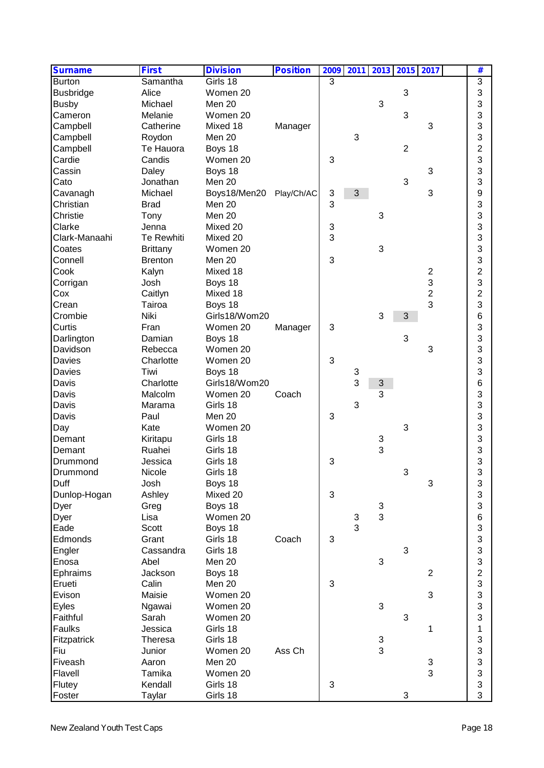| <b>Surname</b>   | <b>First</b>    | <b>Division</b> | <b>Position</b> | 2009 | 2011 |                           |                | 2013 2015 2017 | #                         |  |
|------------------|-----------------|-----------------|-----------------|------|------|---------------------------|----------------|----------------|---------------------------|--|
| <b>Burton</b>    | Samantha        | Girls 18        |                 | 3    |      |                           |                |                | $\overline{3}$            |  |
| <b>Busbridge</b> | Alice           | Women 20        |                 |      |      |                           | 3              |                | 3                         |  |
| <b>Busby</b>     | Michael         | Men 20          |                 |      |      | 3                         |                |                | 3                         |  |
| Cameron          | Melanie         | Women 20        |                 |      |      |                           | 3              |                | 3                         |  |
| Campbell         | Catherine       | Mixed 18        | Manager         |      |      |                           |                | 3              | 3                         |  |
| Campbell         | Roydon          | Men 20          |                 |      | 3    |                           |                |                | 3                         |  |
| Campbell         | Te Hauora       | Boys 18         |                 |      |      |                           | $\overline{2}$ |                | $\overline{c}$            |  |
| Cardie           | Candis          | Women 20        |                 | 3    |      |                           |                |                | 3                         |  |
| Cassin           | Daley           | Boys 18         |                 |      |      |                           |                | 3              | 3                         |  |
| Cato             | Jonathan        | Men 20          |                 |      |      |                           | 3              |                | 3                         |  |
|                  | Michael         | Boys18/Men20    |                 | 3    | 3    |                           |                | 3              | 9                         |  |
| Cavanagh         |                 |                 | Play/Ch/AC      |      |      |                           |                |                |                           |  |
| Christian        | <b>Brad</b>     | Men 20          |                 | 3    |      |                           |                |                | 3                         |  |
| Christie         | Tony            | Men 20          |                 |      |      | 3                         |                |                | 3                         |  |
| Clarke           | Jenna           | Mixed 20        |                 | 3    |      |                           |                |                | 3                         |  |
| Clark-Manaahi    | Te Rewhiti      | Mixed 20        |                 | 3    |      |                           |                |                | 3                         |  |
| Coates           | <b>Brittany</b> | Women 20        |                 |      |      | 3                         |                |                | 3                         |  |
| Connell          | <b>Brenton</b>  | Men 20          |                 | 3    |      |                           |                |                | 3                         |  |
| Cook             | Kalyn           | Mixed 18        |                 |      |      |                           |                | $\overline{c}$ | $\overline{c}$            |  |
| Corrigan         | Josh            | Boys 18         |                 |      |      |                           |                | 3              | 3                         |  |
| Cox              | Caitlyn         | Mixed 18        |                 |      |      |                           |                | $\overline{c}$ | $\overline{c}$            |  |
| Crean            | Tairoa          | Boys 18         |                 |      |      |                           |                | 3              | 3                         |  |
| Crombie          | Niki            | Girls18/Wom20   |                 |      |      | 3                         | 3              |                | 6                         |  |
| Curtis           | Fran            | Women 20        | Manager         | 3    |      |                           |                |                | 3                         |  |
| Darlington       | Damian          | Boys 18         |                 |      |      |                           | 3              |                | 3                         |  |
| Davidson         | Rebecca         | Women 20        |                 |      |      |                           |                | 3              | 3                         |  |
| Davies           | Charlotte       | Women 20        |                 | 3    |      |                           |                |                | 3                         |  |
| <b>Davies</b>    | Tiwi            | Boys 18         |                 |      | 3    |                           |                |                | 3                         |  |
| Davis            | Charlotte       | Girls18/Wom20   |                 |      | 3    | 3                         |                |                | 6                         |  |
| Davis            | Malcolm         | Women 20        | Coach           |      |      | 3                         |                |                | 3                         |  |
| Davis            | Marama          | Girls 18        |                 |      | 3    |                           |                |                | 3                         |  |
|                  |                 |                 |                 |      |      |                           |                |                |                           |  |
| Davis            | Paul            | Men 20          |                 | 3    |      |                           |                |                | 3                         |  |
| Day              | Kate            | Women 20        |                 |      |      |                           | 3              |                | 3                         |  |
| Demant           | Kiritapu        | Girls 18        |                 |      |      | $\frac{3}{3}$             |                |                | 3                         |  |
| Demant           | Ruahei          | Girls 18        |                 |      |      |                           |                |                | 3                         |  |
| Drummond         | Jessica         | Girls 18        |                 | 3    |      |                           |                |                | 3                         |  |
| Drummond         | Nicole          | Girls 18        |                 |      |      |                           | 3              |                | 3                         |  |
| Duff             | Josh            | Boys 18         |                 |      |      |                           |                | 3              | $\ensuremath{\mathsf{3}}$ |  |
| Dunlop-Hogan     | Ashley          | Mixed 20        |                 | 3    |      |                           |                |                | 3                         |  |
| <b>Dyer</b>      | Greg            | Boys 18         |                 |      |      | $\ensuremath{\mathsf{3}}$ |                |                | 3                         |  |
| <b>Dyer</b>      | Lisa            | Women 20        |                 |      | 3    | 3                         |                |                | 6                         |  |
| Eade             | Scott           | Boys 18         |                 |      | 3    |                           |                |                | 3                         |  |
| Edmonds          | Grant           | Girls 18        | Coach           | 3    |      |                           |                |                | 3                         |  |
| Engler           | Cassandra       | Girls 18        |                 |      |      |                           | 3              |                | 3                         |  |
| Enosa            | Abel            | Men 20          |                 |      |      | 3                         |                |                | 3                         |  |
| Ephraims         | Jackson         | Boys 18         |                 |      |      |                           |                | $\overline{2}$ | $\overline{c}$            |  |
| Erueti           | Calin           | Men 20          |                 | 3    |      |                           |                |                | 3                         |  |
| Evison           | Maisie          | Women 20        |                 |      |      |                           |                | 3              | 3                         |  |
| Eyles            | Ngawai          | Women 20        |                 |      |      | 3                         |                |                | 3                         |  |
| Faithful         | Sarah           | Women 20        |                 |      |      |                           | 3              |                | 3                         |  |
| Faulks           | Jessica         | Girls 18        |                 |      |      |                           |                | 1              | $\mathbf 1$               |  |
|                  |                 |                 |                 |      |      |                           |                |                |                           |  |
| Fitzpatrick      | <b>Theresa</b>  | Girls 18        |                 |      |      | 3<br>$\overline{3}$       |                |                | 3                         |  |
| Fiu              | Junior          | Women 20        | Ass Ch          |      |      |                           |                |                | 3                         |  |
| Fiveash          | Aaron           | Men 20          |                 |      |      |                           |                | 3              | 3                         |  |
| Flavell          | Tamika          | Women 20        |                 |      |      |                           |                | 3              | 3                         |  |
| Flutey           | Kendall         | Girls 18        |                 | 3    |      |                           |                |                | 3                         |  |
| Foster           | Taylar          | Girls 18        |                 |      |      |                           | 3              |                | 3                         |  |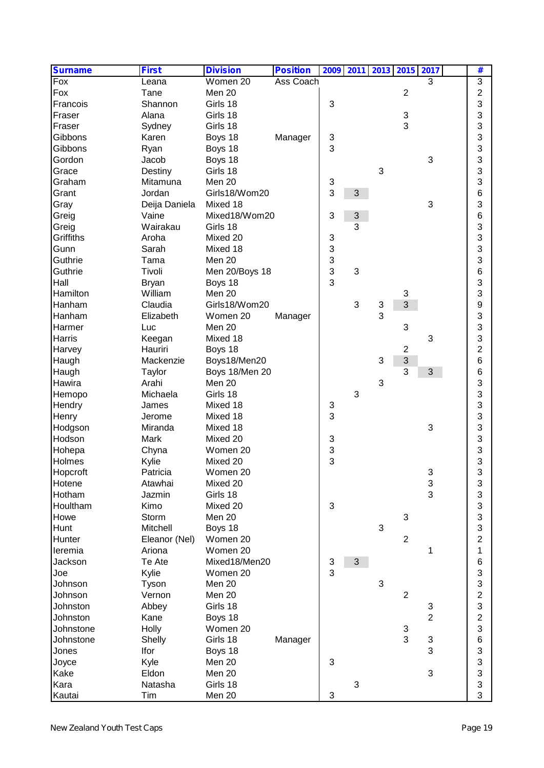| <b>Surname</b>                           | <b>First</b>                             | <b>Division</b>                                               | <b>Position</b> |                           |   | 2009 2011 2013 2015 2017 |                |                          | #                                                      |  |
|------------------------------------------|------------------------------------------|---------------------------------------------------------------|-----------------|---------------------------|---|--------------------------|----------------|--------------------------|--------------------------------------------------------|--|
| $\overline{F_{OX}}$                      | Leana                                    | Women 20                                                      | Ass Coach       |                           |   |                          |                | 3                        | 3                                                      |  |
| Fox                                      | Tane                                     | Men 20                                                        |                 |                           |   |                          | $\overline{2}$ |                          | 2                                                      |  |
| Francois                                 | Shannon                                  | Girls 18                                                      |                 | 3                         |   |                          |                |                          | 3                                                      |  |
| Fraser                                   | Alana                                    | Girls 18                                                      |                 |                           |   |                          | 3              |                          | 3                                                      |  |
| Fraser                                   | Sydney                                   | Girls 18                                                      |                 |                           |   |                          | 3              |                          | 3                                                      |  |
| Gibbons                                  | Karen                                    | Boys 18                                                       | Manager         | 3                         |   |                          |                |                          | 3                                                      |  |
| Gibbons                                  | Ryan                                     | Boys 18                                                       |                 | 3                         |   |                          |                |                          | 3                                                      |  |
| Gordon                                   | Jacob                                    | Boys 18                                                       |                 |                           |   |                          |                | 3                        | 3                                                      |  |
| Grace                                    | Destiny                                  | Girls 18                                                      |                 |                           |   | 3                        |                |                          | 3                                                      |  |
| Graham                                   | Mitamuna                                 | Men 20                                                        |                 | 3                         |   |                          |                |                          | 3                                                      |  |
| Grant                                    | Jordan                                   | Girls18/Wom20                                                 |                 | 3                         | 3 |                          |                |                          | 6                                                      |  |
| Gray                                     | Deija Daniela                            | Mixed 18                                                      |                 |                           |   |                          |                | 3                        | 3                                                      |  |
| Greig                                    | Vaine                                    | Mixed18/Wom20                                                 |                 | 3                         | 3 |                          |                |                          | 6                                                      |  |
|                                          | Wairakau                                 | Girls 18                                                      |                 |                           | 3 |                          |                |                          | 3                                                      |  |
| Greig                                    |                                          |                                                               |                 |                           |   |                          |                |                          |                                                        |  |
| Griffiths                                | Aroha                                    | Mixed 20                                                      |                 | 3                         |   |                          |                |                          | 3                                                      |  |
| Gunn                                     | Sarah                                    | Mixed 18                                                      |                 | $\ensuremath{\mathsf{3}}$ |   |                          |                |                          | 3                                                      |  |
| Guthrie                                  | Tama                                     | Men 20                                                        |                 | 3                         |   |                          |                |                          | 3                                                      |  |
| Guthrie                                  | Tivoli                                   | Men 20/Boys 18                                                |                 | 3                         | 3 |                          |                |                          | 6                                                      |  |
| Hall                                     | <b>Bryan</b>                             | Boys 18                                                       |                 | 3                         |   |                          |                |                          | 3                                                      |  |
| Hamilton                                 | William                                  | Men 20                                                        |                 |                           |   |                          | 3              |                          | 3                                                      |  |
| Hanham                                   | Claudia                                  | Girls18/Wom20                                                 |                 |                           | 3 | 3                        | 3              |                          | 9                                                      |  |
| Hanham                                   | Elizabeth                                | Women 20                                                      | Manager         |                           |   | 3                        |                |                          | 3                                                      |  |
| Harmer                                   | Luc                                      | Men 20                                                        |                 |                           |   |                          | 3              |                          | 3                                                      |  |
| Harris                                   | Keegan                                   | Mixed 18                                                      |                 |                           |   |                          |                | 3                        | 3                                                      |  |
| Harvey                                   | Hauriri                                  | Boys 18                                                       |                 |                           |   |                          | $\overline{2}$ |                          | $\overline{c}$                                         |  |
| Haugh                                    | Mackenzie                                | Boys18/Men20                                                  |                 |                           |   | 3                        | 3              |                          | 6                                                      |  |
| Haugh                                    | Taylor                                   | Boys 18/Men 20                                                |                 |                           |   |                          | 3              | 3                        | 6                                                      |  |
| Hawira                                   | Arahi                                    | Men 20                                                        |                 |                           |   | 3                        |                |                          | 3                                                      |  |
| Hemopo                                   | Michaela                                 | Girls 18                                                      |                 |                           | 3 |                          |                |                          | 3                                                      |  |
| Hendry                                   | James                                    | Mixed 18                                                      |                 | 3                         |   |                          |                |                          | 3                                                      |  |
| Henry                                    | Jerome                                   | Mixed 18                                                      |                 | 3                         |   |                          |                |                          | 3                                                      |  |
| Hodgson                                  | Miranda                                  | Mixed 18                                                      |                 |                           |   |                          |                | 3                        | 3                                                      |  |
| Hodson                                   | Mark                                     | Mixed 20                                                      |                 | 3                         |   |                          |                |                          | 3                                                      |  |
| Hohepa                                   | Chyna                                    | Women 20                                                      |                 | 3                         |   |                          |                |                          | 3                                                      |  |
| Holmes                                   | Kylie                                    | Mixed 20                                                      |                 | 3                         |   |                          |                |                          | 3                                                      |  |
|                                          | Patricia                                 | Women 20                                                      |                 |                           |   |                          |                | ર                        | R                                                      |  |
| Hopcroft<br>Hotene                       |                                          | Mixed 20                                                      |                 |                           |   |                          |                |                          | 3                                                      |  |
| Hotham                                   | Atawhai                                  | Girls 18                                                      |                 |                           |   |                          |                | 3<br>3                   |                                                        |  |
|                                          | Jazmin                                   |                                                               |                 |                           |   |                          |                |                          | 3                                                      |  |
| Houltham                                 | Kimo                                     | Mixed 20                                                      |                 | 3                         |   |                          |                |                          | 3                                                      |  |
| Howe                                     | Storm                                    | Men 20                                                        |                 |                           |   |                          | 3              |                          | 3                                                      |  |
| Hunt                                     | Mitchell                                 | Boys 18                                                       |                 |                           |   | 3                        |                |                          | 3                                                      |  |
| Hunter                                   | Eleanor (Nel)                            | Women 20                                                      |                 |                           |   |                          | $\overline{2}$ |                          | $\overline{2}$                                         |  |
| leremia                                  | Ariona                                   | Women 20                                                      |                 |                           |   |                          |                |                          | 1                                                      |  |
| Jackson                                  | Te Ate                                   | Mixed18/Men20                                                 |                 | 3                         | 3 |                          |                |                          | 6                                                      |  |
| Joe                                      |                                          |                                                               |                 |                           |   |                          |                |                          |                                                        |  |
| Johnson                                  | Tyson                                    | Men 20                                                        |                 |                           |   | $\sqrt{3}$               |                |                          |                                                        |  |
| Johnson                                  | Vernon                                   | Men 20                                                        |                 |                           |   |                          | $\overline{2}$ |                          |                                                        |  |
| Johnston                                 | Abbey                                    | Girls 18                                                      |                 |                           |   |                          |                | 3                        | 3                                                      |  |
| Johnston                                 | Kane                                     | Boys 18                                                       |                 |                           |   |                          |                |                          | $\overline{2}$                                         |  |
| Johnstone                                | Holly                                    | Women 20                                                      |                 |                           |   |                          | 3              |                          | 3                                                      |  |
| Johnstone                                | Shelly                                   | Girls 18                                                      |                 |                           |   |                          | 3              |                          |                                                        |  |
|                                          | Ifor                                     |                                                               |                 |                           |   |                          |                | 3                        |                                                        |  |
|                                          |                                          |                                                               |                 |                           |   |                          |                |                          |                                                        |  |
|                                          |                                          |                                                               |                 |                           |   |                          |                |                          |                                                        |  |
|                                          |                                          |                                                               |                 |                           |   |                          |                |                          |                                                        |  |
|                                          |                                          |                                                               |                 |                           |   |                          |                |                          |                                                        |  |
| Jones<br>Joyce<br>Kake<br>Kara<br>Kautai | Kylie<br>Kyle<br>Eldon<br>Natasha<br>Tim | Women 20<br>Boys 18<br>Men 20<br>Men 20<br>Girls 18<br>Men 20 | Manager         | 3<br>3<br>3               | 3 |                          |                | $\overline{2}$<br>3<br>3 | 3<br>3<br>$\overline{c}$<br>6<br>3<br>3<br>3<br>3<br>3 |  |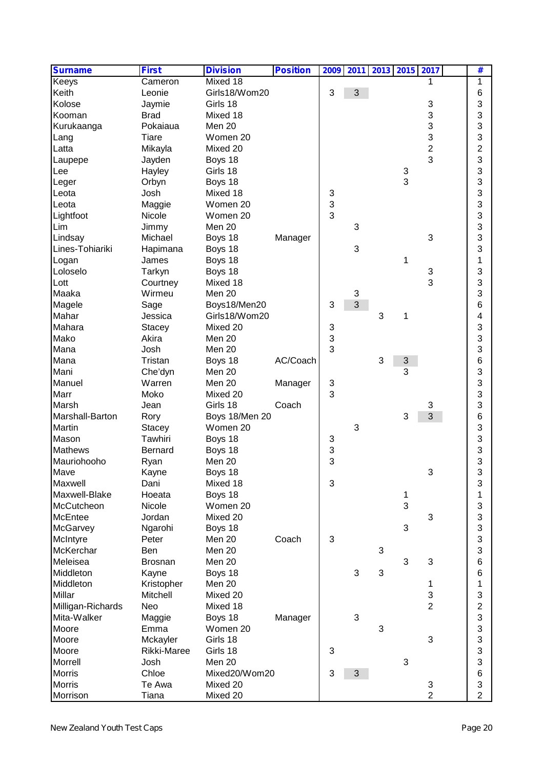| <b>Surname</b>    | <b>First</b>     | <b>Division</b>      | <b>Position</b> | 2009 |            | 2011 2013 2015 2017 |        |                | #              |  |
|-------------------|------------------|----------------------|-----------------|------|------------|---------------------|--------|----------------|----------------|--|
| Keeys             | Cameron          | Mixed 18             |                 |      |            |                     |        |                | 1              |  |
| Keith             | Leonie           | Girls18/Wom20        |                 | 3    | 3          |                     |        |                | 6              |  |
| Kolose            | Jaymie           | Girls 18             |                 |      |            |                     |        | 3              | 3              |  |
| Kooman            | <b>Brad</b>      | Mixed 18             |                 |      |            |                     |        | 3              | 3              |  |
| Kurukaanga        | Pokaiaua         | Men 20               |                 |      |            |                     |        | 3              | 3              |  |
| Lang              | Tiare            | Women 20             |                 |      |            |                     |        | 3              | 3              |  |
| Latta             | Mikayla          | Mixed 20             |                 |      |            |                     |        | $\overline{c}$ | 2              |  |
| Laupepe           | Jayden           | Boys 18              |                 |      |            |                     |        | 3              | 3              |  |
| Lee               | Hayley           | Girls 18             |                 |      |            |                     | 3      |                | 3              |  |
| Leger             | Orbyn            | Boys 18              |                 |      |            |                     | 3      |                | 3              |  |
| Leota             | Josh             | Mixed 18             |                 | 3    |            |                     |        |                | 3              |  |
| Leota             | Maggie           | Women 20             |                 | 3    |            |                     |        |                | 3              |  |
| Lightfoot         | Nicole           | Women 20             |                 | 3    |            |                     |        |                | 3              |  |
| Lim               | Jimmy            | Men 20               |                 |      | 3          |                     |        |                | 3              |  |
| Lindsay           | Michael          | Boys 18              | Manager         |      |            |                     |        | 3              | 3              |  |
| Lines-Tohiariki   | Hapimana         | Boys 18              |                 |      | 3          |                     |        |                | 3              |  |
| Logan             | James            | Boys 18              |                 |      |            |                     | 1      |                | 1              |  |
| Loloselo          | Tarkyn           | Boys 18              |                 |      |            |                     |        | 3              | 3              |  |
| Lott              | Courtney         | Mixed 18             |                 |      |            |                     |        | 3              | 3              |  |
| Maaka             | Wirmeu           | Men 20               |                 |      | $\sqrt{3}$ |                     |        |                | 3              |  |
| Magele            | Sage             | Boys18/Men20         |                 | 3    | 3          |                     |        |                | 6              |  |
| Mahar             | Jessica          | Girls18/Wom20        |                 |      |            | 3                   | 1      |                | 4              |  |
| Mahara            | <b>Stacey</b>    | Mixed 20             |                 | 3    |            |                     |        |                | 3              |  |
| Mako              | Akira            | Men 20               |                 | 3    |            |                     |        |                | 3              |  |
| Mana              | Josh             | Men 20               |                 | 3    |            |                     |        |                | 3              |  |
| Mana              | Tristan          | Boys 18              | AC/Coach        |      |            | 3                   | 3      |                | 6              |  |
| Mani              | Che'dyn          | Men 20               |                 |      |            |                     | 3      |                | 3              |  |
| Manuel            | Warren           | Men 20               | Manager         | 3    |            |                     |        |                | 3              |  |
| Marr              | Moko             | Mixed 20             |                 | 3    |            |                     |        |                | 3              |  |
| Marsh             | Jean             | Girls 18             | Coach           |      |            |                     |        | 3              | 3              |  |
| Marshall-Barton   | Rory             | Boys 18/Men 20       |                 |      |            |                     | 3      | 3              | 6              |  |
| Martin            | <b>Stacey</b>    | Women 20             |                 |      | 3          |                     |        |                | 3              |  |
| Mason             | Tawhiri          | Boys 18              |                 | 3    |            |                     |        |                | 3              |  |
| <b>Mathews</b>    | <b>Bernard</b>   | Boys 18              |                 | 3    |            |                     |        |                | 3              |  |
| Mauriohooho       |                  | Men 20               |                 | 3    |            |                     |        |                | 3              |  |
|                   | Ryan             |                      |                 |      |            |                     |        | ว              | <b>Q</b>       |  |
| Mave<br>Maxwell   | Kayne            | Boys 18<br>Mixed 18  |                 | 3    |            |                     |        |                | ں<br>3         |  |
| Maxwell-Blake     | Dani<br>Hoeata   |                      |                 |      |            |                     |        |                |                |  |
|                   |                  | Boys 18              |                 |      |            |                     | 1<br>3 |                | 1              |  |
| McCutcheon        | Nicole<br>Jordan | Women 20<br>Mixed 20 |                 |      |            |                     |        | 3              | 3<br>3         |  |
| McEntee           |                  |                      |                 |      |            |                     | 3      |                | 3              |  |
| McGarvey          | Ngarohi          | Boys 18              |                 |      |            |                     |        |                |                |  |
| McIntyre          | Peter            | Men 20               | Coach           | 3    |            |                     |        |                | 3              |  |
| McKerchar         | Ben              | Men 20               |                 |      |            | 3                   |        |                | 3              |  |
| Meleisea          | <b>Brosnan</b>   | Men 20               |                 |      |            |                     | 3      | 3              | 6              |  |
| Middleton         | Kayne            | Boys 18              |                 |      | 3          | 3                   |        |                | 6              |  |
| Middleton         | Kristopher       | Men 20               |                 |      |            |                     |        | 1              | 1              |  |
| Millar            | Mitchell         | Mixed 20             |                 |      |            |                     |        | 3              | 3              |  |
| Milligan-Richards | Neo              | Mixed 18             |                 |      |            |                     |        | $\overline{2}$ | $\overline{2}$ |  |
| Mita-Walker       | Maggie           | Boys 18              | Manager         |      | 3          |                     |        |                | 3              |  |
| Moore             | Emma             | Women 20             |                 |      |            | 3                   |        |                | 3              |  |
| Moore             | Mckayler         | Girls 18             |                 |      |            |                     |        | 3              | 3              |  |
| Moore             | Rikki-Maree      | Girls 18             |                 | 3    |            |                     |        |                | 3              |  |
| Morrell           | Josh             | Men 20               |                 |      |            |                     | 3      |                | 3              |  |
| <b>Morris</b>     | Chloe            | Mixed20/Wom20        |                 | 3    | 3          |                     |        |                | 6              |  |
| <b>Morris</b>     | Te Awa           | Mixed 20             |                 |      |            |                     |        | 3              | 3              |  |
| Morrison          | Tiana            | Mixed 20             |                 |      |            |                     |        | $\overline{2}$ | $\overline{2}$ |  |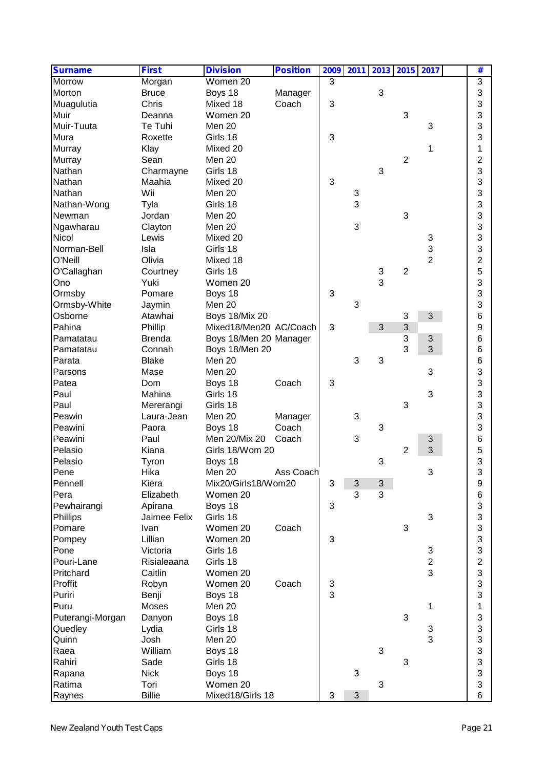| <b>Surname</b>   | <b>First</b>  | <b>Division</b>        | <b>Position</b> | 2009 | 2011 |   |                | 2013 2015 2017 | #              |
|------------------|---------------|------------------------|-----------------|------|------|---|----------------|----------------|----------------|
| Morrow           | Morgan        | Women 20               |                 | 3    |      |   |                |                | 3              |
| Morton           | <b>Bruce</b>  | Boys 18                | Manager         |      |      | 3 |                |                | 3              |
| Muagulutia       | Chris         | Mixed 18               | Coach           | 3    |      |   |                |                | 3              |
| Muir             | Deanna        | Women 20               |                 |      |      |   | 3              |                | 3              |
| Muir-Tuuta       | Te Tuhi       | Men 20                 |                 |      |      |   |                | 3              | 3              |
| Mura             | Roxette       | Girls 18               |                 | 3    |      |   |                |                | 3              |
| <b>Murray</b>    | Klay          | Mixed 20               |                 |      |      |   |                | 1              | 1              |
| Murray           | Sean          | Men 20                 |                 |      |      |   | $\overline{2}$ |                | $\overline{2}$ |
| Nathan           | Charmayne     | Girls 18               |                 |      |      | 3 |                |                | 3              |
| Nathan           | Maahia        | Mixed 20               |                 | 3    |      |   |                |                | 3              |
| Nathan           | Wii           | Men 20                 |                 |      | 3    |   |                |                | 3              |
| Nathan-Wong      | Tyla          | Girls 18               |                 |      | 3    |   |                |                | 3              |
| Newman           | Jordan        | Men 20                 |                 |      |      |   | 3              |                | 3              |
| Ngawharau        | Clayton       | Men 20                 |                 |      | 3    |   |                |                | 3              |
| Nicol            | Lewis         | Mixed 20               |                 |      |      |   |                | 3              | 3              |
| Norman-Bell      | Isla          | Girls 18               |                 |      |      |   |                | 3              | 3              |
| O'Neill          | Olivia        | Mixed 18               |                 |      |      |   |                | $\overline{2}$ | $\overline{2}$ |
| O'Callaghan      | Courtney      | Girls 18               |                 |      |      | 3 | $\overline{2}$ |                | 5              |
| Ono              | Yuki          | Women 20               |                 |      |      | 3 |                |                | 3              |
| Ormsby           | Pomare        | Boys 18                |                 | 3    |      |   |                |                | 3              |
| Ormsby-White     | Jaymin        | Men 20                 |                 |      | 3    |   |                |                | 3              |
| Osborne          | Atawhai       | <b>Boys 18/Mix 20</b>  |                 |      |      |   | 3              | 3              | 6              |
| Pahina           | Phillip       | Mixed18/Men20 AC/Coach |                 | 3    |      | 3 | $\mathfrak{S}$ |                | 9              |
| Pamatatau        | <b>Brenda</b> | Boys 18/Men 20 Manager |                 |      |      |   | 3              | 3              | 6              |
| Pamatatau        | Connah        | Boys 18/Men 20         |                 |      |      |   | 3              | 3              | 6              |
| Parata           | <b>Blake</b>  | Men 20                 |                 |      | 3    | 3 |                |                | 6              |
| Parsons          | Mase          | Men 20                 |                 |      |      |   |                | 3              | 3              |
| Patea            | Dom           |                        | Coach           | 3    |      |   |                |                | 3              |
| Paul             | Mahina        | Boys 18<br>Girls 18    |                 |      |      |   |                | 3              | 3              |
| Paul             |               |                        |                 |      |      |   | 3              |                |                |
|                  | Mererangi     | Girls 18               |                 |      |      |   |                |                | 3              |
| Peawin           | Laura-Jean    | Men 20                 | Manager         |      | 3    |   |                |                | 3              |
| Peawini          | Paora         | Boys 18                | Coach           |      |      | 3 |                |                | 3              |
| Peawini          | Paul          | Men 20/Mix 20          | Coach           |      | 3    |   |                | 3              | 6              |
| Pelasio          | Kiana         | Girls 18/Wom 20        |                 |      |      |   | $\overline{2}$ | 3              | 5              |
| Pelasio          | Tyron         | Boys 18                |                 |      |      | 3 |                |                | 3              |
| Pene             | Hika          | Men 20                 | Ass Coach       |      |      |   |                |                | 3              |
| Pennell          | Kiera         | Mix20/Girls18/Wom20    |                 | 3    | 3    | 3 |                |                | 9              |
| Pera             | Elizabeth     | Women 20               |                 |      | 3    | 3 |                |                | 6              |
| Pewhairangi      | Apirana       | Boys 18                |                 | 3    |      |   |                |                | 3              |
| Phillips         | Jaimee Felix  | Girls 18               |                 |      |      |   |                | 3              | 3              |
| Pomare           | Ivan          | Women 20               | Coach           |      |      |   | 3              |                | 3              |
| Pompey           | Lillian       | Women 20               |                 | 3    |      |   |                |                | 3              |
| Pone             | Victoria      | Girls 18               |                 |      |      |   |                | 3              | 3              |
| Pouri-Lane       | Risialeaana   | Girls 18               |                 |      |      |   |                | $\overline{2}$ | $\overline{2}$ |
| Pritchard        | Caitlin       | Women 20               |                 |      |      |   |                | 3              | 3              |
| Proffit          | Robyn         | Women 20               | Coach           | 3    |      |   |                |                | 3              |
| Puriri           | Benji         | Boys 18                |                 | 3    |      |   |                |                | 3              |
| Puru             | Moses         | Men 20                 |                 |      |      |   |                | 1              | 1              |
| Puterangi-Morgan | Danyon        | Boys 18                |                 |      |      |   | 3              |                | 3              |
| Quedley          | Lydia         | Girls 18               |                 |      |      |   |                | 3              | 3              |
| Quinn            | Josh          | Men 20                 |                 |      |      |   |                | 3              | 3              |
| Raea             | William       | Boys 18                |                 |      |      | 3 |                |                | 3              |
| Rahiri           | Sade          | Girls 18               |                 |      |      |   | 3              |                | 3              |
| Rapana           | <b>Nick</b>   | Boys 18                |                 |      | 3    |   |                |                | 3              |
| Ratima           | Tori          | Women 20               |                 |      |      | 3 |                |                | 3              |
| Raynes           | <b>Billie</b> | Mixed18/Girls 18       |                 | 3    | 3    |   |                |                | 6              |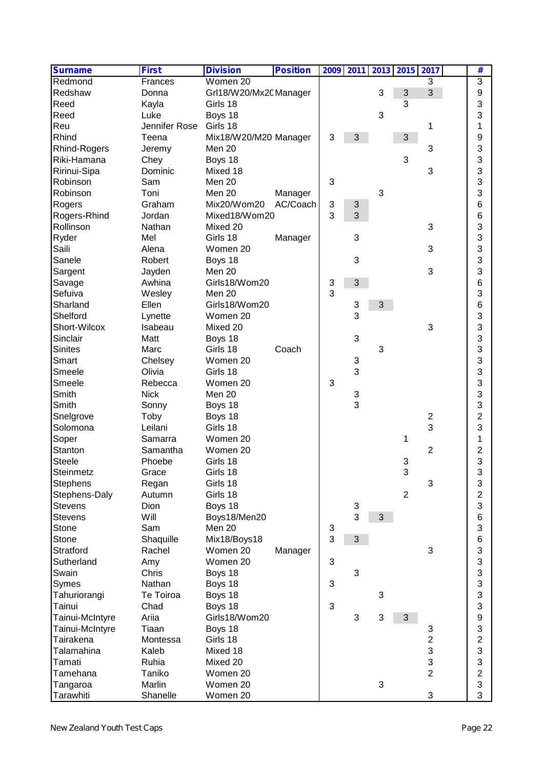| <b>Surname</b>  | <b>First</b>  | <b>Division</b>        | <b>Position</b> |   | 2009 2011 |   | 2013 2015 2017 |                         | #                |  |
|-----------------|---------------|------------------------|-----------------|---|-----------|---|----------------|-------------------------|------------------|--|
| Redmond         | Frances       | Women 20               |                 |   |           |   |                | 3                       | $\overline{3}$   |  |
| Redshaw         | Donna         | Grl18/W20/Mx20 Manager |                 |   |           | 3 | 3              | $\overline{3}$          | 9                |  |
| Reed            | Kayla         | Girls 18               |                 |   |           |   | 3              |                         | 3                |  |
| Reed            | Luke          | Boys 18                |                 |   |           | 3 |                |                         | 3                |  |
| Reu             | Jennifer Rose | Girls 18               |                 |   |           |   |                | 1                       | 1                |  |
| Rhind           | Teena         | Mix18/W20/M20 Manager  |                 | 3 | 3         |   | 3              |                         | 9                |  |
| Rhind-Rogers    | Jeremy        | Men 20                 |                 |   |           |   |                | 3                       | 3                |  |
| Riki-Hamana     | Chey          | Boys 18                |                 |   |           |   | 3              |                         | 3                |  |
| Ririnui-Sipa    | Dominic       | Mixed 18               |                 |   |           |   |                | 3                       | 3                |  |
| Robinson        | Sam           | Men 20                 |                 | 3 |           |   |                |                         | 3                |  |
| Robinson        | Toni          | Men 20                 | Manager         |   |           | 3 |                |                         | 3                |  |
| Rogers          | Graham        | Mix20/Wom20            | AC/Coach        | 3 | 3         |   |                |                         | 6                |  |
| Rogers-Rhind    | Jordan        | Mixed18/Wom20          |                 | 3 | 3         |   |                |                         | 6                |  |
| Rollinson       | Nathan        | Mixed 20               |                 |   |           |   |                | 3                       | 3                |  |
| Ryder           | Mel           | Girls 18               | Manager         |   | 3         |   |                |                         | 3                |  |
| Saili           | Alena         | Women 20               |                 |   |           |   |                | 3                       | 3                |  |
| Sanele          | Robert        | Boys 18                |                 |   | 3         |   |                |                         | 3                |  |
| Sargent         | Jayden        | Men 20                 |                 |   |           |   |                | 3                       | 3                |  |
| Savage          | Awhina        | Girls18/Wom20          |                 | 3 | 3         |   |                |                         | 6                |  |
| Sefuiva         | Wesley        | Men 20                 |                 | 3 |           |   |                |                         | 3                |  |
| Sharland        | Ellen         | Girls18/Wom20          |                 |   | 3         | 3 |                |                         | 6                |  |
| Shelford        | Lynette       | Women 20               |                 |   | 3         |   |                |                         | 3                |  |
| Short-Wilcox    | Isabeau       | Mixed 20               |                 |   |           |   |                | 3                       | 3                |  |
| Sinclair        | Matt          | Boys 18                |                 |   | 3         |   |                |                         | 3                |  |
| <b>Sinites</b>  | Marc          | Girls 18               | Coach           |   |           | 3 |                |                         | 3                |  |
| Smart           | Chelsey       | Women 20               |                 |   | 3         |   |                |                         | 3                |  |
| Smeele          | Olivia        | Girls 18               |                 |   | 3         |   |                |                         | 3                |  |
| Smeele          | Rebecca       | Women 20               |                 | 3 |           |   |                |                         | 3                |  |
| Smith           | <b>Nick</b>   | Men 20                 |                 |   | 3         |   |                |                         | 3                |  |
| Smith           | Sonny         | Boys 18                |                 |   | 3         |   |                |                         | 3                |  |
| Snelgrove       | Toby          | Boys 18                |                 |   |           |   |                | $\overline{\mathbf{c}}$ | $\overline{c}$   |  |
| Solomona        | Leilani       | Girls 18               |                 |   |           |   |                | 3                       | 3                |  |
| Soper           | Samarra       | Women 20               |                 |   |           |   | 1              |                         | 1                |  |
| Stanton         | Samantha      | Women 20               |                 |   |           |   |                | $\overline{2}$          | 2                |  |
| <b>Steele</b>   | Phoebe        | Girls 18               |                 |   |           |   | 3              |                         | 3                |  |
| Steinmetz       | Grace         | Girls 18               |                 |   |           |   | C              |                         | $\mathbf{z}$     |  |
| <b>Stephens</b> | Regan         | Girls 18               |                 |   |           |   |                | 3                       | ں<br>3           |  |
| Stephens-Daly   | Autumn        | Girls 18               |                 |   |           |   | $\overline{2}$ |                         | 2                |  |
| <b>Stevens</b>  | Dion          | Boys 18                |                 |   | 3         |   |                |                         | 3                |  |
| <b>Stevens</b>  | Will          | Boys18/Men20           |                 |   | 3         | 3 |                |                         | 6                |  |
| Stone           | Sam           | Men 20                 |                 | 3 |           |   |                |                         | 3                |  |
| Stone           | Shaquille     | Mix18/Boys18           |                 | 3 | 3         |   |                |                         | 6                |  |
| Stratford       | Rachel        | Women 20               | Manager         |   |           |   |                | 3                       | 3                |  |
| Sutherland      | Amy           | Women 20               |                 | 3 |           |   |                |                         | 3                |  |
| Swain           | Chris         | Boys 18                |                 |   | 3         |   |                |                         | 3                |  |
| Symes           | Nathan        | Boys 18                |                 | 3 |           |   |                |                         | 3                |  |
| Tahuriorangi    | Te Toiroa     | Boys 18                |                 |   |           | 3 |                |                         | 3                |  |
| Tainui          | Chad          | Boys 18                |                 | 3 |           |   |                |                         | 3                |  |
| Tainui-McIntyre | Ariia         | Girls18/Wom20          |                 |   | 3         | 3 | 3              |                         | $\boldsymbol{9}$ |  |
| Tainui-McIntyre | Tiaan         | Boys 18                |                 |   |           |   |                | 3                       | 3                |  |
| Tairakena       | Montessa      | Girls 18               |                 |   |           |   |                | $\overline{2}$          | $\overline{c}$   |  |
| Talamahina      | Kaleb         | Mixed 18               |                 |   |           |   |                | 3                       | 3                |  |
| Tamati          | Ruhia         | Mixed 20               |                 |   |           |   |                | 3                       | 3                |  |
| Tamehana        | Taniko        | Women 20               |                 |   |           |   |                | $\overline{2}$          | $\overline{2}$   |  |
| Tangaroa        | Marlin        | Women 20               |                 |   |           | 3 |                |                         | 3                |  |
| Tarawhiti       | Shanelle      | Women 20               |                 |   |           |   |                | 3                       | 3                |  |
|                 |               |                        |                 |   |           |   |                |                         |                  |  |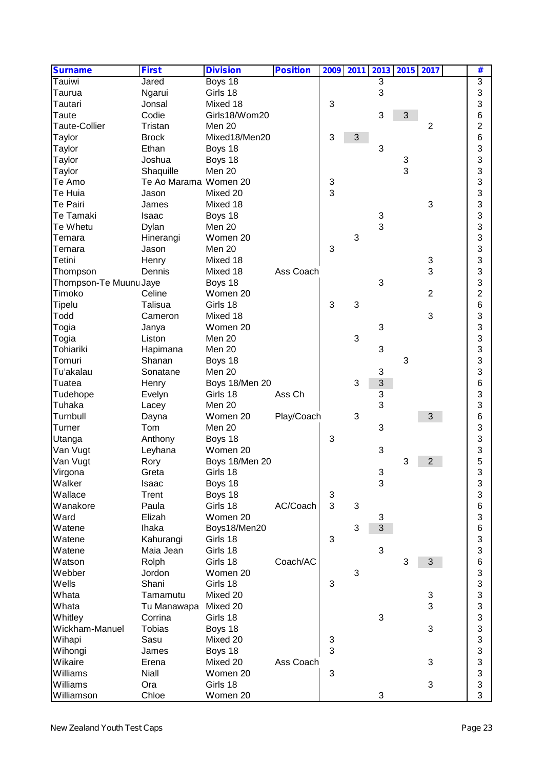| <b>Surname</b>         | <b>First</b>          | <b>Division</b>            | <b>Position</b> |   | 2009 2011 |        | 2013 2015 2017 |                | #                 |  |
|------------------------|-----------------------|----------------------------|-----------------|---|-----------|--------|----------------|----------------|-------------------|--|
| Tauiwi                 | Jared                 | Boys 18                    |                 |   |           | 3      |                |                | $\overline{3}$    |  |
| Taurua                 | Ngarui                | Girls 18                   |                 |   |           | 3      |                |                | 3                 |  |
| Tautari                | Jonsal                | Mixed 18                   |                 | 3 |           |        |                |                | 3                 |  |
| Taute                  | Codie                 | Girls18/Wom20              |                 |   |           | 3      | 3              |                | 6                 |  |
| <b>Taute-Collier</b>   | Tristan               | Men 20                     |                 |   |           |        |                | $\overline{2}$ | 2                 |  |
| Taylor                 | <b>Brock</b>          | Mixed18/Men20              |                 | 3 | 3         |        |                |                | 6                 |  |
| Taylor                 | Ethan                 | Boys 18                    |                 |   |           | 3      |                |                | 3                 |  |
| Taylor                 | Joshua                | Boys 18                    |                 |   |           |        | 3              |                | 3                 |  |
| Taylor                 | Shaquille             | Men 20                     |                 |   |           |        | 3              |                | 3                 |  |
| Te Amo                 | Te Ao Marama Women 20 |                            |                 | 3 |           |        |                |                | 3                 |  |
| Te Huia                | Jason                 | Mixed 20                   |                 | 3 |           |        |                |                | 3                 |  |
| Te Pairi               | James                 | Mixed 18                   |                 |   |           |        |                | 3              | 3                 |  |
| Te Tamaki              | Isaac                 | Boys 18                    |                 |   |           | 3      |                |                | 3                 |  |
| Te Whetu               | Dylan                 | Men 20                     |                 |   |           | 3      |                |                | 3                 |  |
| Temara                 | Hinerangi             | Women 20                   |                 |   | 3         |        |                |                | 3                 |  |
| Temara                 | Jason                 | Men 20                     |                 | 3 |           |        |                |                | 3                 |  |
| Tetini                 | Henry                 | Mixed 18                   |                 |   |           |        |                | 3              | 3                 |  |
| Thompson               | Dennis                | Mixed 18                   | Ass Coach       |   |           |        |                | 3              | 3                 |  |
| Thompson-Te Muunu Jaye |                       | Boys 18                    |                 |   |           | 3      |                |                | 3                 |  |
| Timoko                 | Celine                | Women 20                   |                 |   |           |        |                | $\overline{2}$ | $\overline{c}$    |  |
| <b>Tipelu</b>          | Talisua               | Girls 18                   |                 | 3 | 3         |        |                |                | 6                 |  |
| Todd                   | Cameron               | Mixed 18                   |                 |   |           |        |                | 3              | 3                 |  |
| Togia                  | Janya                 | Women 20                   |                 |   |           | 3      |                |                | 3                 |  |
| Togia                  | Liston                | Men 20                     |                 |   | 3         |        |                |                | 3                 |  |
| Tohiariki              | Hapimana              | Men 20                     |                 |   |           | 3      |                |                | 3                 |  |
| Tomuri                 | Shanan                | Boys 18                    |                 |   |           |        | 3              |                | 3                 |  |
| Tu'akalau              | Sonatane              | Men 20                     |                 |   |           | 3      |                |                | 3                 |  |
| Tuatea                 |                       |                            |                 |   | 3         | 3      |                |                |                   |  |
|                        | Henry                 | Boys 18/Men 20<br>Girls 18 | Ass Ch          |   |           |        |                |                | 6<br>3            |  |
| Tudehope<br>Tuhaka     | Evelyn                | Men 20                     |                 |   |           | 3<br>3 |                |                | 3                 |  |
|                        | Lacey                 |                            |                 |   | 3         |        |                |                |                   |  |
| Turnbull               | Dayna                 | Women 20<br>Men 20         | Play/Coach      |   |           | 3      |                | 3              | 6                 |  |
| Turner                 | Tom                   |                            |                 |   |           |        |                |                | 3                 |  |
| Utanga                 | Anthony               | Boys 18<br>Women 20        |                 | 3 |           |        |                |                | 3                 |  |
| Van Vugt               | Leyhana               |                            |                 |   |           | 3      |                |                | 3                 |  |
| Van Vugt               | Rory                  | Boys 18/Men 20             |                 |   |           |        | 3              | 2              | 5<br>$\mathbf{z}$ |  |
| Virgona                | Greta                 | Girls 18                   |                 |   |           | 3      |                |                | ں                 |  |
| Walker                 | Isaac                 | Boys 18                    |                 |   |           | 3      |                |                | 3                 |  |
| Wallace                | Trent                 | Boys 18                    |                 | 3 |           |        |                |                | 3                 |  |
| Wanakore               | Paula                 | Girls 18                   | AC/Coach        | 3 | 3         |        |                |                | $\,6$             |  |
| Ward                   | Elizah                | Women 20                   |                 |   |           | 3      |                |                | 3                 |  |
| Watene                 | <b>Ihaka</b>          | Boys18/Men20               |                 |   | 3         | 3      |                |                | 6                 |  |
| Watene                 | Kahurangi             | Girls 18                   |                 | 3 |           |        |                |                | 3                 |  |
| Watene                 | Maia Jean             | Girls 18                   |                 |   |           | 3      |                |                | 3                 |  |
| Watson                 | Rolph                 | Girls 18                   | Coach/AC        |   |           |        | 3              | 3              | 6                 |  |
| Webber                 | Jordon                | Women 20                   |                 |   | 3         |        |                |                | 3                 |  |
| Wells                  | Shani                 | Girls 18                   |                 | 3 |           |        |                |                | 3                 |  |
| Whata                  | Tamamutu              | Mixed 20                   |                 |   |           |        |                | 3              | 3                 |  |
| Whata                  | Tu Manawapa           | Mixed 20                   |                 |   |           |        |                | 3              | 3                 |  |
| Whitley                | Corrina               | Girls 18                   |                 |   |           | 3      |                |                | 3                 |  |
| Wickham-Manuel         | <b>Tobias</b>         | Boys 18                    |                 |   |           |        |                | 3              | 3                 |  |
| Wihapi                 | Sasu                  | Mixed 20                   |                 | 3 |           |        |                |                | 3                 |  |
| Wihongi                | James                 | Boys 18                    |                 | 3 |           |        |                |                | 3                 |  |
| Wikaire                | Erena                 | Mixed 20                   | Ass Coach       |   |           |        |                | 3              | 3                 |  |
| Williams               | <b>Niall</b>          | Women 20                   |                 | 3 |           |        |                |                | 3                 |  |
| Williams               | Ora                   | Girls 18                   |                 |   |           |        |                | 3              | 3                 |  |
| Williamson             | Chloe                 | Women 20                   |                 |   |           | 3      |                |                | 3                 |  |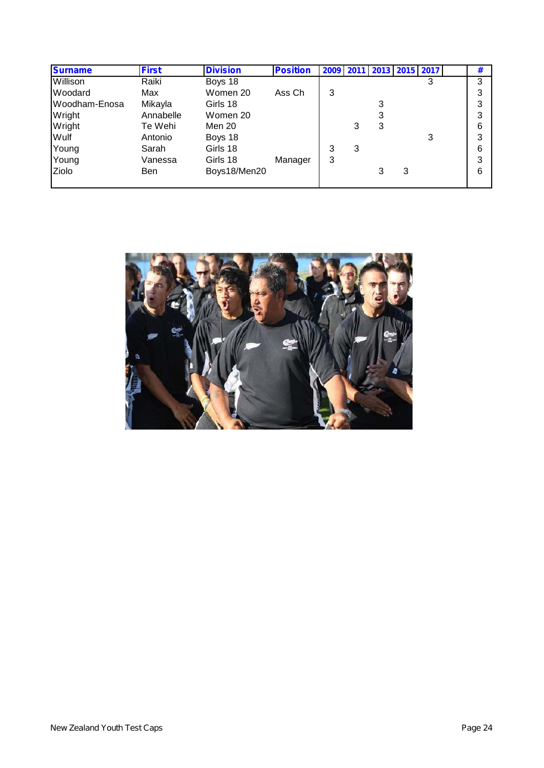| <b>Surname</b> | <b>First</b> | <b>Division</b> | <b>Position</b> | 2009 2011 |   | 2013 2015 2017 |   |   | # |
|----------------|--------------|-----------------|-----------------|-----------|---|----------------|---|---|---|
| Willison       | Raiki        | Boys 18         |                 |           |   |                |   | 3 | 3 |
| Woodard        | Max          | Women 20        | Ass Ch          | 3         |   |                |   |   | 3 |
| Woodham-Enosa  | Mikayla      | Girls 18        |                 |           |   | 3              |   |   | 3 |
| Wright         | Annabelle    | Women 20        |                 |           |   | 3              |   |   | 3 |
| Wright         | Te Wehi      | Men 20          |                 |           | 3 | 3              |   |   | 6 |
| Wulf           | Antonio      | Boys 18         |                 |           |   |                |   | 3 | 3 |
| Young          | Sarah        | Girls 18        |                 |           | 3 |                |   |   | 6 |
| Young          | Vanessa      | Girls 18        | Manager         | 3         |   |                |   |   | 3 |
| Ziolo          | Ben          | Boys18/Men20    |                 |           |   | 3              | 3 |   | 6 |
|                |              |                 |                 |           |   |                |   |   |   |

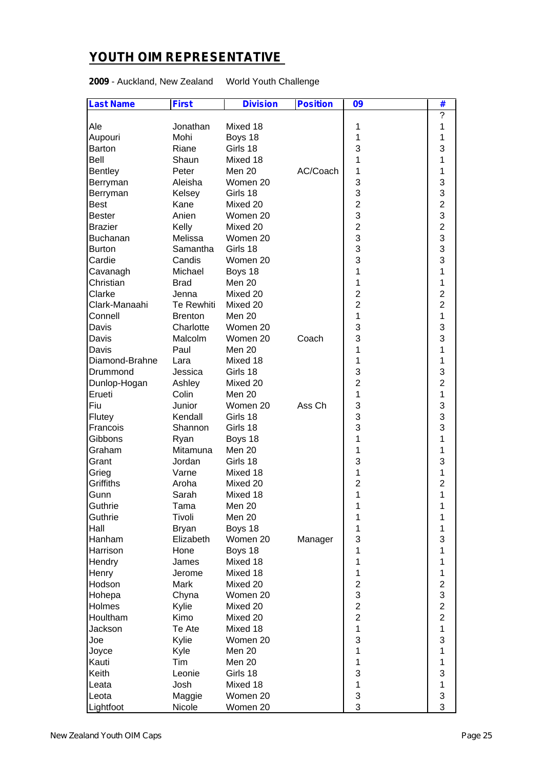## **YOUTH OIM REPRESENTATIVE**

**2009** - Auckland, New Zealand World Youth Challenge

| <b>Last Name</b> | <b>First</b>   | <b>Division</b> | <b>Position</b> | 09             | #                         |  |
|------------------|----------------|-----------------|-----------------|----------------|---------------------------|--|
|                  |                |                 |                 |                | ?                         |  |
| Ale              | Jonathan       | Mixed 18        |                 | 1              | 1                         |  |
| Aupouri          | Mohi           | Boys 18         |                 | 1              | 1                         |  |
| Barton           | Riane          | Girls 18        |                 | 3              | 3                         |  |
| Bell             | Shaun          | Mixed 18        |                 | 1              | 1                         |  |
| Bentley          | Peter          | Men 20          | AC/Coach        | 1              | 1                         |  |
| Berryman         | Aleisha        | Women 20        |                 | 3              | 3                         |  |
| Berryman         | Kelsey         | Girls 18        |                 | 3              | $\ensuremath{\mathsf{3}}$ |  |
| <b>Best</b>      | Kane           | Mixed 20        |                 | $\overline{c}$ | $\overline{c}$            |  |
| <b>Bester</b>    | Anien          | Women 20        |                 | 3              | 3                         |  |
| <b>Brazier</b>   | Kelly          | Mixed 20        |                 | $\overline{c}$ | $\overline{2}$            |  |
| Buchanan         | Melissa        | Women 20        |                 | 3              | 3                         |  |
| <b>Burton</b>    | Samantha       | Girls 18        |                 | 3              | 3                         |  |
| Cardie           | Candis         | Women 20        |                 | 3              | 3                         |  |
| Cavanagh         | Michael        | Boys 18         |                 | 1              | 1                         |  |
| Christian        | <b>Brad</b>    | Men 20          |                 | 1              | 1                         |  |
| Clarke           | Jenna          | Mixed 20        |                 | $\overline{c}$ | $\overline{2}$            |  |
| Clark-Manaahi    | Te Rewhiti     | Mixed 20        |                 | $\overline{2}$ | $\overline{2}$            |  |
| Connell          | <b>Brenton</b> | Men 20          |                 | 1              | 1                         |  |
| Davis            | Charlotte      | Women 20        |                 | 3              | 3                         |  |
| Davis            | Malcolm        | Women 20        | Coach           | 3              | 3                         |  |
| Davis            | Paul           | Men 20          |                 | 1              | 1                         |  |
| Diamond-Brahne   | Lara           | Mixed 18        |                 | 1              | 1                         |  |
| Drummond         | Jessica        | Girls 18        |                 | 3              | 3                         |  |
| Dunlop-Hogan     | Ashley         | Mixed 20        |                 | $\overline{2}$ | $\overline{2}$            |  |
| Erueti           | Colin          | Men 20          |                 | 1              | 1                         |  |
| Fiu              | Junior         | Women 20        | Ass Ch          | 3              | 3                         |  |
| Flutey           | Kendall        | Girls 18        |                 | 3              | 3                         |  |
| Francois         | Shannon        | Girls 18        |                 | 3              | 3                         |  |
| Gibbons          | Ryan           | Boys 18         |                 | 1              | 1                         |  |
| Graham           | Mitamuna       | Men 20          |                 | 1              | 1                         |  |
| Grant            | Jordan         | Girls 18        |                 | 3              | 3                         |  |
| Grieg            | Varne          | Mixed 18        |                 | 1              | 1                         |  |
| Griffiths        | Aroha          | Mixed 20        |                 | 2              | $\overline{2}$            |  |
| Gunn             | Sarah          | Mixed 18        |                 | 1              | 1                         |  |
| Guthrie          | Tama           | Men 20          |                 |                | 1                         |  |
| Guthrie          | Tivoli         | Men 20          |                 | 1              | 1                         |  |
| Hall             | <b>Bryan</b>   | Boys 18         |                 | 1              | 1                         |  |
| Hanham           | Elizabeth      | Women 20        | Manager         | 3              | 3                         |  |
| Harrison         | Hone           | Boys 18         |                 | 1              | 1                         |  |
| Hendry           | James          | Mixed 18        |                 | 1              | 1                         |  |
| Henry            | Jerome         | Mixed 18        |                 | 1              | 1                         |  |
| Hodson           | Mark           | Mixed 20        |                 | $\overline{c}$ | $\overline{c}$            |  |
| Hohepa           | Chyna          | Women 20        |                 | 3              | $\mathsf 3$               |  |
| Holmes           | Kylie          | Mixed 20        |                 | $\overline{2}$ | $\overline{c}$            |  |
| Houltham         | Kimo           | Mixed 20        |                 | $\overline{2}$ | $\overline{c}$            |  |
| Jackson          | Te Ate         | Mixed 18        |                 | 1              | 1                         |  |
|                  |                | Women 20        |                 | 3              | 3                         |  |
| Joe              | Kylie          |                 |                 |                |                           |  |
| Joyce            | Kyle           | Men 20          |                 | 1              | 1                         |  |
| Kauti            | Tim            | Men 20          |                 | 1              | 1                         |  |
| Keith            | Leonie         | Girls 18        |                 | 3              | 3                         |  |
| Leata            | Josh           | Mixed 18        |                 | 1              | 1                         |  |
| Leota            | Maggie         | Women 20        |                 | 3              | $\ensuremath{\mathsf{3}}$ |  |
| Lightfoot        | Nicole         | Women 20        |                 | 3              | 3                         |  |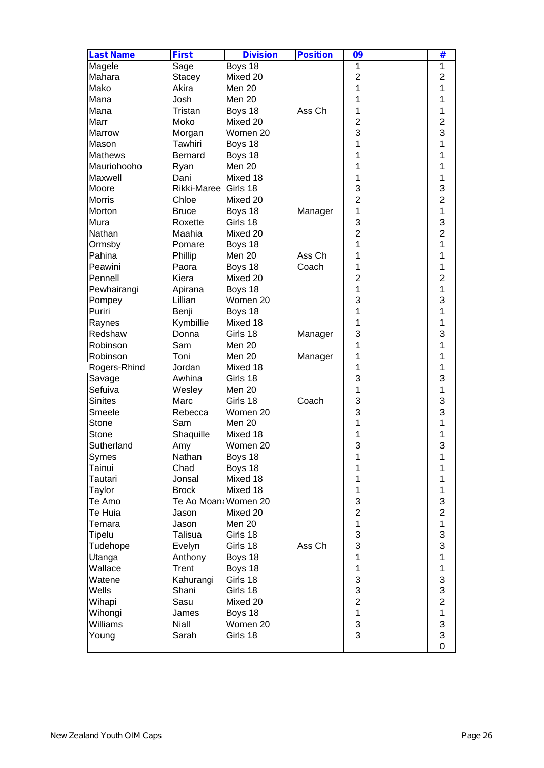| <b>Last Name</b> | <b>First</b>         | <b>Division</b>   | <b>Position</b> | 09                        | #                       |
|------------------|----------------------|-------------------|-----------------|---------------------------|-------------------------|
| Magele           | Sage                 | Boys $18$         |                 | 1                         | 1                       |
| Mahara           | <b>Stacey</b>        | Mixed 20          |                 | $\overline{2}$            | $\mathbf 2$             |
| Mako             | Akira                | Men 20            |                 | 1                         | 1                       |
| Mana             | Josh                 | Men 20            |                 | 1                         | 1                       |
| Mana             | Tristan              | Boys 18           | Ass Ch          | 1                         | 1                       |
| Marr             | Moko                 | Mixed 20          |                 | $\overline{2}$            | $\overline{\mathbf{c}}$ |
| Marrow           | Morgan               | Women 20          |                 | 3                         | 3                       |
| Mason            | Tawhiri              | Boys 18           |                 | 1                         | 1                       |
| Mathews          | <b>Bernard</b>       | Boys 18           |                 | 1                         | 1                       |
| Mauriohooho      | Ryan                 | Men 20            |                 | 1                         | 1                       |
| Maxwell          | Dani                 | Mixed 18          |                 | 1                         | 1                       |
| Moore            | Rikki-Maree Girls 18 |                   |                 | 3                         | 3                       |
| Morris           | Chloe                | Mixed 20          |                 | $\overline{2}$            | $\overline{2}$          |
| Morton           | <b>Bruce</b>         | Boys 18           | Manager         | 1                         | 1                       |
| Mura             | Roxette              | Girls 18          |                 | 3                         | 3                       |
| Nathan           | Maahia               | Mixed 20          |                 | $\overline{2}$            | $\overline{2}$          |
|                  |                      |                   |                 | 1                         | 1                       |
| Ormsby<br>Pahina | Pomare<br>Phillip    | Boys 18<br>Men 20 | Ass Ch          | 1                         | 1                       |
|                  | Paora                |                   | Coach           | 1                         | 1                       |
| Peawini          |                      | Boys 18           |                 | $\overline{2}$            |                         |
| Pennell          | Kiera                | Mixed 20          |                 |                           | $\overline{2}$          |
| Pewhairangi      | Apirana              | Boys 18           |                 | 1                         | 1                       |
| Pompey           | Lillian              | Women 20          |                 | 3                         | 3                       |
| Puriri           | Benji                | Boys 18           |                 | 1                         | 1                       |
| Raynes           | Kymbillie            | Mixed 18          |                 | 1                         | 1                       |
| Redshaw          | Donna                | Girls 18          | Manager         | 3                         | 3                       |
| Robinson         | Sam                  | Men 20            |                 | 1                         | 1                       |
| Robinson         | Toni                 | Men 20            | Manager         | 1                         | 1                       |
| Rogers-Rhind     | Jordan               | Mixed 18          |                 | 1                         | 1                       |
| Savage           | Awhina               | Girls 18          |                 | 3                         | 3                       |
| Sefuiva          | Wesley               | Men 20            |                 | 1                         | 1                       |
| <b>Sinites</b>   | Marc                 | Girls 18          | Coach           | 3                         | 3                       |
| Smeele           | Rebecca              | Women 20          |                 | 3                         | 3                       |
| Stone            | Sam                  | Men 20            |                 | 1                         | 1                       |
| Stone            | Shaquille            | Mixed 18          |                 | 1                         | 1                       |
| Sutherland       | Amy                  | Women 20          |                 | 3                         | 3                       |
| Symes            | Nathan               | Boys 18           |                 | 1                         | 1                       |
| Tainui           | Chad                 | Boys 18           |                 | 1                         | 1                       |
| Tautari          | Jonsal               | Mixed 18          |                 | 1                         | 1                       |
| Taylor           | <b>Brock</b>         | Mixed 18          |                 | $\mathbf{1}$              | 1                       |
| Te Amo           | Te Ao Moan: Women 20 |                   |                 | 3                         | 3                       |
| Te Huia          | Jason                | Mixed 20          |                 | $\overline{2}$            | $\overline{c}$          |
| Temara           | Jason                | Men 20            |                 | $\mathbf{1}$              | $\mathbf{1}$            |
| Tipelu           | Talisua              | Girls 18          |                 | 3                         | 3                       |
| Tudehope         | Evelyn               | Girls 18          | Ass Ch          | 3                         | 3                       |
| Utanga           | Anthony              | Boys 18           |                 | 1                         | 1                       |
| Wallace          | Trent                | Boys 18           |                 | 1                         | 1                       |
| Watene           | Kahurangi            | Girls 18          |                 | 3                         | 3                       |
| Wells            | Shani                | Girls 18          |                 | 3                         | 3                       |
| Wihapi           | Sasu                 | Mixed 20          |                 | $\overline{2}$            | $\overline{2}$          |
| Wihongi          | James                | Boys 18           |                 | 1                         | 1                       |
| Williams         | <b>Niall</b>         | Women 20          |                 | $\ensuremath{\mathsf{3}}$ | 3                       |
| Young            | Sarah                | Girls 18          |                 | 3                         | 3                       |
|                  |                      |                   |                 |                           |                         |
|                  |                      |                   |                 |                           | $\mathbf 0$             |